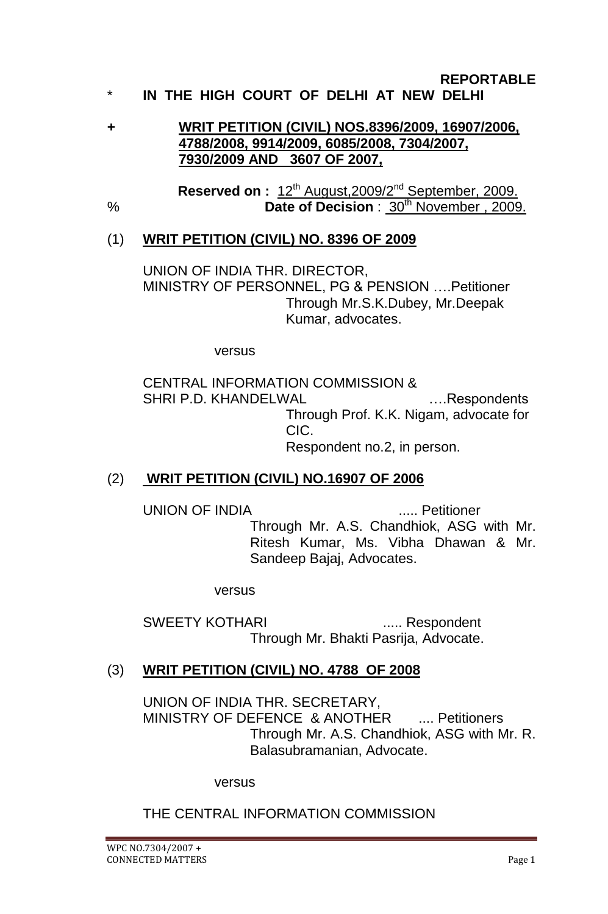#### **REPORTABLE** \* **IN THE HIGH COURT OF DELHI AT NEW DELHI**

### **+ WRIT PETITION (CIVIL) NOS.8396/2009, 16907/2006, 4788/2008, 9914/2009, 6085/2008, 7304/2007, 7930/2009 AND 3607 OF 2007,**

**Reserved on :** 12<sup>th</sup> August, 2009/2<sup>nd</sup> September, 2009. % **Date of Decision** :  $30<sup>th</sup>$  November, 2009.

## (1) **WRIT PETITION (CIVIL) NO. 8396 OF 2009**

UNION OF INDIA THR. DIRECTOR, MINISTRY OF PERSONNEL, PG & PENSION ….Petitioner Through Mr.S.K.Dubey, Mr.Deepak Kumar, advocates.

versus

CENTRAL INFORMATION COMMISSION & SHRI P.D. KHANDELWAL **Example 19 and 1999** multiple 1. Respondents Through Prof. K.K. Nigam, advocate for CIC. Respondent no.2, in person.

# (2) **WRIT PETITION (CIVIL) NO.16907 OF 2006**

UNION OF INDIA ..... Petitioner Through Mr. A.S. Chandhiok, ASG with Mr. Ritesh Kumar, Ms. Vibha Dhawan & Mr. Sandeep Bajaj, Advocates.

versus

SWEETY KOTHARI ..... Respondent Through Mr. Bhakti Pasrija, Advocate.

# (3) **WRIT PETITION (CIVIL) NO. 4788 OF 2008**

UNION OF INDIA THR. SECRETARY, MINISTRY OF DEFENCE & ANOTHER .... Petitioners Through Mr. A.S. Chandhiok, ASG with Mr. R. Balasubramanian, Advocate.

versus

# THE CENTRAL INFORMATION COMMISSION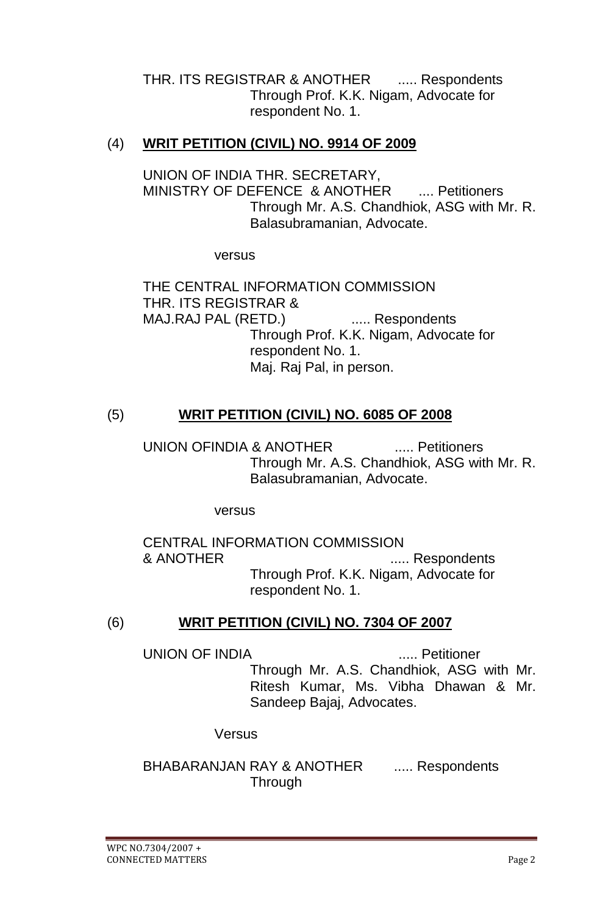THR. ITS REGISTRAR & ANOTHER ..... Respondents Through Prof. K.K. Nigam, Advocate for respondent No. 1.

## (4) **WRIT PETITION (CIVIL) NO. 9914 OF 2009**

UNION OF INDIA THR. SECRETARY, MINISTRY OF DEFENCE & ANOTHER .... Petitioners Through Mr. A.S. Chandhiok, ASG with Mr. R. Balasubramanian, Advocate.

versus

THE CENTRAL INFORMATION COMMISSION THR. ITS REGISTRAR & MAJ.RAJ PAL (RETD.) ..... Respondents Through Prof. K.K. Nigam, Advocate for respondent No. 1. Maj. Raj Pal, in person.

# (5) **WRIT PETITION (CIVIL) NO. 6085 OF 2008**

UNION OFINDIA & ANOTHER ..... Petitioners Through Mr. A.S. Chandhiok, ASG with Mr. R. Balasubramanian, Advocate.

versus

CENTRAL INFORMATION COMMISSION & ANOTHER ..... Respondents Through Prof. K.K. Nigam, Advocate for respondent No. 1.

# (6) **WRIT PETITION (CIVIL) NO. 7304 OF 2007**

UNION OF INDIA ..... Petitioner Through Mr. A.S. Chandhiok, ASG with Mr. Ritesh Kumar, Ms. Vibha Dhawan & Mr. Sandeep Bajaj, Advocates.

Versus

BHABARANJAN RAY & ANOTHER ..... Respondents **Through**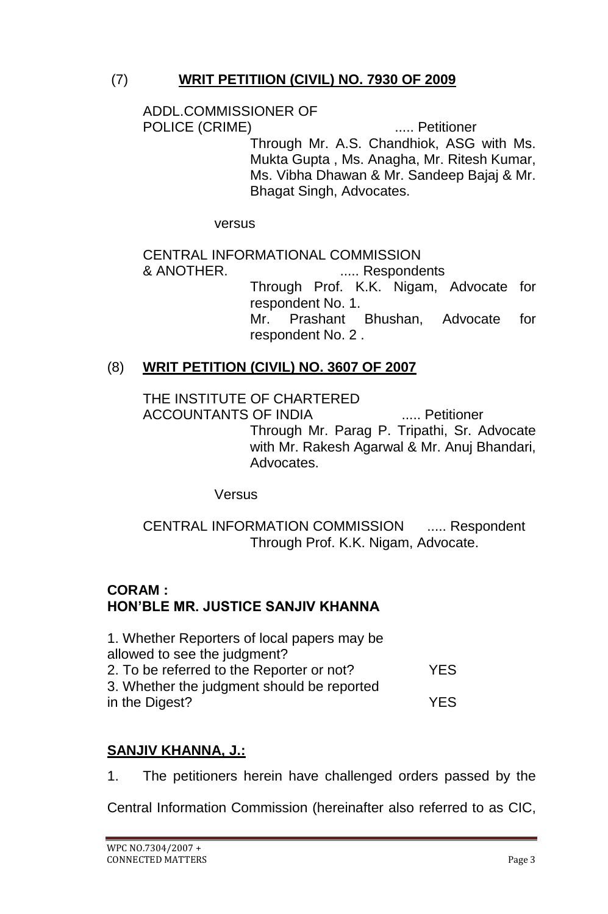# (7) **WRIT PETITIION (CIVIL) NO. 7930 OF 2009**

ADDL.COMMISSIONER OF POLICE (CRIME) ..... Petitioner

Through Mr. A.S. Chandhiok, ASG with Ms. Mukta Gupta , Ms. Anagha, Mr. Ritesh Kumar, Ms. Vibha Dhawan & Mr. Sandeep Bajaj & Mr. Bhagat Singh, Advocates.

versus

CENTRAL INFORMATIONAL COMMISSION

& ANOTHER. ..... Respondents Through Prof. K.K. Nigam, Advocate for respondent No. 1. Mr. Prashant Bhushan, Advocate for respondent No. 2 .

## (8) **WRIT PETITION (CIVIL) NO. 3607 OF 2007**

THE INSTITUTE OF CHARTERED ACCOUNTANTS OF INDIA ..... Petitioner Through Mr. Parag P. Tripathi, Sr. Advocate with Mr. Rakesh Agarwal & Mr. Anuj Bhandari, Advocates.

Versus

CENTRAL INFORMATION COMMISSION ..... Respondent Through Prof. K.K. Nigam, Advocate.

# **CORAM : HON'BLE MR. JUSTICE SANJIV KHANNA**

1. Whether Reporters of local papers may be allowed to see the judgment? 2. To be referred to the Reporter or not? YES 3. Whether the judgment should be reported in the Digest? YES

# **SANJIV KHANNA, J.:**

1. The petitioners herein have challenged orders passed by the

Central Information Commission (hereinafter also referred to as CIC,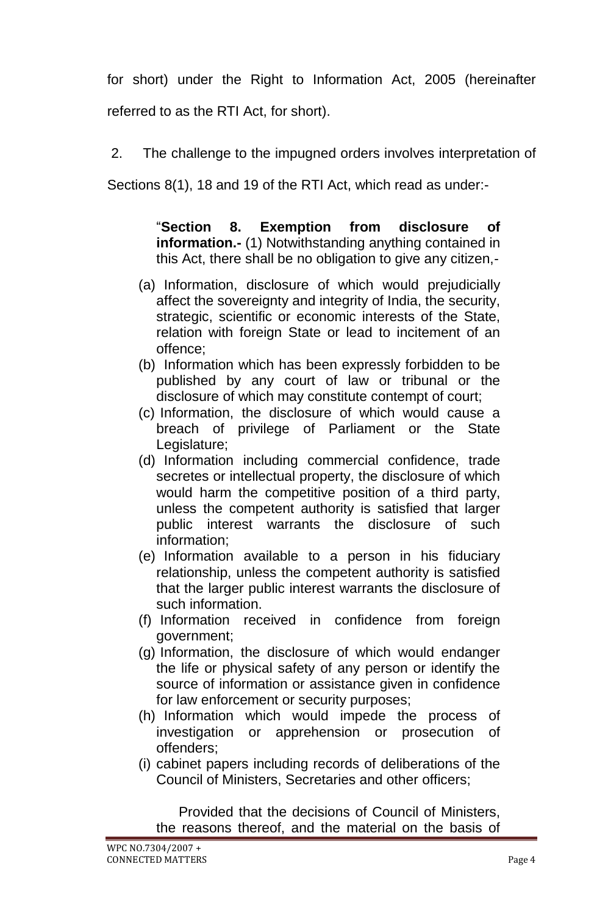for short) under the Right to Information Act, 2005 (hereinafter referred to as the RTI Act, for short).

2. The challenge to the impugned orders involves interpretation of

Sections 8(1), 18 and 19 of the RTI Act, which read as under:-

―**Section 8. Exemption from disclosure of information.-** (1) Notwithstanding anything contained in this Act, there shall be no obligation to give any citizen,-

- (a) Information, disclosure of which would prejudicially affect the sovereignty and integrity of India, the security, strategic, scientific or economic interests of the State, relation with foreign State or lead to incitement of an offence;
- (b) Information which has been expressly forbidden to be published by any court of law or tribunal or the disclosure of which may constitute contempt of court;
- (c) Information, the disclosure of which would cause a breach of privilege of Parliament or the State Legislature;
- (d) Information including commercial confidence, trade secretes or intellectual property, the disclosure of which would harm the competitive position of a third party, unless the competent authority is satisfied that larger public interest warrants the disclosure of such information;
- (e) Information available to a person in his fiduciary relationship, unless the competent authority is satisfied that the larger public interest warrants the disclosure of such information.
- (f) Information received in confidence from foreign government;
- (g) Information, the disclosure of which would endanger the life or physical safety of any person or identify the source of information or assistance given in confidence for law enforcement or security purposes;
- (h) Information which would impede the process of investigation or apprehension or prosecution of offenders;
- (i) cabinet papers including records of deliberations of the Council of Ministers, Secretaries and other officers;

Provided that the decisions of Council of Ministers, the reasons thereof, and the material on the basis of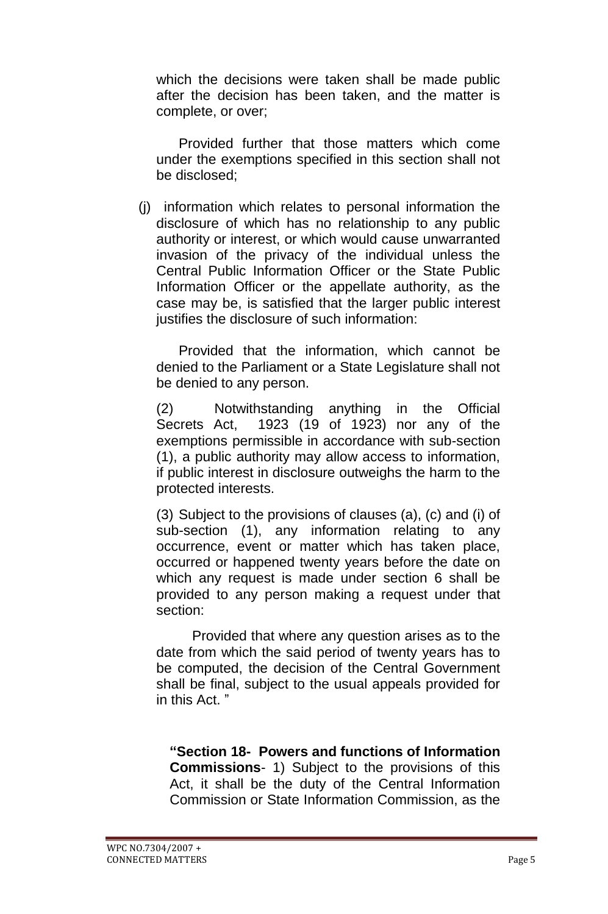which the decisions were taken shall be made public after the decision has been taken, and the matter is complete, or over;

Provided further that those matters which come under the exemptions specified in this section shall not be disclosed;

(j) information which relates to personal information the disclosure of which has no relationship to any public authority or interest, or which would cause unwarranted invasion of the privacy of the individual unless the Central Public Information Officer or the State Public Information Officer or the appellate authority, as the case may be, is satisfied that the larger public interest justifies the disclosure of such information:

Provided that the information, which cannot be denied to the Parliament or a State Legislature shall not be denied to any person.

(2) Notwithstanding anything in the Official Secrets Act, 1923 (19 of 1923) nor any of the exemptions permissible in accordance with sub-section (1), a public authority may allow access to information, if public interest in disclosure outweighs the harm to the protected interests.

(3) Subject to the provisions of clauses (a), (c) and (i) of sub-section (1), any information relating to any occurrence, event or matter which has taken place, occurred or happened twenty years before the date on which any request is made under section 6 shall be provided to any person making a request under that section:

Provided that where any question arises as to the date from which the said period of twenty years has to be computed, the decision of the Central Government shall be final, subject to the usual appeals provided for in this Act."

**"Section 18- Powers and functions of Information Commissions**- 1) Subject to the provisions of this Act, it shall be the duty of the Central Information Commission or State Information Commission, as the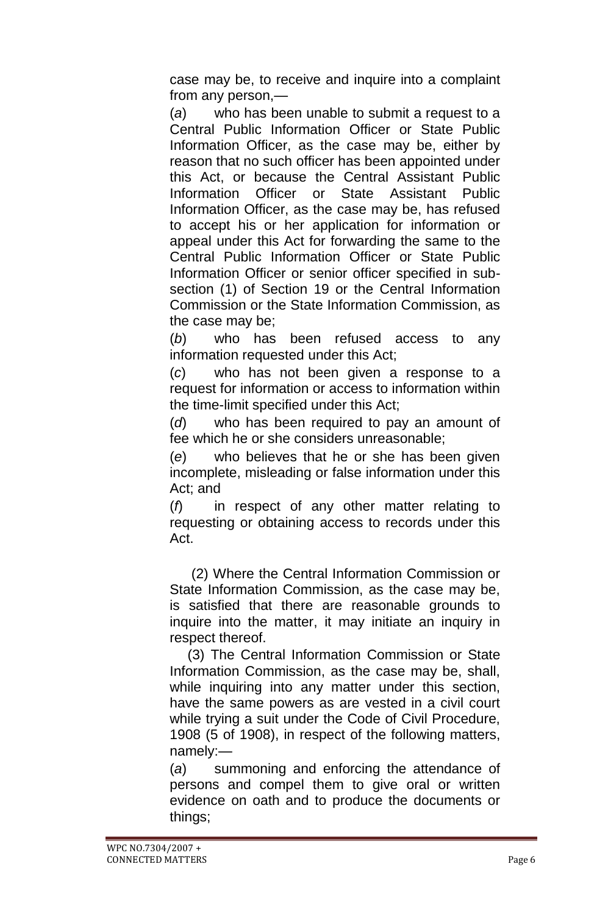case may be, to receive and inquire into a complaint from any person,—

(*a*) who has been unable to submit a request to a Central Public Information Officer or State Public Information Officer, as the case may be, either by reason that no such officer has been appointed under this Act, or because the Central Assistant Public Information Officer or State Assistant Public Information Officer, as the case may be, has refused to accept his or her application for information or appeal under this Act for forwarding the same to the Central Public Information Officer or State Public Information Officer or senior officer specified in subsection (1) of Section 19 or the Central Information Commission or the State Information Commission, as the case may be;

(*b*) who has been refused access to any information requested under this Act;

(*c*) who has not been given a response to a request for information or access to information within the time-limit specified under this Act;

(*d*) who has been required to pay an amount of fee which he or she considers unreasonable;

(*e*) who believes that he or she has been given incomplete, misleading or false information under this Act; and

(*f*) in respect of any other matter relating to requesting or obtaining access to records under this Act.

(2) Where the Central Information Commission or State Information Commission, as the case may be, is satisfied that there are reasonable grounds to inquire into the matter, it may initiate an inquiry in respect thereof.

(3) The Central Information Commission or State Information Commission, as the case may be, shall, while inquiring into any matter under this section, have the same powers as are vested in a civil court while trying a suit under the Code of Civil Procedure, 1908 (5 of 1908), in respect of the following matters, namely:—

(*a*) summoning and enforcing the attendance of persons and compel them to give oral or written evidence on oath and to produce the documents or things;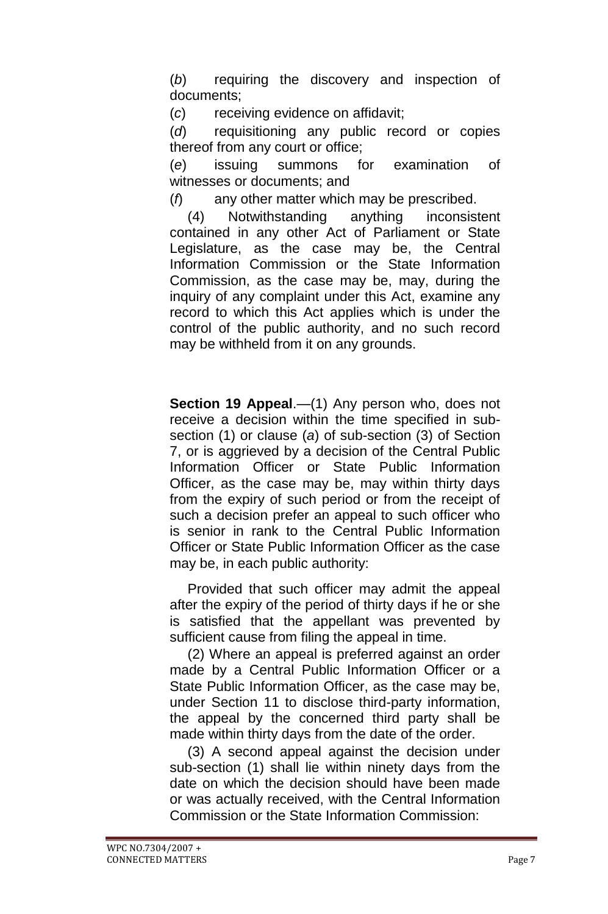(*b*) requiring the discovery and inspection of documents;

(*c*) receiving evidence on affidavit;

(*d*) requisitioning any public record or copies thereof from any court or office;

(*e*) issuing summons for examination of witnesses or documents; and

(*f*) any other matter which may be prescribed.

(4) Notwithstanding anything inconsistent contained in any other Act of Parliament or State Legislature, as the case may be, the Central Information Commission or the State Information Commission, as the case may be, may, during the inquiry of any complaint under this Act, examine any record to which this Act applies which is under the control of the public authority, and no such record may be withheld from it on any grounds.

**Section 19 Appeal**.—(1) Any person who, does not receive a decision within the time specified in subsection (1) or clause (*a*) of sub-section (3) of Section 7, or is aggrieved by a decision of the Central Public Information Officer or State Public Information Officer, as the case may be, may within thirty days from the expiry of such period or from the receipt of such a decision prefer an appeal to such officer who is senior in rank to the Central Public Information Officer or State Public Information Officer as the case may be, in each public authority:

Provided that such officer may admit the appeal after the expiry of the period of thirty days if he or she is satisfied that the appellant was prevented by sufficient cause from filing the appeal in time.

(2) Where an appeal is preferred against an order made by a Central Public Information Officer or a State Public Information Officer, as the case may be, under Section 11 to disclose third-party information, the appeal by the concerned third party shall be made within thirty days from the date of the order.

(3) A second appeal against the decision under sub-section (1) shall lie within ninety days from the date on which the decision should have been made or was actually received, with the Central Information Commission or the State Information Commission: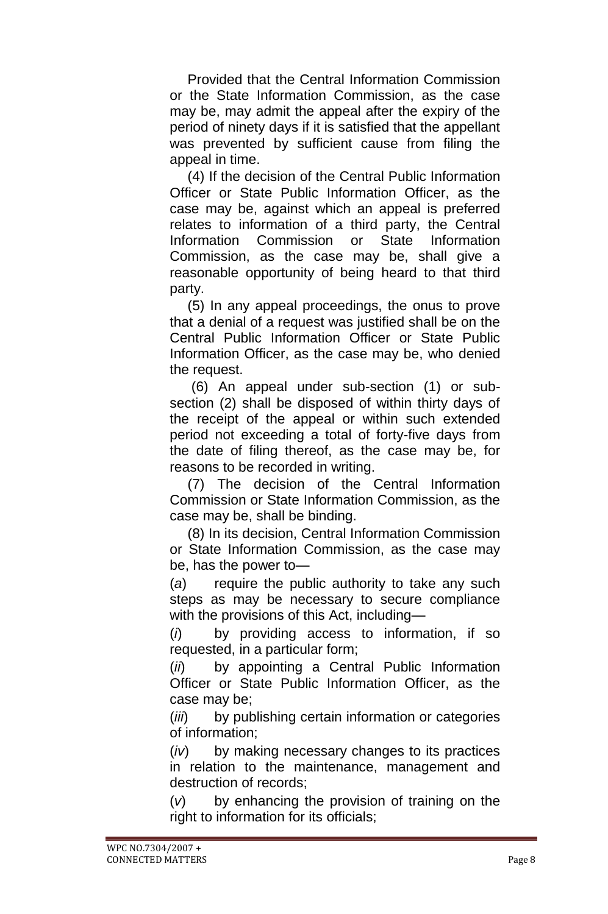Provided that the Central Information Commission or the State Information Commission, as the case may be, may admit the appeal after the expiry of the period of ninety days if it is satisfied that the appellant was prevented by sufficient cause from filing the appeal in time.

(4) If the decision of the Central Public Information Officer or State Public Information Officer, as the case may be, against which an appeal is preferred relates to information of a third party, the Central Information Commission or State Information Commission, as the case may be, shall give a reasonable opportunity of being heard to that third party.

(5) In any appeal proceedings, the onus to prove that a denial of a request was justified shall be on the Central Public Information Officer or State Public Information Officer, as the case may be, who denied the request.

(6) An appeal under sub-section (1) or subsection (2) shall be disposed of within thirty days of the receipt of the appeal or within such extended period not exceeding a total of forty-five days from the date of filing thereof, as the case may be, for reasons to be recorded in writing.

(7) The decision of the Central Information Commission or State Information Commission, as the case may be, shall be binding.

(8) In its decision, Central Information Commission or State Information Commission, as the case may be, has the power to—

(*a*) require the public authority to take any such steps as may be necessary to secure compliance with the provisions of this Act, including—

(*i*) by providing access to information, if so requested, in a particular form;

(*ii*) by appointing a Central Public Information Officer or State Public Information Officer, as the case may be;

(*iii*) by publishing certain information or categories of information;

(*iv*) by making necessary changes to its practices in relation to the maintenance, management and destruction of records;

(*v*) by enhancing the provision of training on the right to information for its officials;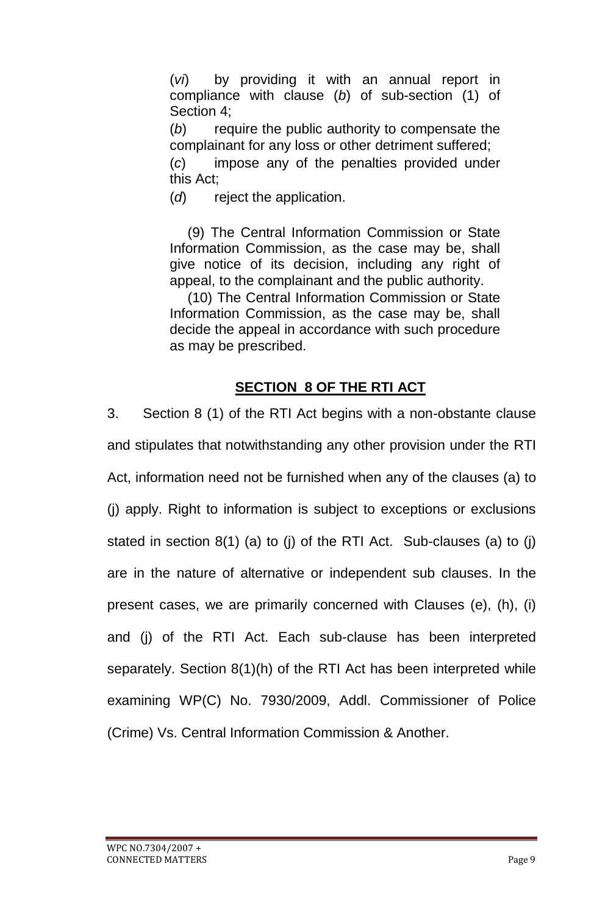(*vi*) by providing it with an annual report in compliance with clause (*b*) of sub-section (1) of Section 4;

(*b*) require the public authority to compensate the complainant for any loss or other detriment suffered;

(*c*) impose any of the penalties provided under this Act;

(*d*) reject the application.

(9) The Central Information Commission or State Information Commission, as the case may be, shall give notice of its decision, including any right of appeal, to the complainant and the public authority.

(10) The Central Information Commission or State Information Commission, as the case may be, shall decide the appeal in accordance with such procedure as may be prescribed.

# **SECTION 8 OF THE RTI ACT**

3. Section 8 (1) of the RTI Act begins with a non-obstante clause and stipulates that notwithstanding any other provision under the RTI Act, information need not be furnished when any of the clauses (a) to (j) apply. Right to information is subject to exceptions or exclusions stated in section 8(1) (a) to (j) of the RTI Act. Sub-clauses (a) to (j) are in the nature of alternative or independent sub clauses. In the present cases, we are primarily concerned with Clauses (e), (h), (i) and (j) of the RTI Act. Each sub-clause has been interpreted separately. Section 8(1)(h) of the RTI Act has been interpreted while examining WP(C) No. 7930/2009, Addl. Commissioner of Police (Crime) Vs. Central Information Commission & Another.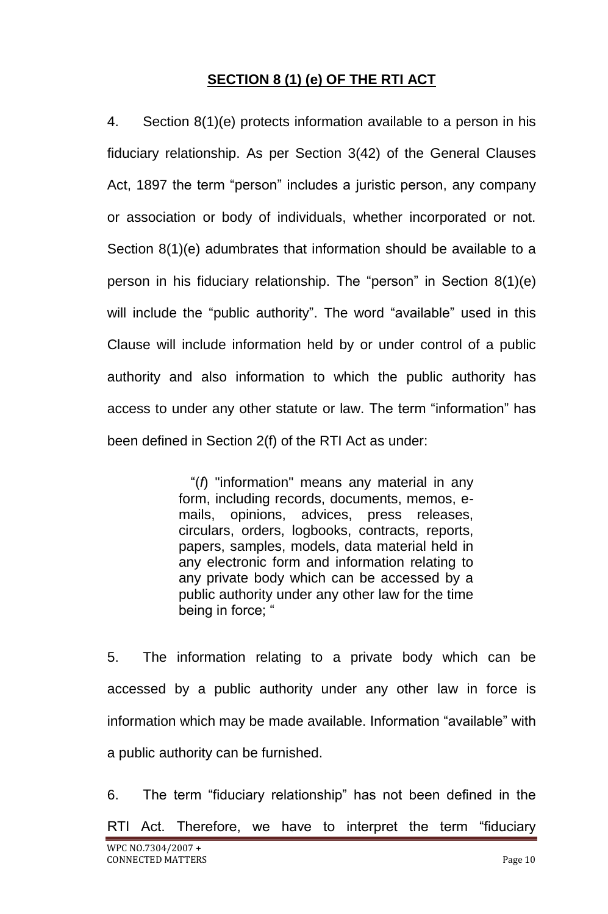# **SECTION 8 (1) (e) OF THE RTI ACT**

4. Section 8(1)(e) protects information available to a person in his fiduciary relationship. As per Section 3(42) of the General Clauses Act, 1897 the term "person" includes a juristic person, any company or association or body of individuals, whether incorporated or not. Section 8(1)(e) adumbrates that information should be available to a person in his fiduciary relationship. The "person" in Section  $8(1)(e)$ will include the "public authority". The word "available" used in this Clause will include information held by or under control of a public authority and also information to which the public authority has access to under any other statute or law. The term "information" has been defined in Section 2(f) of the RTI Act as under:

> ―(*f*) "information" means any material in any form, including records, documents, memos, emails, opinions, advices, press releases, circulars, orders, logbooks, contracts, reports, papers, samples, models, data material held in any electronic form and information relating to any private body which can be accessed by a public authority under any other law for the time being in force; "

5. The information relating to a private body which can be accessed by a public authority under any other law in force is information which may be made available. Information "available" with a public authority can be furnished.

WPC NO.7304/2007 + CONNECTED MATTERS **Page 10** 6. The term "fiduciary relationship" has not been defined in the RTI Act. Therefore, we have to interpret the term "fiduciary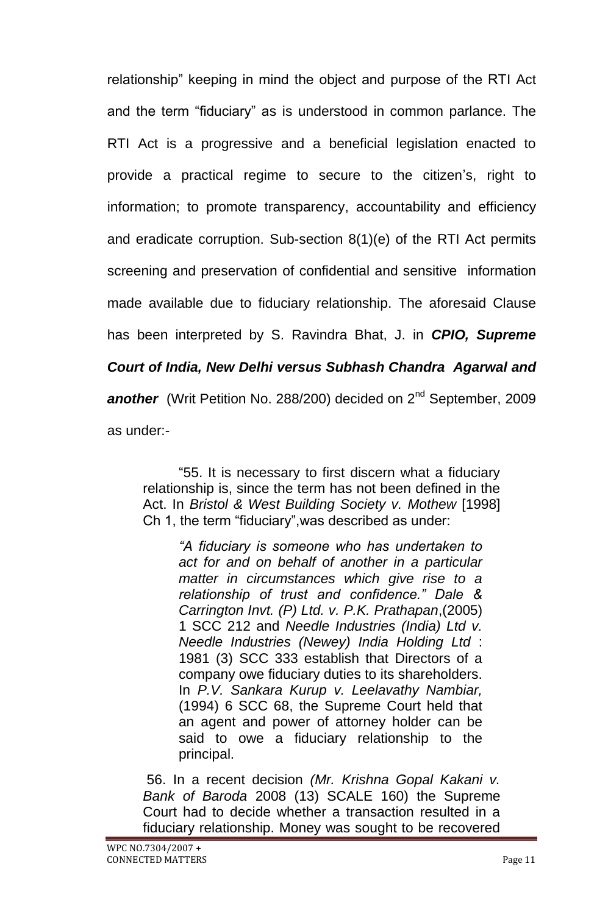relationship" keeping in mind the object and purpose of the RTI Act and the term "fiduciary" as is understood in common parlance. The RTI Act is a progressive and a beneficial legislation enacted to provide a practical regime to secure to the citizen's, right to information; to promote transparency, accountability and efficiency and eradicate corruption. Sub-section 8(1)(e) of the RTI Act permits screening and preservation of confidential and sensitive information made available due to fiduciary relationship. The aforesaid Clause has been interpreted by S. Ravindra Bhat, J. in *CPIO, Supreme Court of India, New Delhi versus Subhash Chandra Agarwal and*  another (Writ Petition No. 288/200) decided on 2<sup>nd</sup> September, 2009 as under:-

―55. It is necessary to first discern what a fiduciary relationship is, since the term has not been defined in the Act. In *Bristol & West Building Society v. Mothew* [1998] Ch 1, the term "fiduciary", was described as under:

*"A fiduciary is someone who has undertaken to act for and on behalf of another in a particular matter in circumstances which give rise to a relationship of trust and confidence." Dale & Carrington Invt. (P) Ltd. v. P.K. Prathapan*,(2005) 1 SCC 212 and *Needle Industries (India) Ltd v. Needle Industries (Newey) India Holding Ltd* : 1981 (3) SCC 333 establish that Directors of a company owe fiduciary duties to its shareholders. In *P.V. Sankara Kurup v. Leelavathy Nambiar,*  (1994) 6 SCC 68, the Supreme Court held that an agent and power of attorney holder can be said to owe a fiduciary relationship to the principal.

56. In a recent decision *(Mr. Krishna Gopal Kakani v. Bank of Baroda* 2008 (13) SCALE 160) the Supreme Court had to decide whether a transaction resulted in a fiduciary relationship. Money was sought to be recovered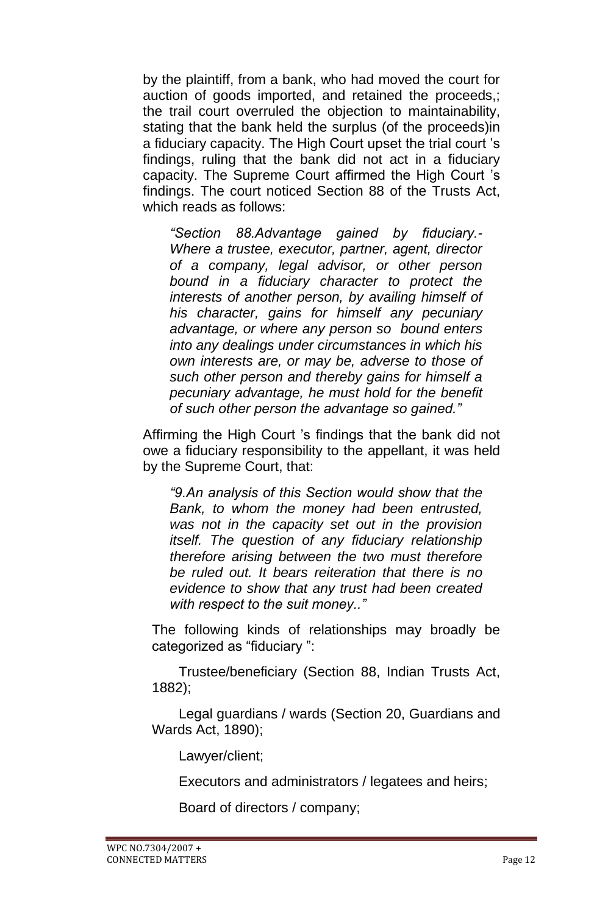by the plaintiff, from a bank, who had moved the court for auction of goods imported, and retained the proceeds,; the trail court overruled the objection to maintainability, stating that the bank held the surplus (of the proceeds)in a fiduciary capacity. The High Court upset the trial court 's findings, ruling that the bank did not act in a fiduciary capacity. The Supreme Court affirmed the High Court 's findings. The court noticed Section 88 of the Trusts Act, which reads as follows:

*"Section 88.Advantage gained by fiduciary.- Where a trustee, executor, partner, agent, director of a company, legal advisor, or other person bound in a fiduciary character to protect the interests of another person, by availing himself of his character, gains for himself any pecuniary advantage, or where any person so bound enters into any dealings under circumstances in which his own interests are, or may be, adverse to those of such other person and thereby gains for himself a pecuniary advantage, he must hold for the benefit of such other person the advantage so gained."*

Affirming the High Court 's findings that the bank did not owe a fiduciary responsibility to the appellant, it was held by the Supreme Court, that:

*"9.An analysis of this Section would show that the Bank, to whom the money had been entrusted, was not in the capacity set out in the provision itself. The question of any fiduciary relationship therefore arising between the two must therefore be ruled out. It bears reiteration that there is no evidence to show that any trust had been created with respect to the suit money.."*

The following kinds of relationships may broadly be categorized as "fiduciary":

Trustee/beneficiary (Section 88, Indian Trusts Act, 1882);

Legal guardians / wards (Section 20, Guardians and Wards Act, 1890);

Lawyer/client;

Executors and administrators / legatees and heirs;

Board of directors / company;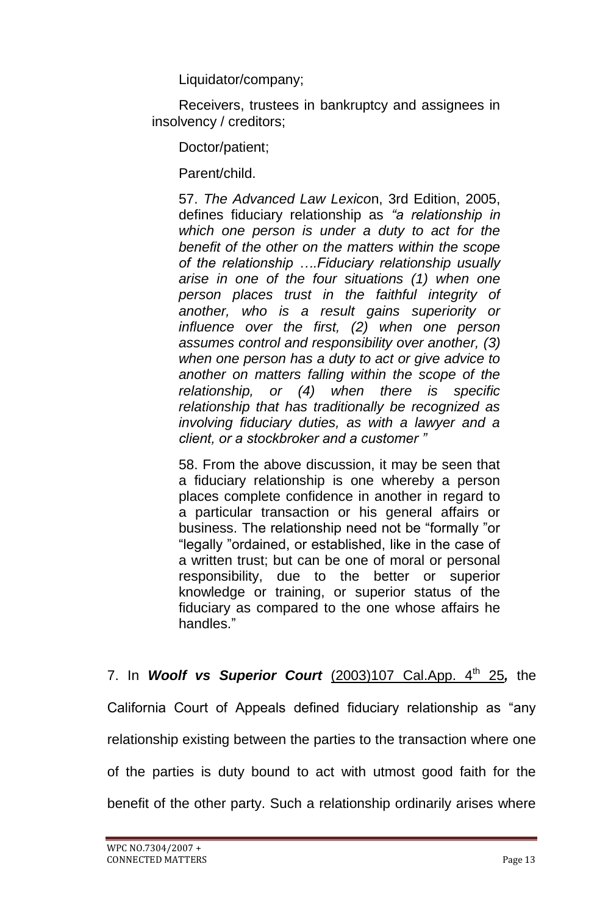Liquidator/company;

Receivers, trustees in bankruptcy and assignees in insolvency / creditors;

Doctor/patient;

Parent/child.

57. *The Advanced Law Lexico*n, 3rd Edition, 2005, defines fiduciary relationship as *"a relationship in which one person is under a duty to act for the benefit of the other on the matters within the scope of the relationship ….Fiduciary relationship usually arise in one of the four situations (1) when one person places trust in the faithful integrity of another, who is a result gains superiority or influence over the first, (2) when one person assumes control and responsibility over another, (3) when one person has a duty to act or give advice to another on matters falling within the scope of the relationship, or (4) when there is specific relationship that has traditionally be recognized as involving fiduciary duties, as with a lawyer and a client, or a stockbroker and a customer "*

58. From the above discussion, it may be seen that a fiduciary relationship is one whereby a person places complete confidence in another in regard to a particular transaction or his general affairs or business. The relationship need not be "formally "or "legally "ordained, or established, like in the case of a written trust; but can be one of moral or personal responsibility, due to the better or superior knowledge or training, or superior status of the fiduciary as compared to the one whose affairs he handles."

7. In Woolf vs Superior Court (2003)107 Cal.App. 4<sup>th</sup> 25, the

California Court of Appeals defined fiduciary relationship as "any relationship existing between the parties to the transaction where one of the parties is duty bound to act with utmost good faith for the benefit of the other party. Such a relationship ordinarily arises where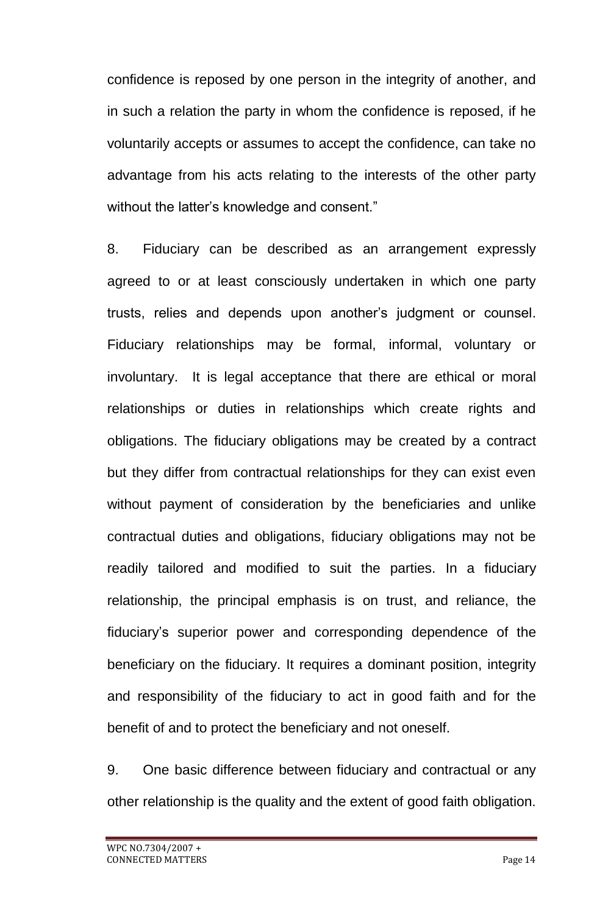confidence is reposed by one person in the integrity of another, and in such a relation the party in whom the confidence is reposed, if he voluntarily accepts or assumes to accept the confidence, can take no advantage from his acts relating to the interests of the other party without the latter's knowledge and consent."

8. Fiduciary can be described as an arrangement expressly agreed to or at least consciously undertaken in which one party trusts, relies and depends upon another's judgment or counsel. Fiduciary relationships may be formal, informal, voluntary or involuntary. It is legal acceptance that there are ethical or moral relationships or duties in relationships which create rights and obligations. The fiduciary obligations may be created by a contract but they differ from contractual relationships for they can exist even without payment of consideration by the beneficiaries and unlike contractual duties and obligations, fiduciary obligations may not be readily tailored and modified to suit the parties. In a fiduciary relationship, the principal emphasis is on trust, and reliance, the fiduciary's superior power and corresponding dependence of the beneficiary on the fiduciary. It requires a dominant position, integrity and responsibility of the fiduciary to act in good faith and for the benefit of and to protect the beneficiary and not oneself.

9. One basic difference between fiduciary and contractual or any other relationship is the quality and the extent of good faith obligation.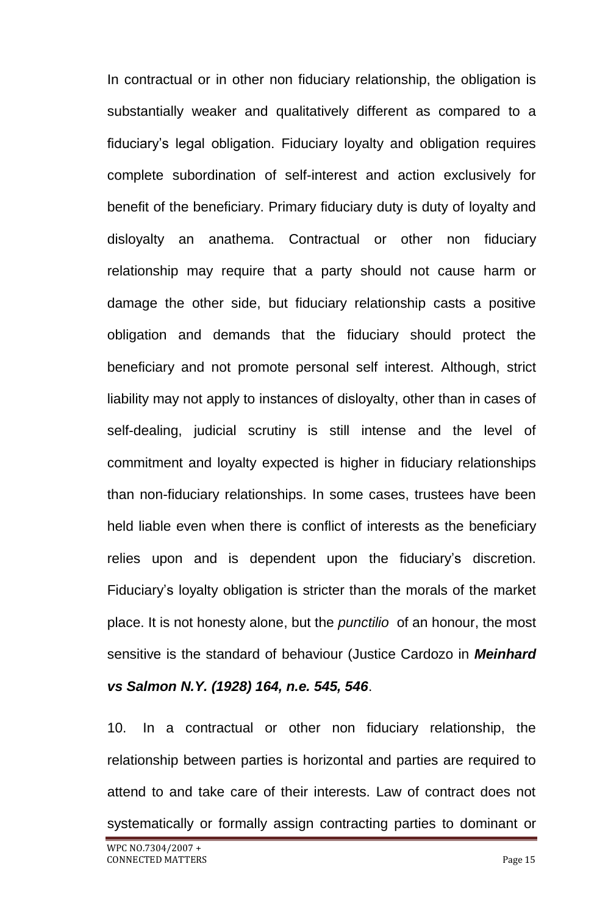In contractual or in other non fiduciary relationship, the obligation is substantially weaker and qualitatively different as compared to a fiduciary's legal obligation. Fiduciary loyalty and obligation requires complete subordination of self-interest and action exclusively for benefit of the beneficiary. Primary fiduciary duty is duty of loyalty and disloyalty an anathema. Contractual or other non fiduciary relationship may require that a party should not cause harm or damage the other side, but fiduciary relationship casts a positive obligation and demands that the fiduciary should protect the beneficiary and not promote personal self interest. Although, strict liability may not apply to instances of disloyalty, other than in cases of self-dealing, judicial scrutiny is still intense and the level of commitment and loyalty expected is higher in fiduciary relationships than non-fiduciary relationships. In some cases, trustees have been held liable even when there is conflict of interests as the beneficiary relies upon and is dependent upon the fiduciary's discretion. Fiduciary's loyalty obligation is stricter than the morals of the market place. It is not honesty alone, but the *punctilio* of an honour, the most sensitive is the standard of behaviour (Justice Cardozo in *Meinhard vs Salmon N.Y. (1928) 164, n.e. 545, 546*.

10. In a contractual or other non fiduciary relationship, the relationship between parties is horizontal and parties are required to attend to and take care of their interests. Law of contract does not systematically or formally assign contracting parties to dominant or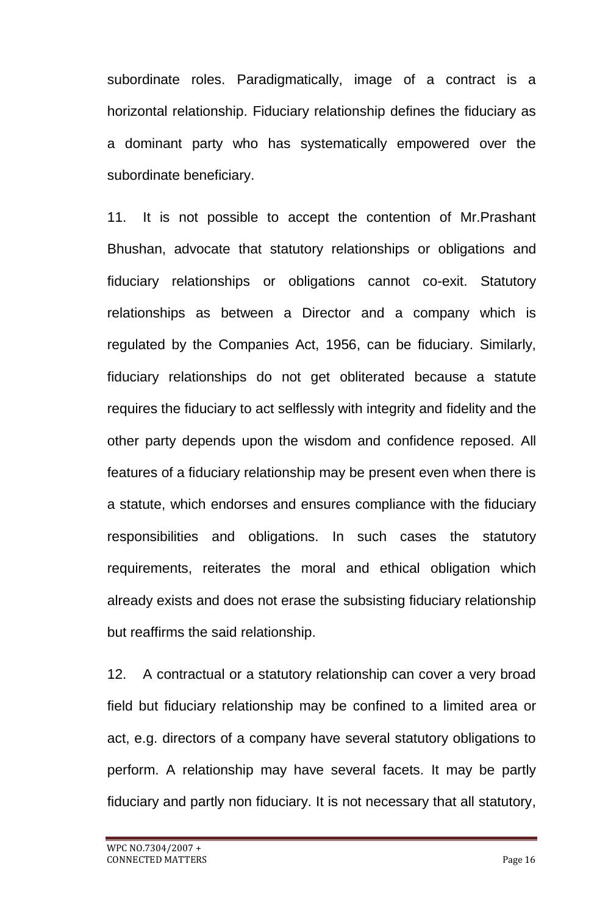subordinate roles. Paradigmatically, image of a contract is a horizontal relationship. Fiduciary relationship defines the fiduciary as a dominant party who has systematically empowered over the subordinate beneficiary.

11. It is not possible to accept the contention of Mr.Prashant Bhushan, advocate that statutory relationships or obligations and fiduciary relationships or obligations cannot co-exit. Statutory relationships as between a Director and a company which is regulated by the Companies Act, 1956, can be fiduciary. Similarly, fiduciary relationships do not get obliterated because a statute requires the fiduciary to act selflessly with integrity and fidelity and the other party depends upon the wisdom and confidence reposed. All features of a fiduciary relationship may be present even when there is a statute, which endorses and ensures compliance with the fiduciary responsibilities and obligations. In such cases the statutory requirements, reiterates the moral and ethical obligation which already exists and does not erase the subsisting fiduciary relationship but reaffirms the said relationship.

12. A contractual or a statutory relationship can cover a very broad field but fiduciary relationship may be confined to a limited area or act, e.g. directors of a company have several statutory obligations to perform. A relationship may have several facets. It may be partly fiduciary and partly non fiduciary. It is not necessary that all statutory,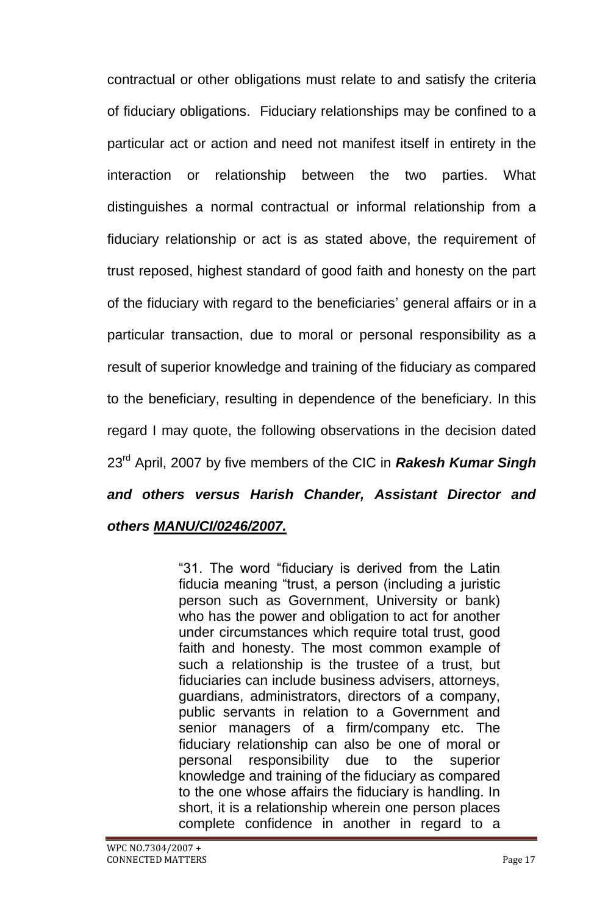contractual or other obligations must relate to and satisfy the criteria of fiduciary obligations. Fiduciary relationships may be confined to a particular act or action and need not manifest itself in entirety in the interaction or relationship between the two parties. What distinguishes a normal contractual or informal relationship from a fiduciary relationship or act is as stated above, the requirement of trust reposed, highest standard of good faith and honesty on the part of the fiduciary with regard to the beneficiaries' general affairs or in a particular transaction, due to moral or personal responsibility as a result of superior knowledge and training of the fiduciary as compared to the beneficiary, resulting in dependence of the beneficiary. In this regard I may quote, the following observations in the decision dated 23rd April, 2007 by five members of the CIC in *Rakesh Kumar Singh and others versus Harish Chander, Assistant Director and others MANU/CI/0246/2007.*

> "31. The word "fiduciary is derived from the Latin fiducia meaning "trust, a person (including a juristic person such as Government, University or bank) who has the power and obligation to act for another under circumstances which require total trust, good faith and honesty. The most common example of such a relationship is the trustee of a trust, but fiduciaries can include business advisers, attorneys, guardians, administrators, directors of a company, public servants in relation to a Government and senior managers of a firm/company etc. The fiduciary relationship can also be one of moral or personal responsibility due to the superior knowledge and training of the fiduciary as compared to the one whose affairs the fiduciary is handling. In short, it is a relationship wherein one person places complete confidence in another in regard to a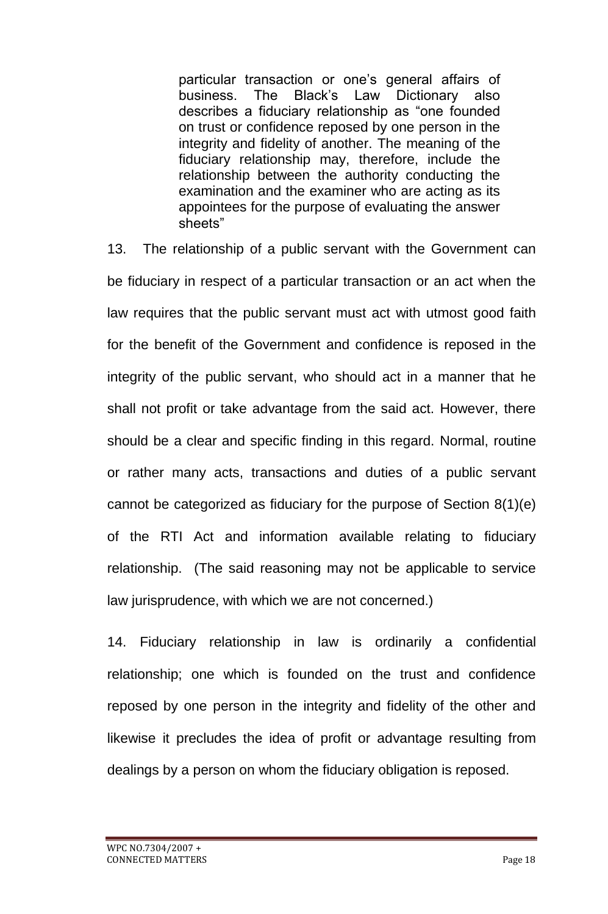particular transaction or one's general affairs of business. The Black's Law Dictionary also describes a fiduciary relationship as "one founded on trust or confidence reposed by one person in the integrity and fidelity of another. The meaning of the fiduciary relationship may, therefore, include the relationship between the authority conducting the examination and the examiner who are acting as its appointees for the purpose of evaluating the answer sheets"

13. The relationship of a public servant with the Government can be fiduciary in respect of a particular transaction or an act when the law requires that the public servant must act with utmost good faith for the benefit of the Government and confidence is reposed in the integrity of the public servant, who should act in a manner that he shall not profit or take advantage from the said act. However, there should be a clear and specific finding in this regard. Normal, routine or rather many acts, transactions and duties of a public servant cannot be categorized as fiduciary for the purpose of Section 8(1)(e) of the RTI Act and information available relating to fiduciary relationship. (The said reasoning may not be applicable to service law jurisprudence, with which we are not concerned.)

14. Fiduciary relationship in law is ordinarily a confidential relationship; one which is founded on the trust and confidence reposed by one person in the integrity and fidelity of the other and likewise it precludes the idea of profit or advantage resulting from dealings by a person on whom the fiduciary obligation is reposed.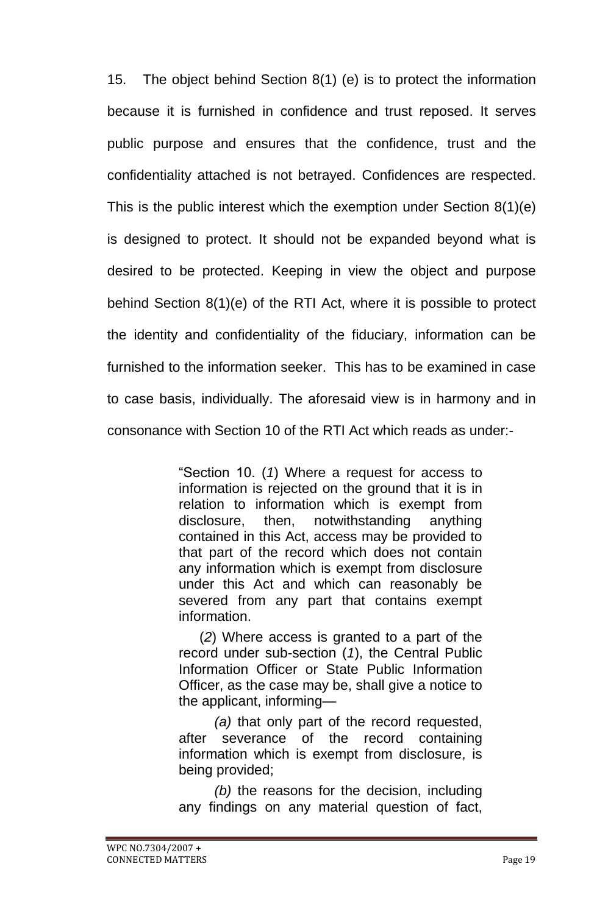15. The object behind Section 8(1) (e) is to protect the information because it is furnished in confidence and trust reposed. It serves public purpose and ensures that the confidence, trust and the confidentiality attached is not betrayed. Confidences are respected. This is the public interest which the exemption under Section 8(1)(e) is designed to protect. It should not be expanded beyond what is desired to be protected. Keeping in view the object and purpose behind Section 8(1)(e) of the RTI Act, where it is possible to protect the identity and confidentiality of the fiduciary, information can be furnished to the information seeker. This has to be examined in case to case basis, individually. The aforesaid view is in harmony and in consonance with Section 10 of the RTI Act which reads as under:-

> ―Section 10. (*1*) Where a request for access to information is rejected on the ground that it is in relation to information which is exempt from disclosure, then, notwithstanding anything contained in this Act, access may be provided to that part of the record which does not contain any information which is exempt from disclosure under this Act and which can reasonably be severed from any part that contains exempt information.

> (*2*) Where access is granted to a part of the record under sub-section (*1*), the Central Public Information Officer or State Public Information Officer, as the case may be, shall give a notice to the applicant, informing—

> *(a)* that only part of the record requested, after severance of the record containing information which is exempt from disclosure, is being provided;

> *(b)* the reasons for the decision, including any findings on any material question of fact,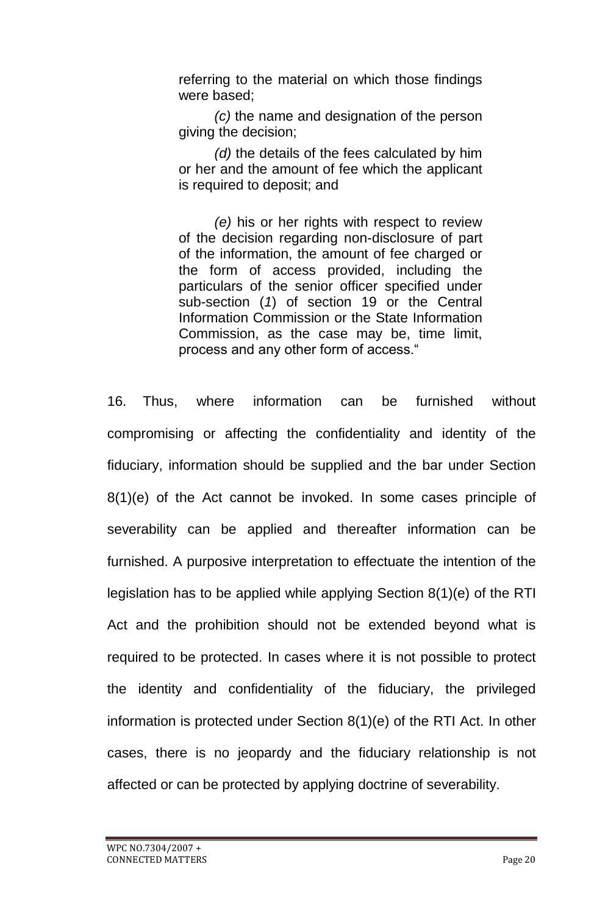referring to the material on which those findings were based;

*(c)* the name and designation of the person giving the decision;

*(d)* the details of the fees calculated by him or her and the amount of fee which the applicant is required to deposit; and

*(e)* his or her rights with respect to review of the decision regarding non-disclosure of part of the information, the amount of fee charged or the form of access provided, including the particulars of the senior officer specified under sub-section (*1*) of section 19 or the Central Information Commission or the State Information Commission, as the case may be, time limit, process and any other form of access."

16. Thus, where information can be furnished without compromising or affecting the confidentiality and identity of the fiduciary, information should be supplied and the bar under Section 8(1)(e) of the Act cannot be invoked. In some cases principle of severability can be applied and thereafter information can be furnished. A purposive interpretation to effectuate the intention of the legislation has to be applied while applying Section 8(1)(e) of the RTI Act and the prohibition should not be extended beyond what is required to be protected. In cases where it is not possible to protect the identity and confidentiality of the fiduciary, the privileged information is protected under Section 8(1)(e) of the RTI Act. In other cases, there is no jeopardy and the fiduciary relationship is not affected or can be protected by applying doctrine of severability.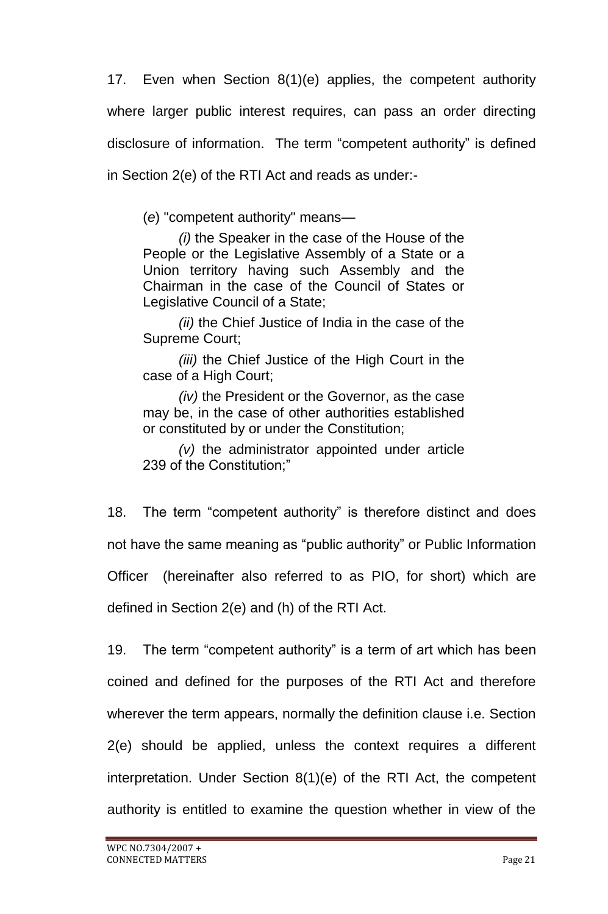17. Even when Section 8(1)(e) applies, the competent authority where larger public interest requires, can pass an order directing disclosure of information. The term "competent authority" is defined in Section 2(e) of the RTI Act and reads as under:-

(*e*) "competent authority" means—

*(i)* the Speaker in the case of the House of the People or the Legislative Assembly of a State or a Union territory having such Assembly and the Chairman in the case of the Council of States or Legislative Council of a State:

*(ii)* the Chief Justice of India in the case of the Supreme Court;

*(iii)* the Chief Justice of the High Court in the case of a High Court;

*(iv)* the President or the Governor, as the case may be, in the case of other authorities established or constituted by or under the Constitution;

*(v)* the administrator appointed under article 239 of the Constitution:"

18. The term "competent authority" is therefore distinct and does not have the same meaning as "public authority" or Public Information Officer (hereinafter also referred to as PIO, for short) which are defined in Section 2(e) and (h) of the RTI Act.

19. The term "competent authority" is a term of art which has been coined and defined for the purposes of the RTI Act and therefore wherever the term appears, normally the definition clause i.e. Section 2(e) should be applied, unless the context requires a different interpretation. Under Section 8(1)(e) of the RTI Act, the competent authority is entitled to examine the question whether in view of the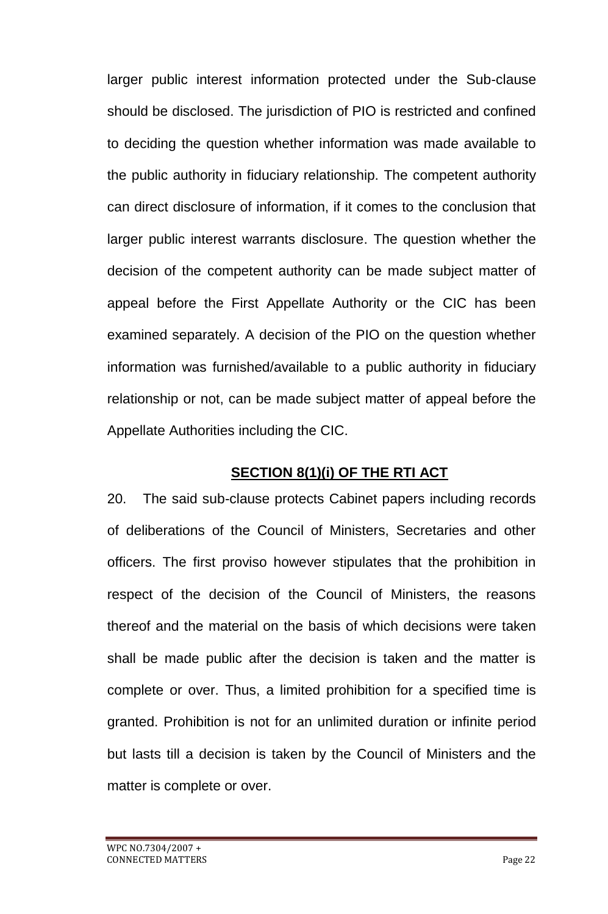larger public interest information protected under the Sub-clause should be disclosed. The jurisdiction of PIO is restricted and confined to deciding the question whether information was made available to the public authority in fiduciary relationship. The competent authority can direct disclosure of information, if it comes to the conclusion that larger public interest warrants disclosure. The question whether the decision of the competent authority can be made subject matter of appeal before the First Appellate Authority or the CIC has been examined separately. A decision of the PIO on the question whether information was furnished/available to a public authority in fiduciary relationship or not, can be made subject matter of appeal before the Appellate Authorities including the CIC.

### **SECTION 8(1)(i) OF THE RTI ACT**

20. The said sub-clause protects Cabinet papers including records of deliberations of the Council of Ministers, Secretaries and other officers. The first proviso however stipulates that the prohibition in respect of the decision of the Council of Ministers, the reasons thereof and the material on the basis of which decisions were taken shall be made public after the decision is taken and the matter is complete or over. Thus, a limited prohibition for a specified time is granted. Prohibition is not for an unlimited duration or infinite period but lasts till a decision is taken by the Council of Ministers and the matter is complete or over.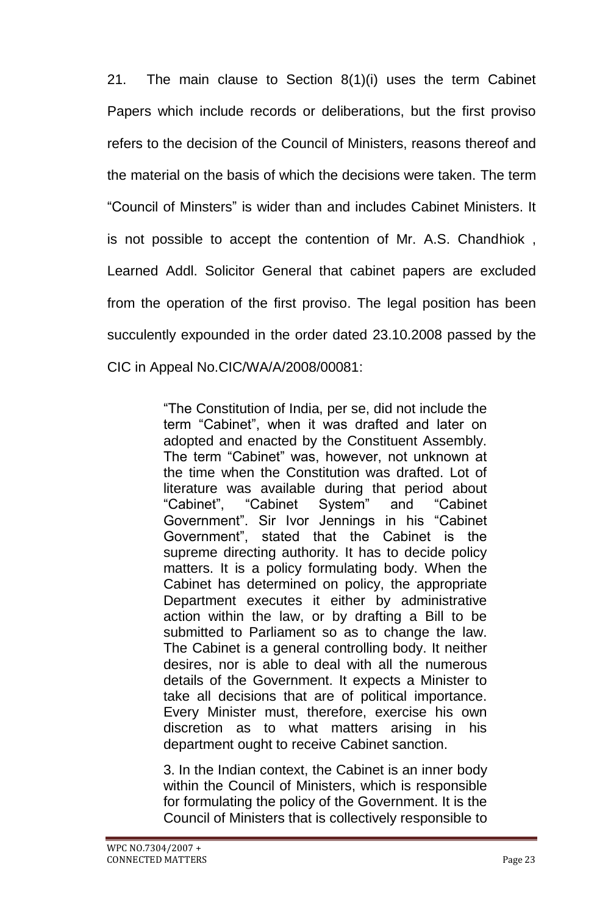21. The main clause to Section 8(1)(i) uses the term Cabinet Papers which include records or deliberations, but the first proviso refers to the decision of the Council of Ministers, reasons thereof and the material on the basis of which the decisions were taken. The term ―Council of Minsters‖ is wider than and includes Cabinet Ministers. It is not possible to accept the contention of Mr. A.S. Chandhiok , Learned Addl. Solicitor General that cabinet papers are excluded from the operation of the first proviso. The legal position has been succulently expounded in the order dated 23.10.2008 passed by the CIC in Appeal No.CIC/WA/A/2008/00081:

> ―The Constitution of India, per se, did not include the term "Cabinet", when it was drafted and later on adopted and enacted by the Constituent Assembly. The term "Cabinet" was, however, not unknown at the time when the Constitution was drafted. Lot of literature was available during that period about "Cabinet", "Cabinet System" and "Cabinet Government". Sir Ivor Jennings in his "Cabinet". Government", stated that the Cabinet is the supreme directing authority. It has to decide policy matters. It is a policy formulating body. When the Cabinet has determined on policy, the appropriate Department executes it either by administrative action within the law, or by drafting a Bill to be submitted to Parliament so as to change the law. The Cabinet is a general controlling body. It neither desires, nor is able to deal with all the numerous details of the Government. It expects a Minister to take all decisions that are of political importance. Every Minister must, therefore, exercise his own discretion as to what matters arising in his department ought to receive Cabinet sanction.

> 3. In the Indian context, the Cabinet is an inner body within the Council of Ministers, which is responsible for formulating the policy of the Government. It is the Council of Ministers that is collectively responsible to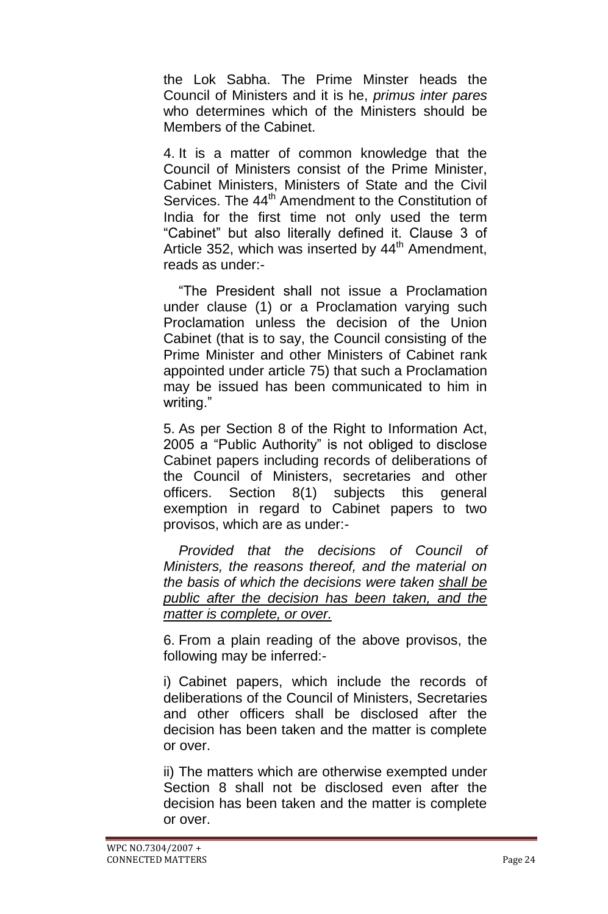the Lok Sabha. The Prime Minster heads the Council of Ministers and it is he, *primus inter pares*  who determines which of the Ministers should be Members of the Cabinet.

4. It is a matter of common knowledge that the Council of Ministers consist of the Prime Minister, Cabinet Ministers, Ministers of State and the Civil Services. The 44<sup>th</sup> Amendment to the Constitution of India for the first time not only used the term ―Cabinet‖ but also literally defined it. Clause 3 of Article 352, which was inserted by  $44<sup>th</sup>$  Amendment, reads as under:-

―The President shall not issue a Proclamation under clause (1) or a Proclamation varying such Proclamation unless the decision of the Union Cabinet (that is to say, the Council consisting of the Prime Minister and other Ministers of Cabinet rank appointed under article 75) that such a Proclamation may be issued has been communicated to him in writing."

5. As per Section 8 of the Right to Information Act, 2005 a "Public Authority" is not obliged to disclose Cabinet papers including records of deliberations of the Council of Ministers, secretaries and other officers. Section 8(1) subjects this general exemption in regard to Cabinet papers to two provisos, which are as under:-

*Provided that the decisions of Council of Ministers, the reasons thereof, and the material on the basis of which the decisions were taken shall be public after the decision has been taken, and the matter is complete, or over.*

6. From a plain reading of the above provisos, the following may be inferred:-

i) Cabinet papers, which include the records of deliberations of the Council of Ministers, Secretaries and other officers shall be disclosed after the decision has been taken and the matter is complete or over.

ii) The matters which are otherwise exempted under Section 8 shall not be disclosed even after the decision has been taken and the matter is complete or over.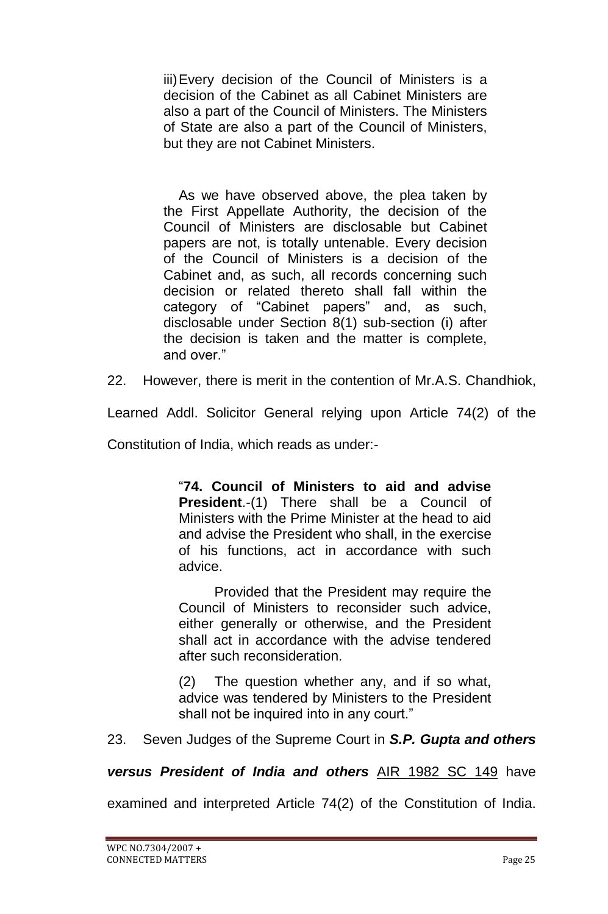iii)Every decision of the Council of Ministers is a decision of the Cabinet as all Cabinet Ministers are also a part of the Council of Ministers. The Ministers of State are also a part of the Council of Ministers, but they are not Cabinet Ministers.

As we have observed above, the plea taken by the First Appellate Authority, the decision of the Council of Ministers are disclosable but Cabinet papers are not, is totally untenable. Every decision of the Council of Ministers is a decision of the Cabinet and, as such, all records concerning such decision or related thereto shall fall within the category of "Cabinet papers" and, as such, disclosable under Section 8(1) sub-section (i) after the decision is taken and the matter is complete, and over."

22. However, there is merit in the contention of Mr.A.S. Chandhiok,

Learned Addl. Solicitor General relying upon Article 74(2) of the

Constitution of India, which reads as under:-

―**74. Council of Ministers to aid and advise President**.-(1) There shall be a Council of Ministers with the Prime Minister at the head to aid and advise the President who shall, in the exercise of his functions, act in accordance with such advice.

Provided that the President may require the Council of Ministers to reconsider such advice, either generally or otherwise, and the President shall act in accordance with the advise tendered after such reconsideration.

(2) The question whether any, and if so what, advice was tendered by Ministers to the President shall not be inquired into in any court."

23. Seven Judges of the Supreme Court in *S.P. Gupta and others* 

*versus President of India and others* AIR 1982 SC 149 have

examined and interpreted Article 74(2) of the Constitution of India.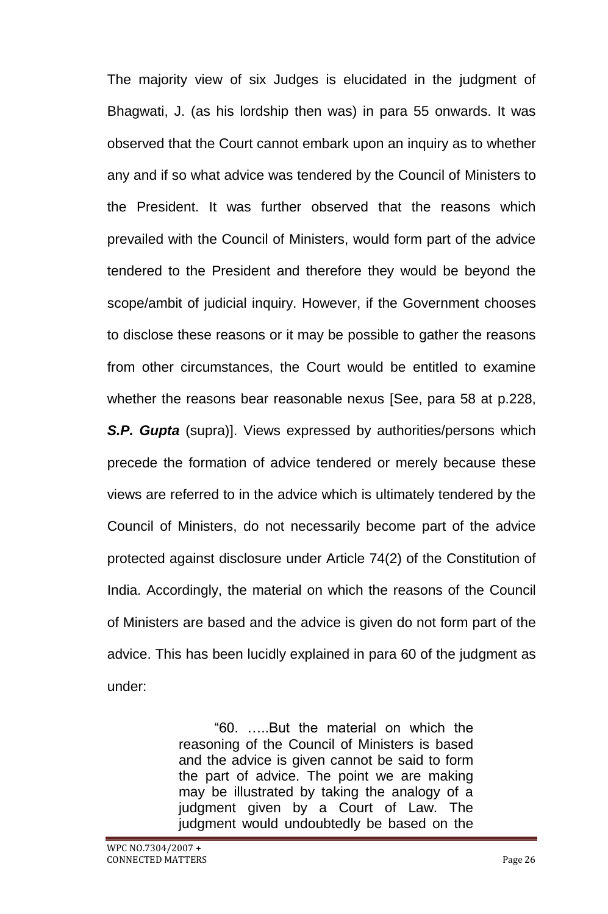The majority view of six Judges is elucidated in the judgment of Bhagwati, J. (as his lordship then was) in para 55 onwards. It was observed that the Court cannot embark upon an inquiry as to whether any and if so what advice was tendered by the Council of Ministers to the President. It was further observed that the reasons which prevailed with the Council of Ministers, would form part of the advice tendered to the President and therefore they would be beyond the scope/ambit of judicial inquiry. However, if the Government chooses to disclose these reasons or it may be possible to gather the reasons from other circumstances, the Court would be entitled to examine whether the reasons bear reasonable nexus [See, para 58 at p.228, **S.P. Gupta** (supra)]. Views expressed by authorities/persons which precede the formation of advice tendered or merely because these views are referred to in the advice which is ultimately tendered by the Council of Ministers, do not necessarily become part of the advice protected against disclosure under Article 74(2) of the Constitution of India. Accordingly, the material on which the reasons of the Council of Ministers are based and the advice is given do not form part of the advice. This has been lucidly explained in para 60 of the judgment as under:

> ―60. …..But the material on which the reasoning of the Council of Ministers is based and the advice is given cannot be said to form the part of advice. The point we are making may be illustrated by taking the analogy of a judgment given by a Court of Law. The judgment would undoubtedly be based on the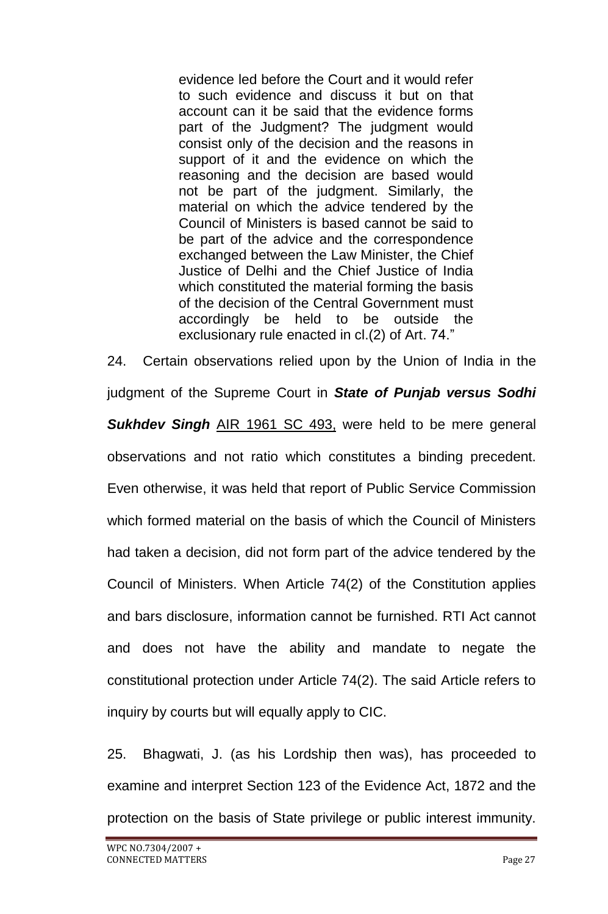evidence led before the Court and it would refer to such evidence and discuss it but on that account can it be said that the evidence forms part of the Judgment? The judgment would consist only of the decision and the reasons in support of it and the evidence on which the reasoning and the decision are based would not be part of the judgment. Similarly, the material on which the advice tendered by the Council of Ministers is based cannot be said to be part of the advice and the correspondence exchanged between the Law Minister, the Chief Justice of Delhi and the Chief Justice of India which constituted the material forming the basis of the decision of the Central Government must accordingly be held to be outside the exclusionary rule enacted in cl.(2) of Art. 74."

24. Certain observations relied upon by the Union of India in the judgment of the Supreme Court in *State of Punjab versus Sodhi*  **Sukhdev Singh AIR 1961 SC 493, were held to be mere general** observations and not ratio which constitutes a binding precedent. Even otherwise, it was held that report of Public Service Commission which formed material on the basis of which the Council of Ministers had taken a decision, did not form part of the advice tendered by the Council of Ministers. When Article 74(2) of the Constitution applies and bars disclosure, information cannot be furnished. RTI Act cannot and does not have the ability and mandate to negate the constitutional protection under Article 74(2). The said Article refers to inquiry by courts but will equally apply to CIC.

25. Bhagwati, J. (as his Lordship then was), has proceeded to examine and interpret Section 123 of the Evidence Act, 1872 and the protection on the basis of State privilege or public interest immunity.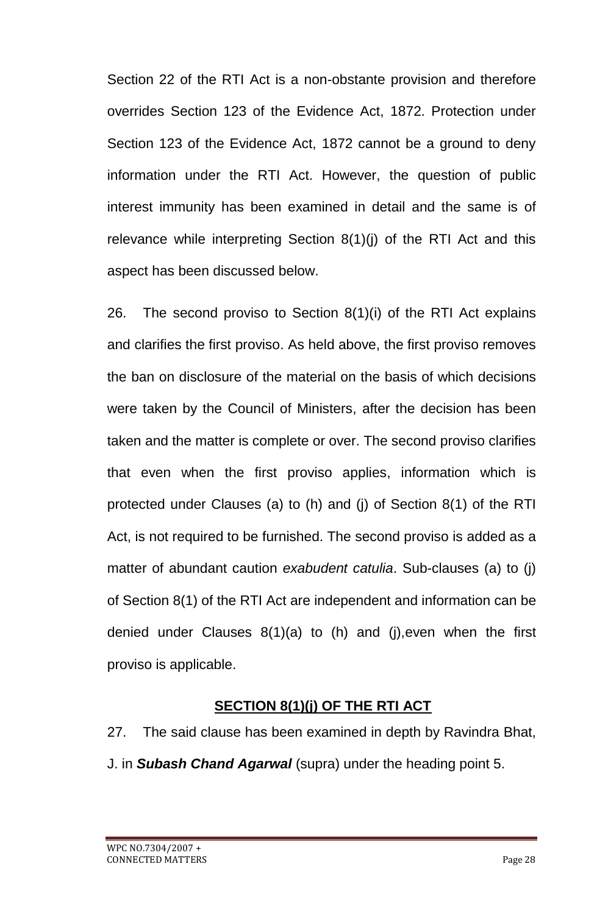Section 22 of the RTI Act is a non-obstante provision and therefore overrides Section 123 of the Evidence Act, 1872. Protection under Section 123 of the Evidence Act, 1872 cannot be a ground to deny information under the RTI Act. However, the question of public interest immunity has been examined in detail and the same is of relevance while interpreting Section 8(1)(j) of the RTI Act and this aspect has been discussed below.

26. The second proviso to Section 8(1)(i) of the RTI Act explains and clarifies the first proviso. As held above, the first proviso removes the ban on disclosure of the material on the basis of which decisions were taken by the Council of Ministers, after the decision has been taken and the matter is complete or over. The second proviso clarifies that even when the first proviso applies, information which is protected under Clauses (a) to (h) and (j) of Section 8(1) of the RTI Act, is not required to be furnished. The second proviso is added as a matter of abundant caution *exabudent catulia*. Sub-clauses (a) to (j) of Section 8(1) of the RTI Act are independent and information can be denied under Clauses 8(1)(a) to (h) and (j),even when the first proviso is applicable.

### **SECTION 8(1)(j) OF THE RTI ACT**

27. The said clause has been examined in depth by Ravindra Bhat, J. in *Subash Chand Agarwal* (supra) under the heading point 5.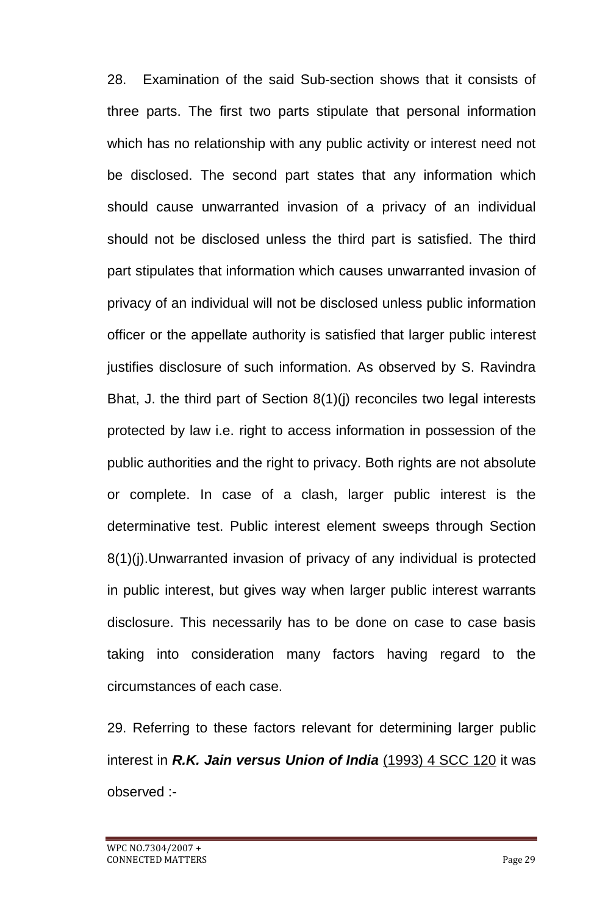28. Examination of the said Sub-section shows that it consists of three parts. The first two parts stipulate that personal information which has no relationship with any public activity or interest need not be disclosed. The second part states that any information which should cause unwarranted invasion of a privacy of an individual should not be disclosed unless the third part is satisfied. The third part stipulates that information which causes unwarranted invasion of privacy of an individual will not be disclosed unless public information officer or the appellate authority is satisfied that larger public interest justifies disclosure of such information. As observed by S. Ravindra Bhat, J. the third part of Section 8(1)(j) reconciles two legal interests protected by law i.e. right to access information in possession of the public authorities and the right to privacy. Both rights are not absolute or complete. In case of a clash, larger public interest is the determinative test. Public interest element sweeps through Section 8(1)(j).Unwarranted invasion of privacy of any individual is protected in public interest, but gives way when larger public interest warrants disclosure. This necessarily has to be done on case to case basis taking into consideration many factors having regard to the circumstances of each case.

29. Referring to these factors relevant for determining larger public interest in *R.K. Jain versus Union of India* (1993) 4 SCC 120 it was observed :-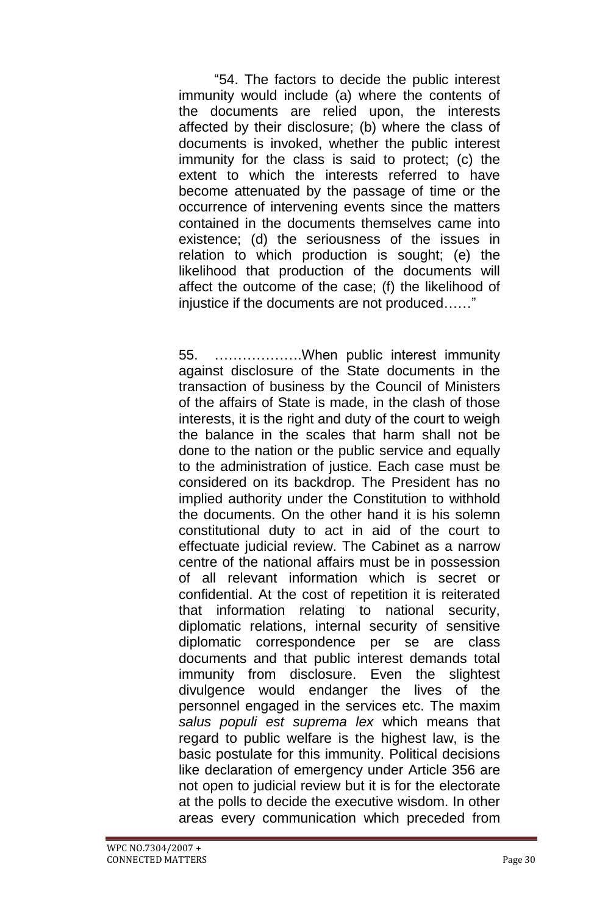―54. The factors to decide the public interest immunity would include (a) where the contents of the documents are relied upon, the interests affected by their disclosure; (b) where the class of documents is invoked, whether the public interest immunity for the class is said to protect; (c) the extent to which the interests referred to have become attenuated by the passage of time or the occurrence of intervening events since the matters contained in the documents themselves came into existence; (d) the seriousness of the issues in relation to which production is sought; (e) the likelihood that production of the documents will affect the outcome of the case; (f) the likelihood of injustice if the documents are not produced......"

55. ……………….When public interest immunity against disclosure of the State documents in the transaction of business by the Council of Ministers of the affairs of State is made, in the clash of those interests, it is the right and duty of the court to weigh the balance in the scales that harm shall not be done to the nation or the public service and equally to the administration of justice. Each case must be considered on its backdrop. The President has no implied authority under the Constitution to withhold the documents. On the other hand it is his solemn constitutional duty to act in aid of the court to effectuate judicial review. The Cabinet as a narrow centre of the national affairs must be in possession of all relevant information which is secret or confidential. At the cost of repetition it is reiterated that information relating to national security, diplomatic relations, internal security of sensitive diplomatic correspondence per se are class documents and that public interest demands total immunity from disclosure. Even the slightest divulgence would endanger the lives of the personnel engaged in the services etc. The maxim *salus populi est suprema lex* which means that regard to public welfare is the highest law, is the basic postulate for this immunity. Political decisions like declaration of emergency under Article 356 are not open to judicial review but it is for the electorate at the polls to decide the executive wisdom. In other areas every communication which preceded from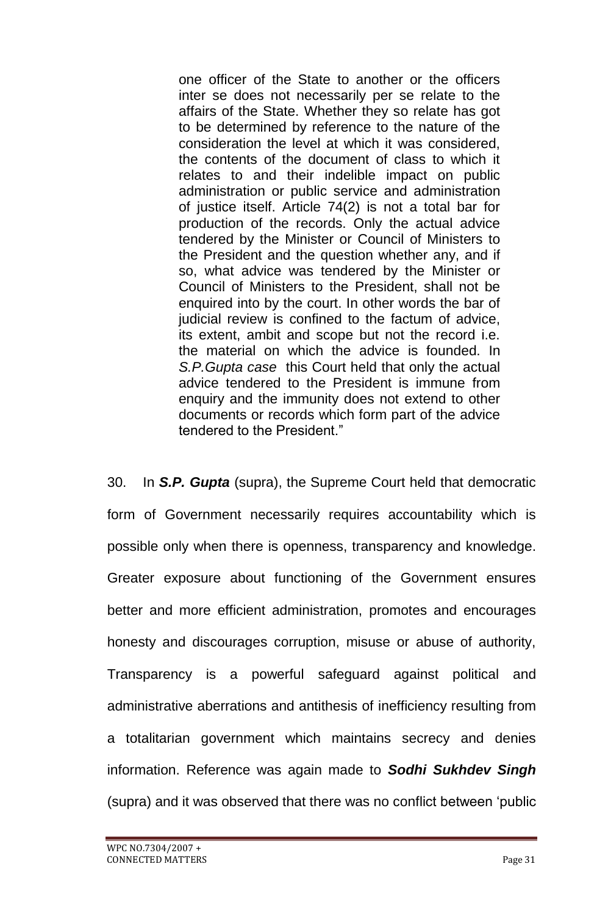one officer of the State to another or the officers inter se does not necessarily per se relate to the affairs of the State. Whether they so relate has got to be determined by reference to the nature of the consideration the level at which it was considered, the contents of the document of class to which it relates to and their indelible impact on public administration or public service and administration of justice itself. Article 74(2) is not a total bar for production of the records. Only the actual advice tendered by the Minister or Council of Ministers to the President and the question whether any, and if so, what advice was tendered by the Minister or Council of Ministers to the President, shall not be enquired into by the court. In other words the bar of judicial review is confined to the factum of advice, its extent, ambit and scope but not the record i.e. the material on which the advice is founded. In *S.P.Gupta case* this Court held that only the actual advice tendered to the President is immune from enquiry and the immunity does not extend to other documents or records which form part of the advice tendered to the President."

30. In *S.P. Gupta* (supra), the Supreme Court held that democratic form of Government necessarily requires accountability which is possible only when there is openness, transparency and knowledge. Greater exposure about functioning of the Government ensures better and more efficient administration, promotes and encourages honesty and discourages corruption, misuse or abuse of authority, Transparency is a powerful safeguard against political and administrative aberrations and antithesis of inefficiency resulting from a totalitarian government which maintains secrecy and denies information. Reference was again made to *Sodhi Sukhdev Singh*  (supra) and it was observed that there was no conflict between 'public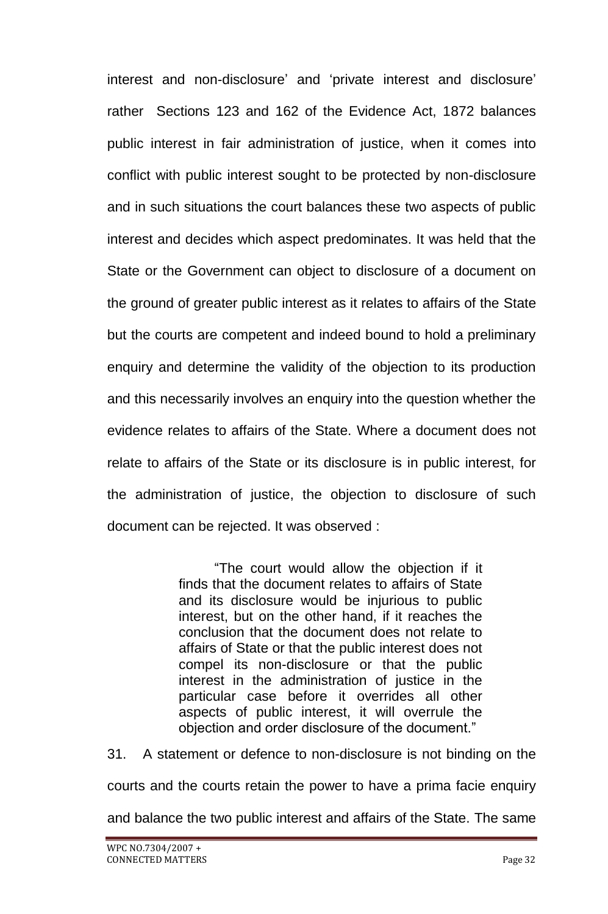interest and non-disclosure' and 'private interest and disclosure' rather Sections 123 and 162 of the Evidence Act, 1872 balances public interest in fair administration of justice, when it comes into conflict with public interest sought to be protected by non-disclosure and in such situations the court balances these two aspects of public interest and decides which aspect predominates. It was held that the State or the Government can object to disclosure of a document on the ground of greater public interest as it relates to affairs of the State but the courts are competent and indeed bound to hold a preliminary enquiry and determine the validity of the objection to its production and this necessarily involves an enquiry into the question whether the evidence relates to affairs of the State. Where a document does not relate to affairs of the State or its disclosure is in public interest, for the administration of justice, the objection to disclosure of such document can be rejected. It was observed :

> ―The court would allow the objection if it finds that the document relates to affairs of State and its disclosure would be injurious to public interest, but on the other hand, if it reaches the conclusion that the document does not relate to affairs of State or that the public interest does not compel its non-disclosure or that the public interest in the administration of justice in the particular case before it overrides all other aspects of public interest, it will overrule the objection and order disclosure of the document."

31. A statement or defence to non-disclosure is not binding on the

courts and the courts retain the power to have a prima facie enquiry

and balance the two public interest and affairs of the State. The same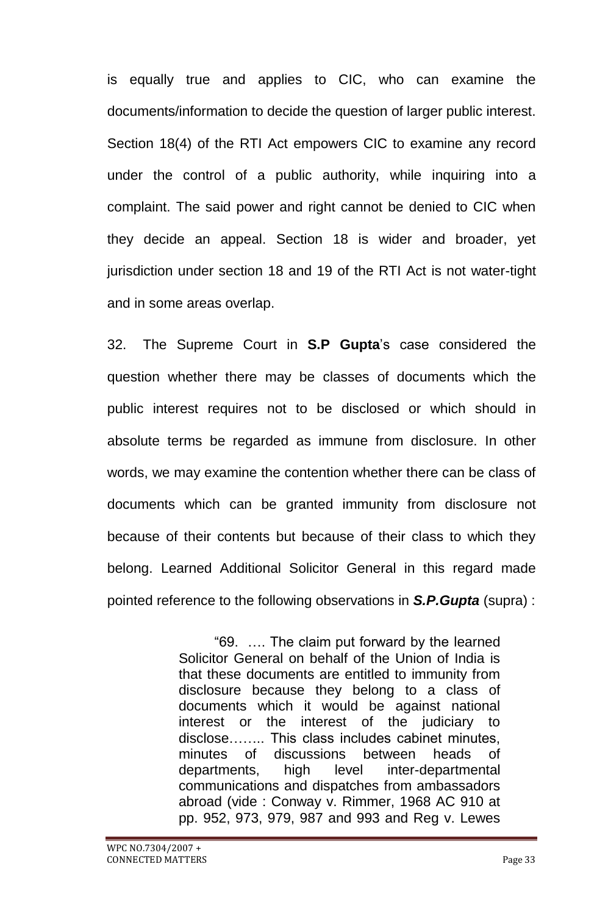is equally true and applies to CIC, who can examine the documents/information to decide the question of larger public interest. Section 18(4) of the RTI Act empowers CIC to examine any record under the control of a public authority, while inquiring into a complaint. The said power and right cannot be denied to CIC when they decide an appeal. Section 18 is wider and broader, yet jurisdiction under section 18 and 19 of the RTI Act is not water-tight and in some areas overlap.

32. The Supreme Court in **S.P Gupta**'s case considered the question whether there may be classes of documents which the public interest requires not to be disclosed or which should in absolute terms be regarded as immune from disclosure. In other words, we may examine the contention whether there can be class of documents which can be granted immunity from disclosure not because of their contents but because of their class to which they belong. Learned Additional Solicitor General in this regard made pointed reference to the following observations in *S.P.Gupta* (supra) :

> ―69. …. The claim put forward by the learned Solicitor General on behalf of the Union of India is that these documents are entitled to immunity from disclosure because they belong to a class of documents which it would be against national interest or the interest of the judiciary disclose…….. This class includes cabinet minutes, minutes of discussions between heads of departments, high level inter-departmental communications and dispatches from ambassadors abroad (vide : Conway v. Rimmer, 1968 AC 910 at pp. 952, 973, 979, 987 and 993 and Reg v. Lewes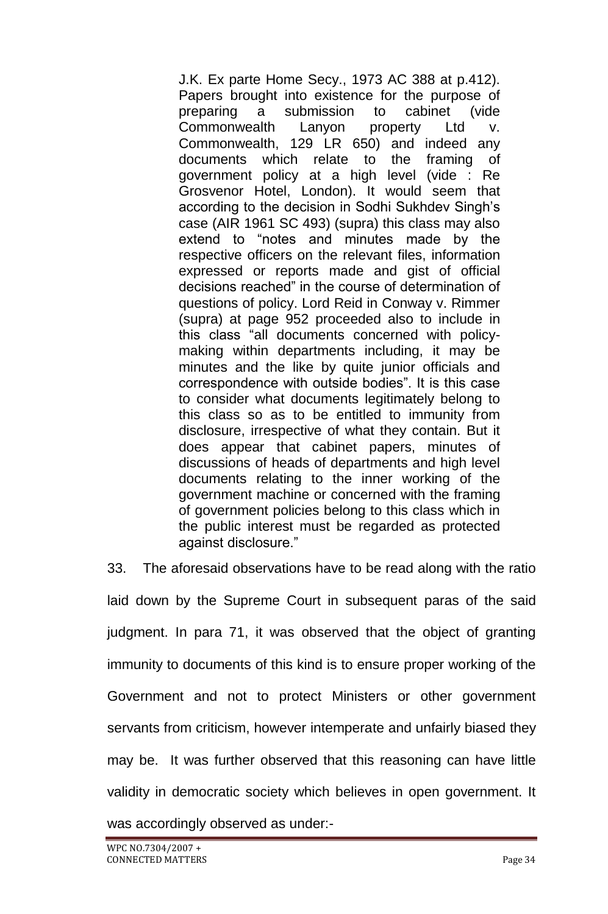J.K. Ex parte Home Secy., 1973 AC 388 at p.412). Papers brought into existence for the purpose of preparing a submission to cabinet (vide Commonwealth Lanyon property Ltd v. Commonwealth, 129 LR 650) and indeed any documents which relate to the framing of government policy at a high level (vide : Re Grosvenor Hotel, London). It would seem that according to the decision in Sodhi Sukhdev Singh's case (AIR 1961 SC 493) (supra) this class may also extend to "notes and minutes made by the respective officers on the relevant files, information expressed or reports made and gist of official decisions reached‖ in the course of determination of questions of policy. Lord Reid in Conway v. Rimmer (supra) at page 952 proceeded also to include in this class "all documents concerned with policymaking within departments including, it may be minutes and the like by quite junior officials and correspondence with outside bodies". It is this case to consider what documents legitimately belong to this class so as to be entitled to immunity from disclosure, irrespective of what they contain. But it does appear that cabinet papers, minutes of discussions of heads of departments and high level documents relating to the inner working of the government machine or concerned with the framing of government policies belong to this class which in the public interest must be regarded as protected against disclosure."

33. The aforesaid observations have to be read along with the ratio laid down by the Supreme Court in subsequent paras of the said judgment. In para 71, it was observed that the object of granting immunity to documents of this kind is to ensure proper working of the Government and not to protect Ministers or other government servants from criticism, however intemperate and unfairly biased they may be. It was further observed that this reasoning can have little validity in democratic society which believes in open government. It

was accordingly observed as under:-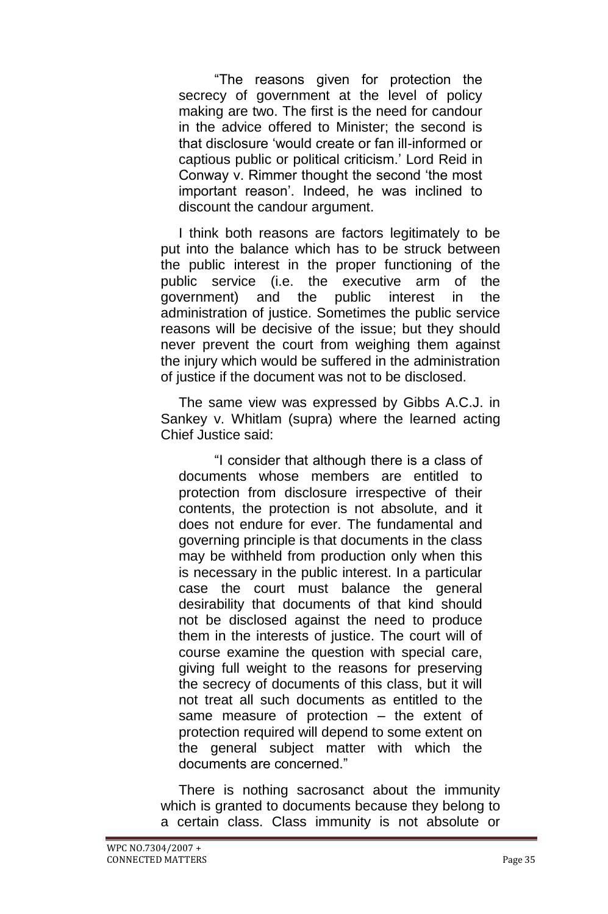―The reasons given for protection the secrecy of government at the level of policy making are two. The first is the need for candour in the advice offered to Minister; the second is that disclosure ‗would create or fan ill-informed or captious public or political criticism.' Lord Reid in Conway v. Rimmer thought the second 'the most important reason'. Indeed, he was inclined to discount the candour argument.

I think both reasons are factors legitimately to be put into the balance which has to be struck between the public interest in the proper functioning of the public service (i.e. the executive arm of the government) and the public interest in the administration of justice. Sometimes the public service reasons will be decisive of the issue; but they should never prevent the court from weighing them against the injury which would be suffered in the administration of justice if the document was not to be disclosed.

The same view was expressed by Gibbs A.C.J. in Sankey v. Whitlam (supra) where the learned acting Chief Justice said:

―I consider that although there is a class of documents whose members are entitled to protection from disclosure irrespective of their contents, the protection is not absolute, and it does not endure for ever. The fundamental and governing principle is that documents in the class may be withheld from production only when this is necessary in the public interest. In a particular case the court must balance the general desirability that documents of that kind should not be disclosed against the need to produce them in the interests of justice. The court will of course examine the question with special care, giving full weight to the reasons for preserving the secrecy of documents of this class, but it will not treat all such documents as entitled to the same measure of protection – the extent of protection required will depend to some extent on the general subject matter with which the documents are concerned."

There is nothing sacrosanct about the immunity which is granted to documents because they belong to a certain class. Class immunity is not absolute or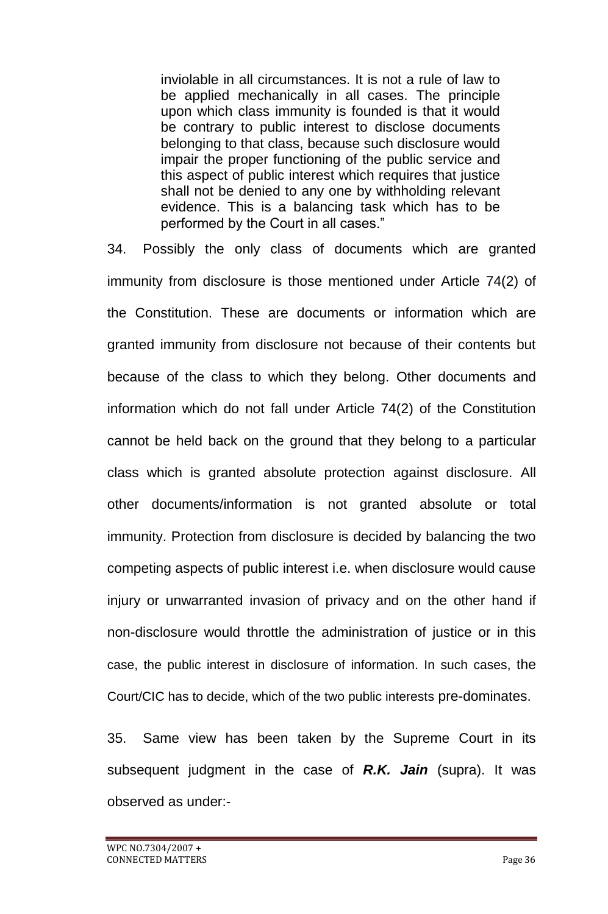inviolable in all circumstances. It is not a rule of law to be applied mechanically in all cases. The principle upon which class immunity is founded is that it would be contrary to public interest to disclose documents belonging to that class, because such disclosure would impair the proper functioning of the public service and this aspect of public interest which requires that justice shall not be denied to any one by withholding relevant evidence. This is a balancing task which has to be performed by the Court in all cases."

34. Possibly the only class of documents which are granted immunity from disclosure is those mentioned under Article 74(2) of the Constitution. These are documents or information which are granted immunity from disclosure not because of their contents but because of the class to which they belong. Other documents and information which do not fall under Article 74(2) of the Constitution cannot be held back on the ground that they belong to a particular class which is granted absolute protection against disclosure. All other documents/information is not granted absolute or total immunity. Protection from disclosure is decided by balancing the two competing aspects of public interest i.e. when disclosure would cause injury or unwarranted invasion of privacy and on the other hand if non-disclosure would throttle the administration of justice or in this case, the public interest in disclosure of information. In such cases, the Court/CIC has to decide, which of the two public interests pre-dominates.

35. Same view has been taken by the Supreme Court in its subsequent judgment in the case of *R.K. Jain* (supra). It was observed as under:-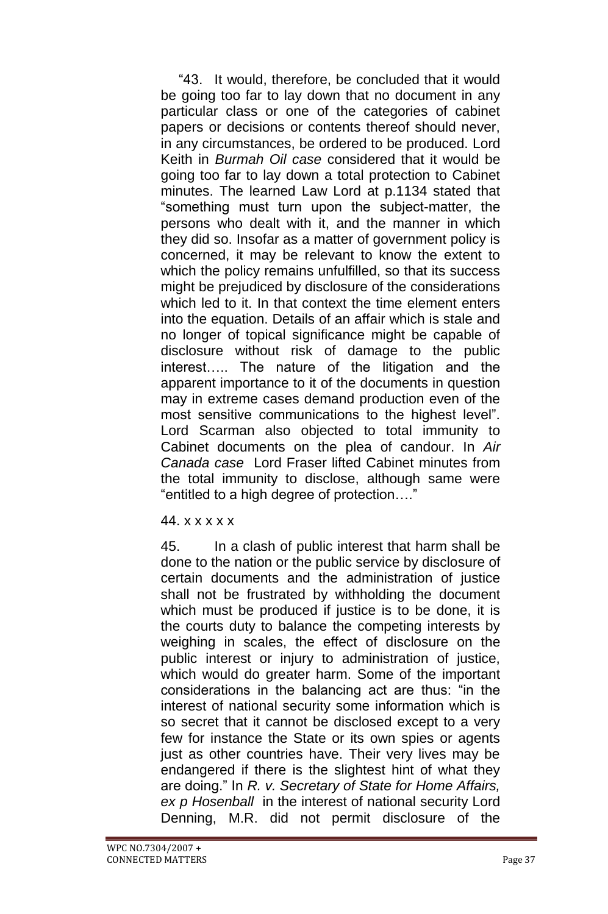―43. It would, therefore, be concluded that it would be going too far to lay down that no document in any particular class or one of the categories of cabinet papers or decisions or contents thereof should never, in any circumstances, be ordered to be produced. Lord Keith in *Burmah Oil case* considered that it would be going too far to lay down a total protection to Cabinet minutes. The learned Law Lord at p.1134 stated that ―something must turn upon the subject-matter, the persons who dealt with it, and the manner in which they did so. Insofar as a matter of government policy is concerned, it may be relevant to know the extent to which the policy remains unfulfilled, so that its success might be prejudiced by disclosure of the considerations which led to it. In that context the time element enters into the equation. Details of an affair which is stale and no longer of topical significance might be capable of disclosure without risk of damage to the public interest….. The nature of the litigation and the apparent importance to it of the documents in question may in extreme cases demand production even of the most sensitive communications to the highest level". Lord Scarman also objected to total immunity to Cabinet documents on the plea of candour. In *Air Canada case* Lord Fraser lifted Cabinet minutes from the total immunity to disclose, although same were "entitled to a high degree of protection...."

44. x x x x x

45. In a clash of public interest that harm shall be done to the nation or the public service by disclosure of certain documents and the administration of justice shall not be frustrated by withholding the document which must be produced if justice is to be done, it is the courts duty to balance the competing interests by weighing in scales, the effect of disclosure on the public interest or injury to administration of justice, which would do greater harm. Some of the important considerations in the balancing act are thus: "in the interest of national security some information which is so secret that it cannot be disclosed except to a very few for instance the State or its own spies or agents just as other countries have. Their very lives may be endangered if there is the slightest hint of what they are doing.‖ In *R. v. Secretary of State for Home Affairs, ex p Hosenball* in the interest of national security Lord Denning, M.R. did not permit disclosure of the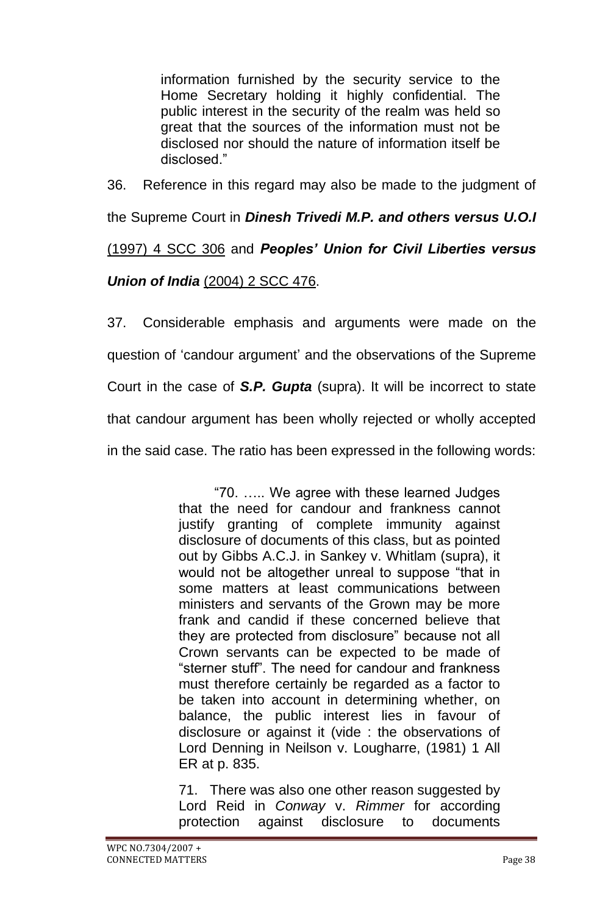information furnished by the security service to the Home Secretary holding it highly confidential. The public interest in the security of the realm was held so great that the sources of the information must not be disclosed nor should the nature of information itself be disclosed."

36. Reference in this regard may also be made to the judgment of

the Supreme Court in *Dinesh Trivedi M.P. and others versus U.O.I*

(1997) 4 SCC 306 and *Peoples' Union for Civil Liberties versus* 

#### *Union of India* (2004) 2 SCC 476.

37. Considerable emphasis and arguments were made on the question of 'candour argument' and the observations of the Supreme Court in the case of *S.P. Gupta* (supra). It will be incorrect to state that candour argument has been wholly rejected or wholly accepted in the said case. The ratio has been expressed in the following words:

> ―70. ….. We agree with these learned Judges that the need for candour and frankness cannot justify granting of complete immunity against disclosure of documents of this class, but as pointed out by Gibbs A.C.J. in Sankey v. Whitlam (supra), it would not be altogether unreal to suppose "that in some matters at least communications between ministers and servants of the Grown may be more frank and candid if these concerned believe that they are protected from disclosure" because not all Crown servants can be expected to be made of ―sterner stuff‖. The need for candour and frankness must therefore certainly be regarded as a factor to be taken into account in determining whether, on balance, the public interest lies in favour of disclosure or against it (vide : the observations of Lord Denning in Neilson v. Lougharre, (1981) 1 All ER at p. 835.

> 71. There was also one other reason suggested by Lord Reid in *Conway* v. *Rimmer* for according protection against disclosure to documents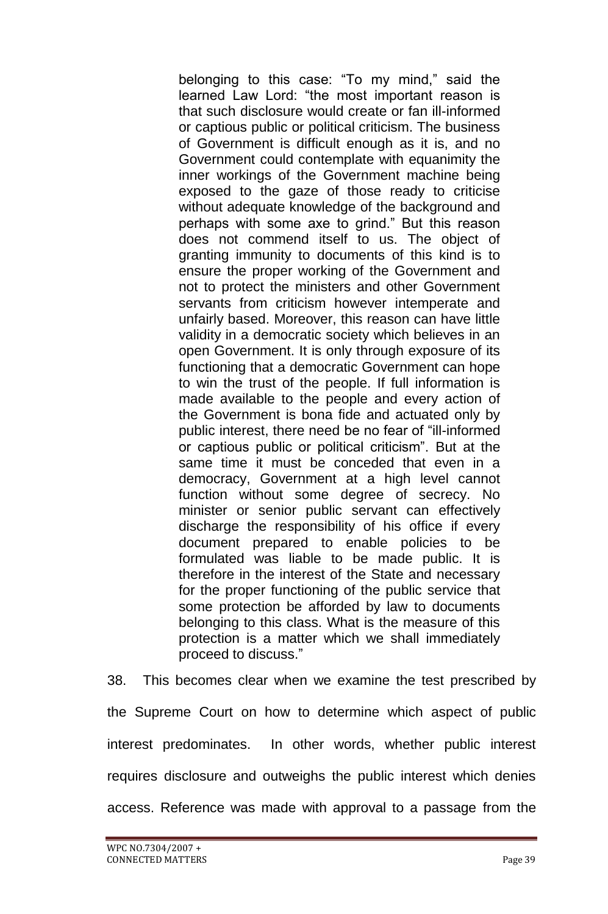belonging to this case: "To my mind," said the learned Law Lord: "the most important reason is that such disclosure would create or fan ill-informed or captious public or political criticism. The business of Government is difficult enough as it is, and no Government could contemplate with equanimity the inner workings of the Government machine being exposed to the gaze of those ready to criticise without adequate knowledge of the background and perhaps with some axe to grind.‖ But this reason does not commend itself to us. The object of granting immunity to documents of this kind is to ensure the proper working of the Government and not to protect the ministers and other Government servants from criticism however intemperate and unfairly based. Moreover, this reason can have little validity in a democratic society which believes in an open Government. It is only through exposure of its functioning that a democratic Government can hope to win the trust of the people. If full information is made available to the people and every action of the Government is bona fide and actuated only by public interest, there need be no fear of "ill-informed" or captious public or political criticism". But at the same time it must be conceded that even in a democracy, Government at a high level cannot function without some degree of secrecy. No minister or senior public servant can effectively discharge the responsibility of his office if every document prepared to enable policies to be formulated was liable to be made public. It is therefore in the interest of the State and necessary for the proper functioning of the public service that some protection be afforded by law to documents belonging to this class. What is the measure of this protection is a matter which we shall immediately proceed to discuss.‖

38. This becomes clear when we examine the test prescribed by the Supreme Court on how to determine which aspect of public interest predominates. In other words, whether public interest requires disclosure and outweighs the public interest which denies access. Reference was made with approval to a passage from the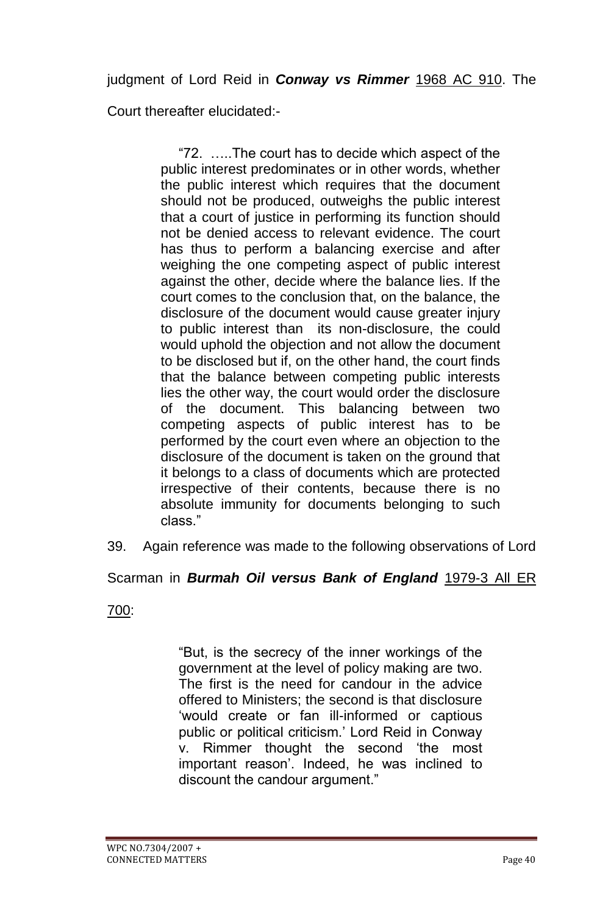judgment of Lord Reid in *Conway vs Rimmer* 1968 AC 910. The

Court thereafter elucidated:-

―72. …..The court has to decide which aspect of the public interest predominates or in other words, whether the public interest which requires that the document should not be produced, outweighs the public interest that a court of justice in performing its function should not be denied access to relevant evidence. The court has thus to perform a balancing exercise and after weighing the one competing aspect of public interest against the other, decide where the balance lies. If the court comes to the conclusion that, on the balance, the disclosure of the document would cause greater injury to public interest than its non-disclosure, the could would uphold the objection and not allow the document to be disclosed but if, on the other hand, the court finds that the balance between competing public interests lies the other way, the court would order the disclosure of the document. This balancing between two competing aspects of public interest has to be performed by the court even where an objection to the disclosure of the document is taken on the ground that it belongs to a class of documents which are protected irrespective of their contents, because there is no absolute immunity for documents belonging to such class.‖

39. Again reference was made to the following observations of Lord

Scarman in *Burmah Oil versus Bank of England* 1979-3 All ER

700:

―But, is the secrecy of the inner workings of the government at the level of policy making are two. The first is the need for candour in the advice offered to Ministers; the second is that disclosure ‗would create or fan ill-informed or captious public or political criticism.' Lord Reid in Conway v. Rimmer thought the second 'the most important reason'. Indeed, he was inclined to discount the candour argument."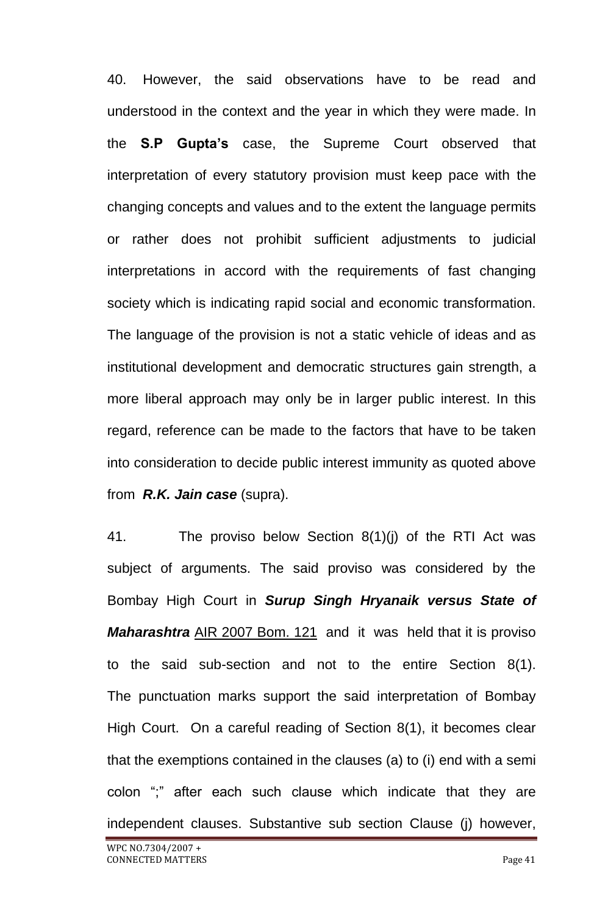40. However, the said observations have to be read and understood in the context and the year in which they were made. In the **S.P Gupta's** case, the Supreme Court observed that interpretation of every statutory provision must keep pace with the changing concepts and values and to the extent the language permits or rather does not prohibit sufficient adjustments to judicial interpretations in accord with the requirements of fast changing society which is indicating rapid social and economic transformation. The language of the provision is not a static vehicle of ideas and as institutional development and democratic structures gain strength, a more liberal approach may only be in larger public interest. In this regard, reference can be made to the factors that have to be taken into consideration to decide public interest immunity as quoted above from *R.K. Jain case* (supra).

41. The proviso below Section 8(1)(j) of the RTI Act was subject of arguments. The said proviso was considered by the Bombay High Court in *Surup Singh Hryanaik versus State of Maharashtra* AIR 2007 Bom. 121 and it was held that it is proviso to the said sub-section and not to the entire Section 8(1). The punctuation marks support the said interpretation of Bombay High Court. On a careful reading of Section 8(1), it becomes clear that the exemptions contained in the clauses (a) to (i) end with a semi colon ";" after each such clause which indicate that they are independent clauses. Substantive sub section Clause (j) however,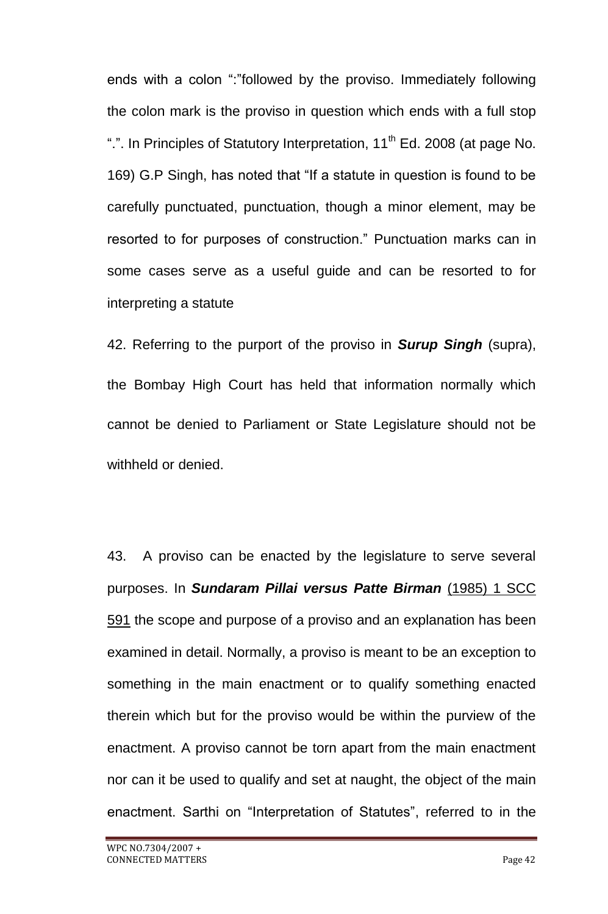ends with a colon ":"followed by the proviso. Immediately following the colon mark is the proviso in question which ends with a full stop ".". In Principles of Statutory Interpretation, 11<sup>th</sup> Ed. 2008 (at page No. 169) G.P Singh, has noted that "If a statute in question is found to be carefully punctuated, punctuation, though a minor element, may be resorted to for purposes of construction." Punctuation marks can in some cases serve as a useful guide and can be resorted to for interpreting a statute

42. Referring to the purport of the proviso in *Surup Singh* (supra), the Bombay High Court has held that information normally which cannot be denied to Parliament or State Legislature should not be withheld or denied.

43. A proviso can be enacted by the legislature to serve several purposes. In *Sundaram Pillai versus Patte Birman* (1985) 1 SCC 591 the scope and purpose of a proviso and an explanation has been examined in detail. Normally, a proviso is meant to be an exception to something in the main enactment or to qualify something enacted therein which but for the proviso would be within the purview of the enactment. A proviso cannot be torn apart from the main enactment nor can it be used to qualify and set at naught, the object of the main enactment. Sarthi on "Interpretation of Statutes", referred to in the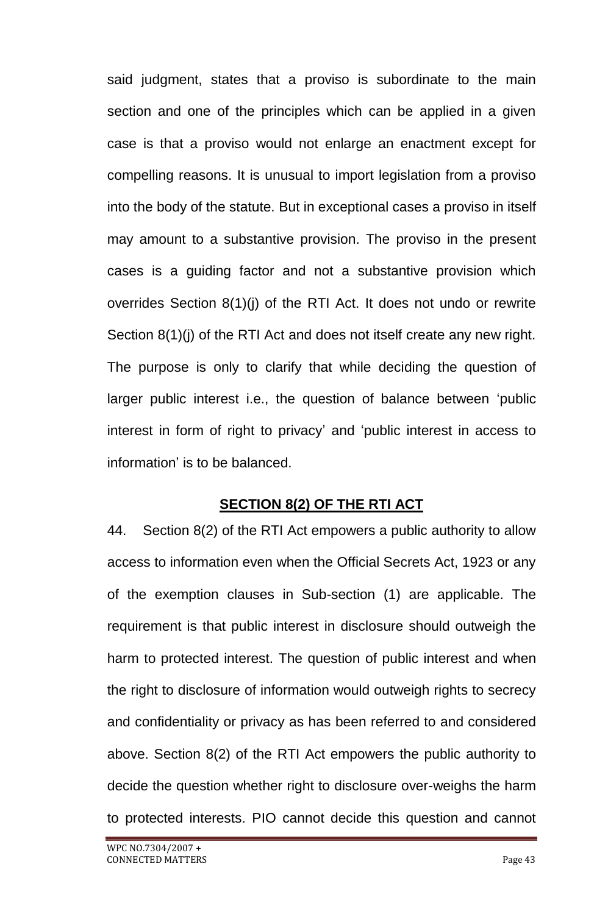said judgment, states that a proviso is subordinate to the main section and one of the principles which can be applied in a given case is that a proviso would not enlarge an enactment except for compelling reasons. It is unusual to import legislation from a proviso into the body of the statute. But in exceptional cases a proviso in itself may amount to a substantive provision. The proviso in the present cases is a guiding factor and not a substantive provision which overrides Section 8(1)(j) of the RTI Act. It does not undo or rewrite Section 8(1)(j) of the RTI Act and does not itself create any new right. The purpose is only to clarify that while deciding the question of larger public interest i.e., the question of balance between 'public interest in form of right to privacy' and 'public interest in access to information' is to be balanced.

#### **SECTION 8(2) OF THE RTI ACT**

44. Section 8(2) of the RTI Act empowers a public authority to allow access to information even when the Official Secrets Act, 1923 or any of the exemption clauses in Sub-section (1) are applicable. The requirement is that public interest in disclosure should outweigh the harm to protected interest. The question of public interest and when the right to disclosure of information would outweigh rights to secrecy and confidentiality or privacy as has been referred to and considered above. Section 8(2) of the RTI Act empowers the public authority to decide the question whether right to disclosure over-weighs the harm to protected interests. PIO cannot decide this question and cannot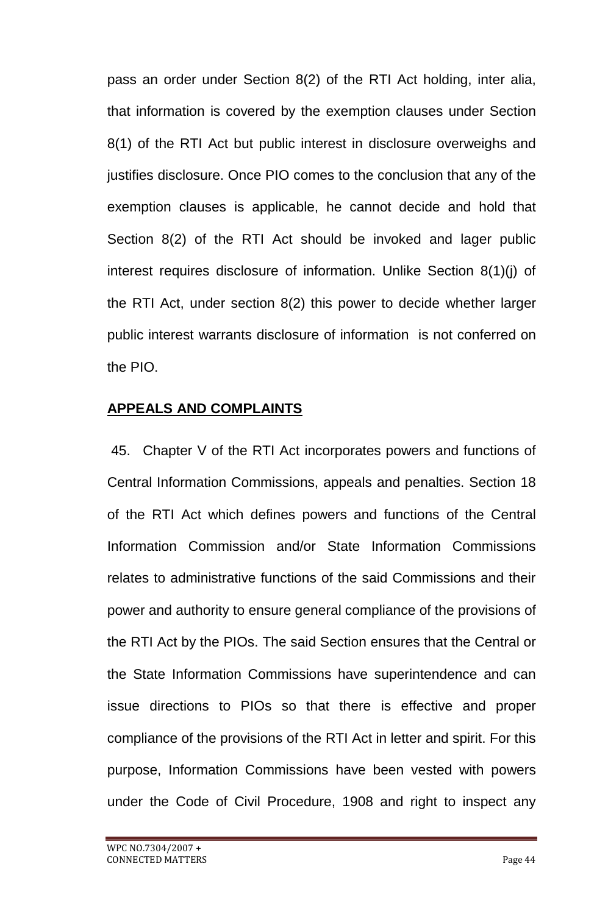pass an order under Section 8(2) of the RTI Act holding, inter alia, that information is covered by the exemption clauses under Section 8(1) of the RTI Act but public interest in disclosure overweighs and justifies disclosure. Once PIO comes to the conclusion that any of the exemption clauses is applicable, he cannot decide and hold that Section 8(2) of the RTI Act should be invoked and lager public interest requires disclosure of information. Unlike Section 8(1)(j) of the RTI Act, under section 8(2) this power to decide whether larger public interest warrants disclosure of information is not conferred on the PIO.

### **APPEALS AND COMPLAINTS**

45. Chapter V of the RTI Act incorporates powers and functions of Central Information Commissions, appeals and penalties. Section 18 of the RTI Act which defines powers and functions of the Central Information Commission and/or State Information Commissions relates to administrative functions of the said Commissions and their power and authority to ensure general compliance of the provisions of the RTI Act by the PIOs. The said Section ensures that the Central or the State Information Commissions have superintendence and can issue directions to PIOs so that there is effective and proper compliance of the provisions of the RTI Act in letter and spirit. For this purpose, Information Commissions have been vested with powers under the Code of Civil Procedure, 1908 and right to inspect any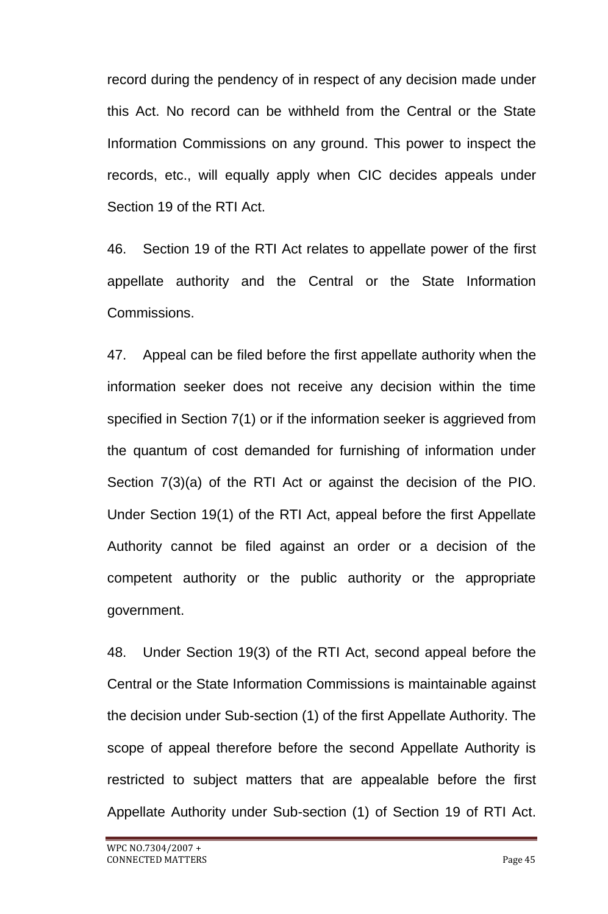record during the pendency of in respect of any decision made under this Act. No record can be withheld from the Central or the State Information Commissions on any ground. This power to inspect the records, etc., will equally apply when CIC decides appeals under Section 19 of the RTI Act.

46. Section 19 of the RTI Act relates to appellate power of the first appellate authority and the Central or the State Information Commissions.

47. Appeal can be filed before the first appellate authority when the information seeker does not receive any decision within the time specified in Section 7(1) or if the information seeker is aggrieved from the quantum of cost demanded for furnishing of information under Section 7(3)(a) of the RTI Act or against the decision of the PIO. Under Section 19(1) of the RTI Act, appeal before the first Appellate Authority cannot be filed against an order or a decision of the competent authority or the public authority or the appropriate government.

48. Under Section 19(3) of the RTI Act, second appeal before the Central or the State Information Commissions is maintainable against the decision under Sub-section (1) of the first Appellate Authority. The scope of appeal therefore before the second Appellate Authority is restricted to subject matters that are appealable before the first Appellate Authority under Sub-section (1) of Section 19 of RTI Act.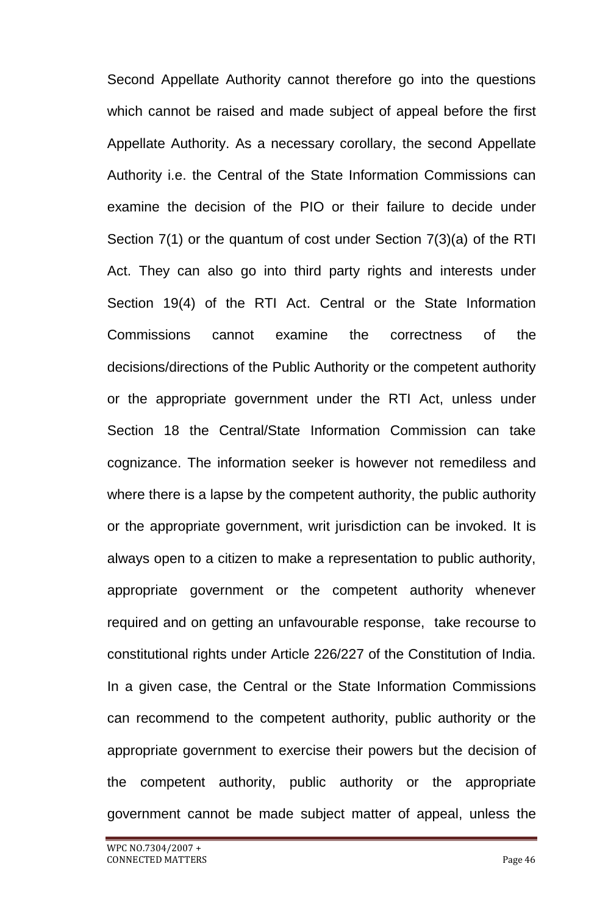Second Appellate Authority cannot therefore go into the questions which cannot be raised and made subject of appeal before the first Appellate Authority. As a necessary corollary, the second Appellate Authority i.e. the Central of the State Information Commissions can examine the decision of the PIO or their failure to decide under Section 7(1) or the quantum of cost under Section 7(3)(a) of the RTI Act. They can also go into third party rights and interests under Section 19(4) of the RTI Act. Central or the State Information Commissions cannot examine the correctness of the decisions/directions of the Public Authority or the competent authority or the appropriate government under the RTI Act, unless under Section 18 the Central/State Information Commission can take cognizance. The information seeker is however not remediless and where there is a lapse by the competent authority, the public authority or the appropriate government, writ jurisdiction can be invoked. It is always open to a citizen to make a representation to public authority, appropriate government or the competent authority whenever required and on getting an unfavourable response, take recourse to constitutional rights under Article 226/227 of the Constitution of India. In a given case, the Central or the State Information Commissions can recommend to the competent authority, public authority or the appropriate government to exercise their powers but the decision of the competent authority, public authority or the appropriate government cannot be made subject matter of appeal, unless the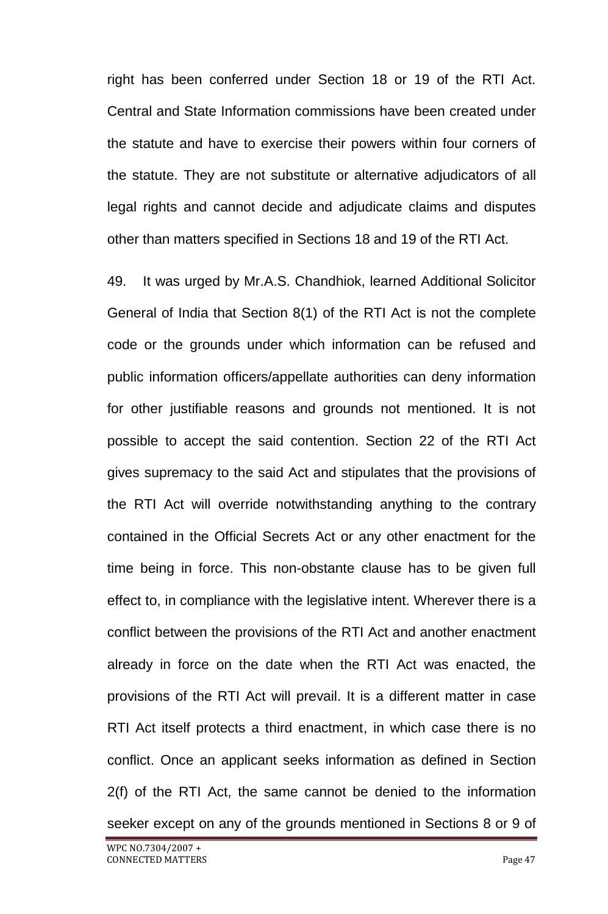right has been conferred under Section 18 or 19 of the RTI Act. Central and State Information commissions have been created under the statute and have to exercise their powers within four corners of the statute. They are not substitute or alternative adjudicators of all legal rights and cannot decide and adjudicate claims and disputes other than matters specified in Sections 18 and 19 of the RTI Act.

49. It was urged by Mr.A.S. Chandhiok, learned Additional Solicitor General of India that Section 8(1) of the RTI Act is not the complete code or the grounds under which information can be refused and public information officers/appellate authorities can deny information for other justifiable reasons and grounds not mentioned. It is not possible to accept the said contention. Section 22 of the RTI Act gives supremacy to the said Act and stipulates that the provisions of the RTI Act will override notwithstanding anything to the contrary contained in the Official Secrets Act or any other enactment for the time being in force. This non-obstante clause has to be given full effect to, in compliance with the legislative intent. Wherever there is a conflict between the provisions of the RTI Act and another enactment already in force on the date when the RTI Act was enacted, the provisions of the RTI Act will prevail. It is a different matter in case RTI Act itself protects a third enactment, in which case there is no conflict. Once an applicant seeks information as defined in Section 2(f) of the RTI Act, the same cannot be denied to the information seeker except on any of the grounds mentioned in Sections 8 or 9 of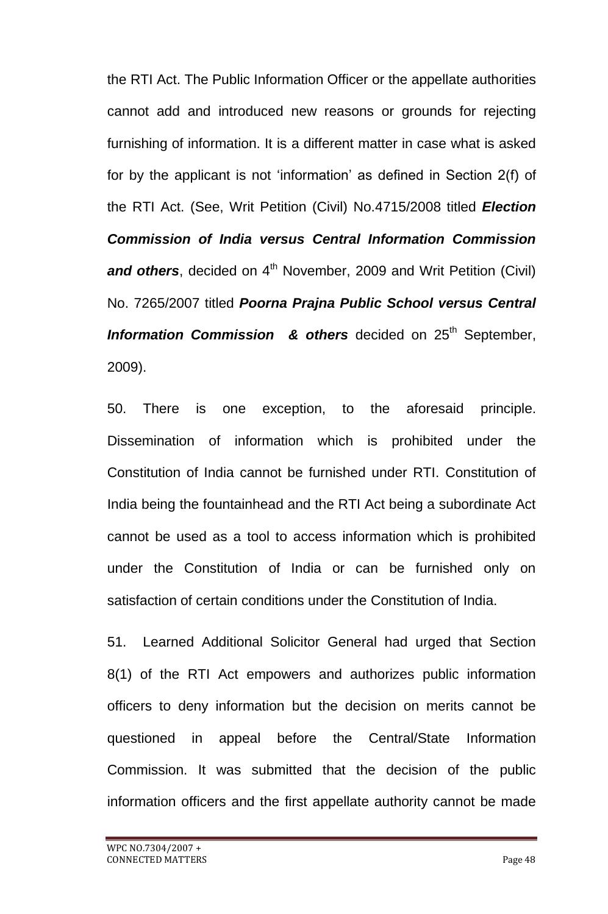the RTI Act. The Public Information Officer or the appellate authorities cannot add and introduced new reasons or grounds for rejecting furnishing of information. It is a different matter in case what is asked for by the applicant is not 'information' as defined in Section 2(f) of the RTI Act. (See, Writ Petition (Civil) No.4715/2008 titled *Election Commission of India versus Central Information Commission*  and others, decided on 4<sup>th</sup> November, 2009 and Writ Petition (Civil) No. 7265/2007 titled *Poorna Prajna Public School versus Central Information Commission & others* decided on 25<sup>th</sup> September, 2009).

50. There is one exception, to the aforesaid principle. Dissemination of information which is prohibited under the Constitution of India cannot be furnished under RTI. Constitution of India being the fountainhead and the RTI Act being a subordinate Act cannot be used as a tool to access information which is prohibited under the Constitution of India or can be furnished only on satisfaction of certain conditions under the Constitution of India.

51. Learned Additional Solicitor General had urged that Section 8(1) of the RTI Act empowers and authorizes public information officers to deny information but the decision on merits cannot be questioned in appeal before the Central/State Information Commission. It was submitted that the decision of the public information officers and the first appellate authority cannot be made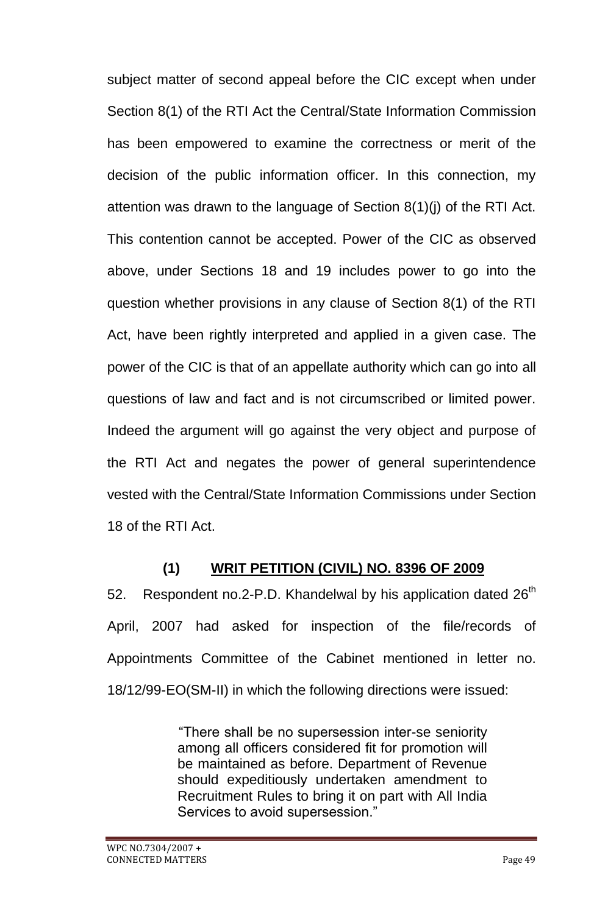subject matter of second appeal before the CIC except when under Section 8(1) of the RTI Act the Central/State Information Commission has been empowered to examine the correctness or merit of the decision of the public information officer. In this connection, my attention was drawn to the language of Section 8(1)(j) of the RTI Act. This contention cannot be accepted. Power of the CIC as observed above, under Sections 18 and 19 includes power to go into the question whether provisions in any clause of Section 8(1) of the RTI Act, have been rightly interpreted and applied in a given case. The power of the CIC is that of an appellate authority which can go into all questions of law and fact and is not circumscribed or limited power. Indeed the argument will go against the very object and purpose of the RTI Act and negates the power of general superintendence vested with the Central/State Information Commissions under Section 18 of the RTI Act.

#### **(1) WRIT PETITION (CIVIL) NO. 8396 OF 2009**

52. Respondent no.2-P.D. Khandelwal by his application dated  $26<sup>th</sup>$ April, 2007 had asked for inspection of the file/records of Appointments Committee of the Cabinet mentioned in letter no. 18/12/99-EO(SM-II) in which the following directions were issued:

> ―There shall be no supersession inter-se seniority among all officers considered fit for promotion will be maintained as before. Department of Revenue should expeditiously undertaken amendment to Recruitment Rules to bring it on part with All India Services to avoid supersession."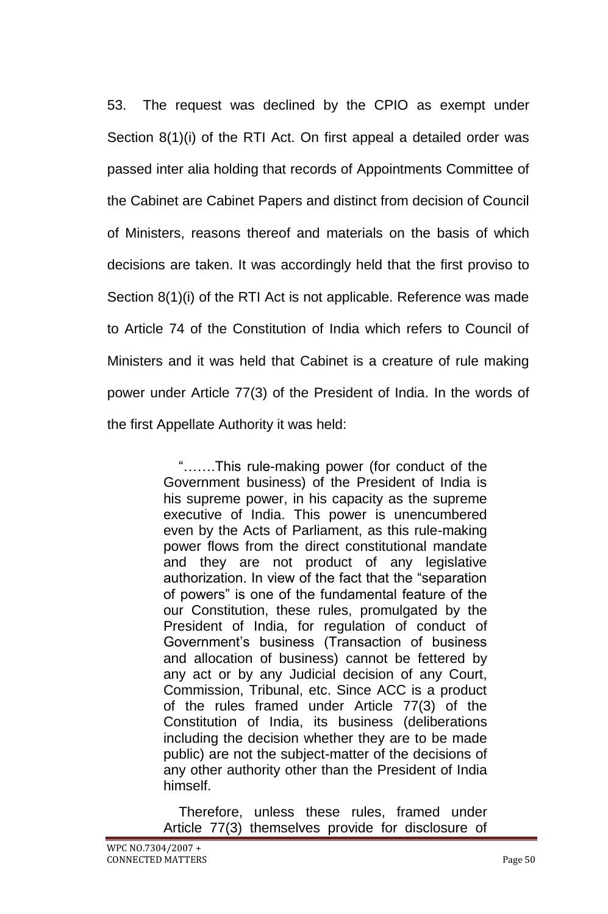53. The request was declined by the CPIO as exempt under Section 8(1)(i) of the RTI Act. On first appeal a detailed order was passed inter alia holding that records of Appointments Committee of the Cabinet are Cabinet Papers and distinct from decision of Council of Ministers, reasons thereof and materials on the basis of which decisions are taken. It was accordingly held that the first proviso to Section 8(1)(i) of the RTI Act is not applicable. Reference was made to Article 74 of the Constitution of India which refers to Council of Ministers and it was held that Cabinet is a creature of rule making power under Article 77(3) of the President of India. In the words of the first Appellate Authority it was held:

> ".......This rule-making power (for conduct of the Government business) of the President of India is his supreme power, in his capacity as the supreme executive of India. This power is unencumbered even by the Acts of Parliament, as this rule-making power flows from the direct constitutional mandate and they are not product of any legislative authorization. In view of the fact that the "separation of powers‖ is one of the fundamental feature of the our Constitution, these rules, promulgated by the President of India, for regulation of conduct of Government's business (Transaction of business and allocation of business) cannot be fettered by any act or by any Judicial decision of any Court, Commission, Tribunal, etc. Since ACC is a product of the rules framed under Article 77(3) of the Constitution of India, its business (deliberations including the decision whether they are to be made public) are not the subject-matter of the decisions of any other authority other than the President of India himself.

> Therefore, unless these rules, framed under Article 77(3) themselves provide for disclosure of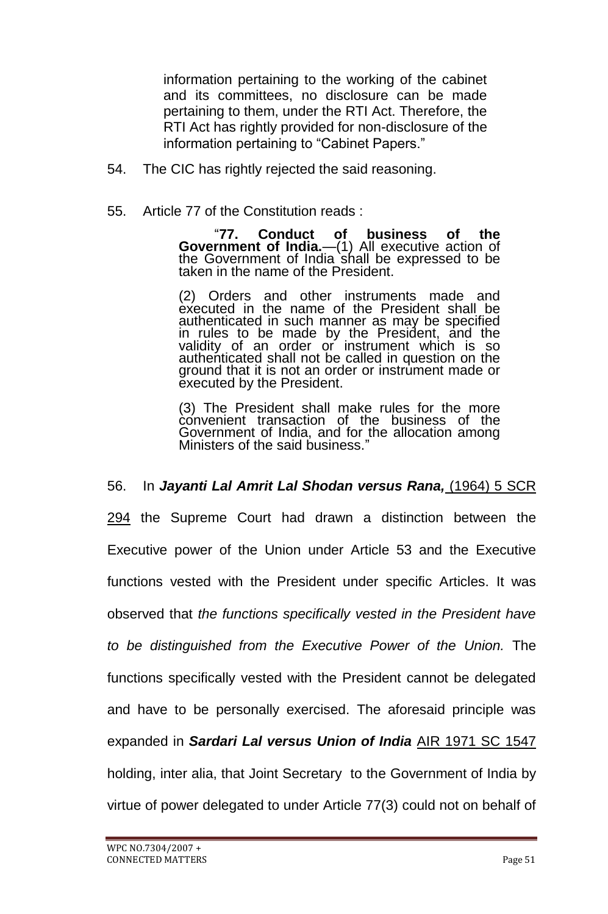information pertaining to the working of the cabinet and its committees, no disclosure can be made pertaining to them, under the RTI Act. Therefore, the RTI Act has rightly provided for non-disclosure of the information pertaining to "Cabinet Papers."

- 54. The CIC has rightly rejected the said reasoning.
- 55. Article 77 of the Constitution reads :

―**77. Conduct of business of the Government of India.**—(1) All executive action of the Government of India shall be expressed to be taken in the name of the President.

(2) Orders and other instruments made and executed in the name of the President shall be authenticated in such manner as may be specified in rules to be made by the President, and the validity of an order or instrument which is so authenticated shall not be called in question on the ground that it is not an order or instrument made or executed by the President.

(3) The President shall make rules for the more convenient transaction of the business of the Government of India, and for the allocation among Ministers of the said business.

## 56. In *Jayanti Lal Amrit Lal Shodan versus Rana,* (1964) 5 SCR

294 the Supreme Court had drawn a distinction between the Executive power of the Union under Article 53 and the Executive functions vested with the President under specific Articles. It was observed that *the functions specifically vested in the President have to be distinguished from the Executive Power of the Union.* The functions specifically vested with the President cannot be delegated and have to be personally exercised. The aforesaid principle was expanded in *Sardari Lal versus Union of India* AIR 1971 SC 1547 holding, inter alia, that Joint Secretary to the Government of India by virtue of power delegated to under Article 77(3) could not on behalf of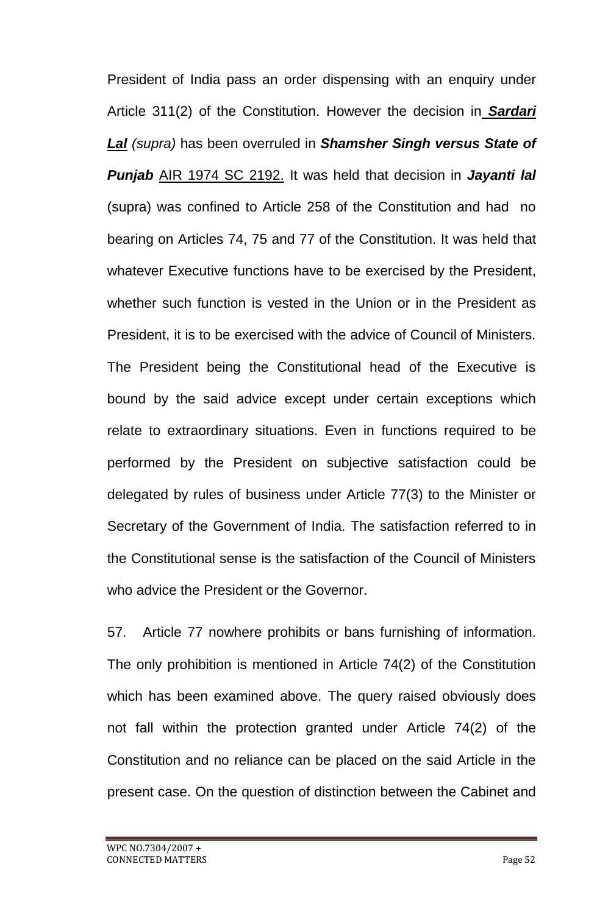President of India pass an order dispensing with an enquiry under Article 311(2) of the Constitution. However the decision in *Sardari Lal (supra)* has been overruled in *Shamsher Singh versus State of Punjab* AIR 1974 SC 2192. It was held that decision in *Jayanti lal*  (supra) was confined to Article 258 of the Constitution and had no bearing on Articles 74, 75 and 77 of the Constitution. It was held that whatever Executive functions have to be exercised by the President, whether such function is vested in the Union or in the President as President, it is to be exercised with the advice of Council of Ministers. The President being the Constitutional head of the Executive is bound by the said advice except under certain exceptions which relate to extraordinary situations. Even in functions required to be performed by the President on subjective satisfaction could be delegated by rules of business under Article 77(3) to the Minister or Secretary of the Government of India. The satisfaction referred to in the Constitutional sense is the satisfaction of the Council of Ministers who advice the President or the Governor.

57. Article 77 nowhere prohibits or bans furnishing of information. The only prohibition is mentioned in Article 74(2) of the Constitution which has been examined above. The query raised obviously does not fall within the protection granted under Article 74(2) of the Constitution and no reliance can be placed on the said Article in the present case. On the question of distinction between the Cabinet and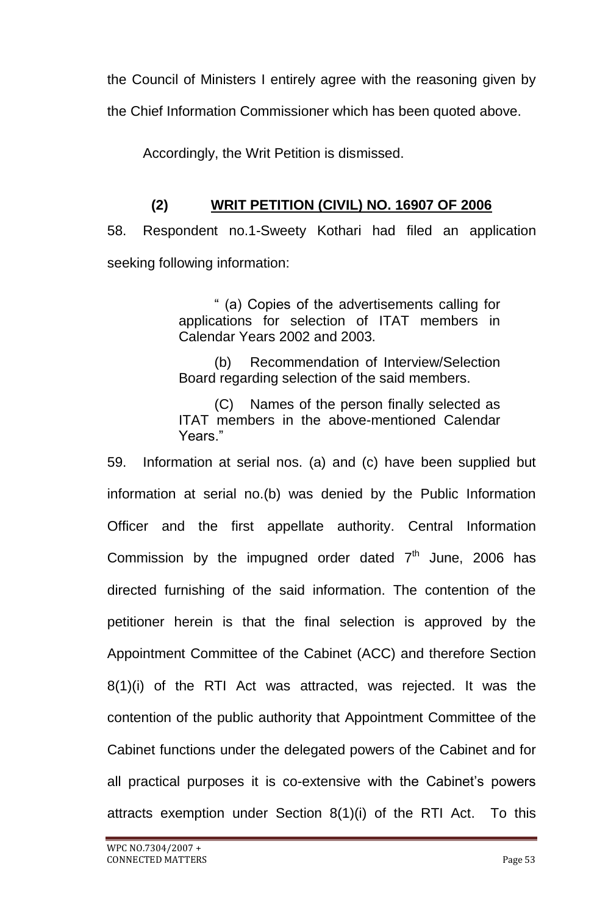the Council of Ministers I entirely agree with the reasoning given by the Chief Information Commissioner which has been quoted above.

Accordingly, the Writ Petition is dismissed.

## **(2) WRIT PETITION (CIVIL) NO. 16907 OF 2006**

58. Respondent no.1-Sweety Kothari had filed an application seeking following information:

> ― (a) Copies of the advertisements calling for applications for selection of ITAT members in Calendar Years 2002 and 2003.

> (b) Recommendation of Interview/Selection Board regarding selection of the said members.

> (C) Names of the person finally selected as ITAT members in the above-mentioned Calendar Years."

59. Information at serial nos. (a) and (c) have been supplied but information at serial no.(b) was denied by the Public Information Officer and the first appellate authority. Central Information Commission by the impugned order dated  $7<sup>th</sup>$  June, 2006 has directed furnishing of the said information. The contention of the petitioner herein is that the final selection is approved by the Appointment Committee of the Cabinet (ACC) and therefore Section 8(1)(i) of the RTI Act was attracted, was rejected. It was the contention of the public authority that Appointment Committee of the Cabinet functions under the delegated powers of the Cabinet and for all practical purposes it is co-extensive with the Cabinet's powers attracts exemption under Section 8(1)(i) of the RTI Act. To this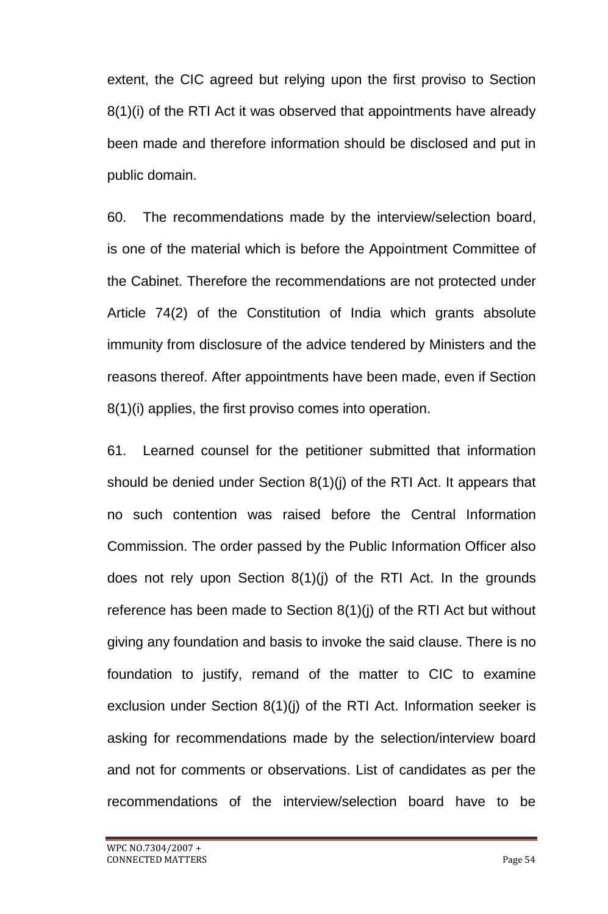extent, the CIC agreed but relying upon the first proviso to Section 8(1)(i) of the RTI Act it was observed that appointments have already been made and therefore information should be disclosed and put in public domain.

60. The recommendations made by the interview/selection board, is one of the material which is before the Appointment Committee of the Cabinet. Therefore the recommendations are not protected under Article 74(2) of the Constitution of India which grants absolute immunity from disclosure of the advice tendered by Ministers and the reasons thereof. After appointments have been made, even if Section 8(1)(i) applies, the first proviso comes into operation.

61. Learned counsel for the petitioner submitted that information should be denied under Section 8(1)(j) of the RTI Act. It appears that no such contention was raised before the Central Information Commission. The order passed by the Public Information Officer also does not rely upon Section 8(1)(j) of the RTI Act. In the grounds reference has been made to Section 8(1)(j) of the RTI Act but without giving any foundation and basis to invoke the said clause. There is no foundation to justify, remand of the matter to CIC to examine exclusion under Section 8(1)(j) of the RTI Act. Information seeker is asking for recommendations made by the selection/interview board and not for comments or observations. List of candidates as per the recommendations of the interview/selection board have to be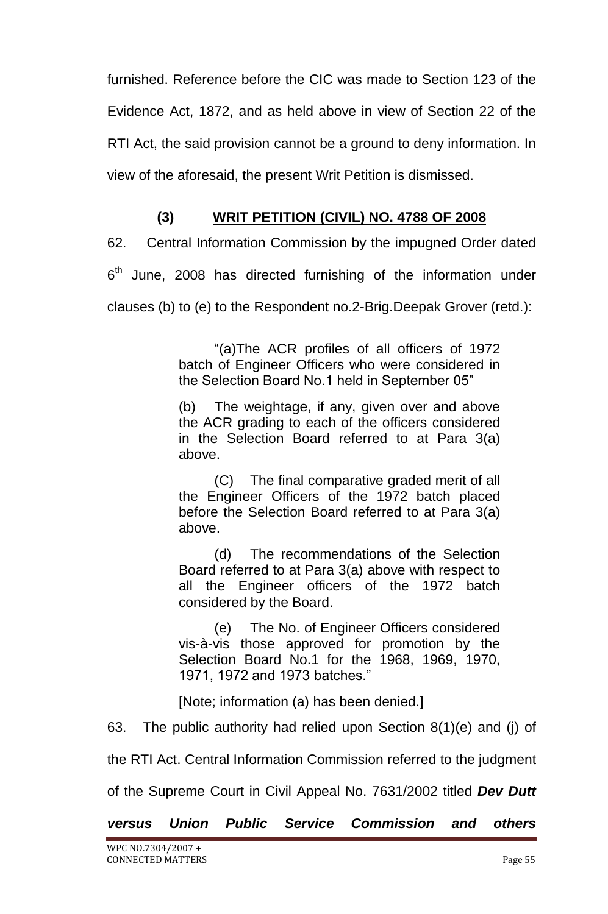furnished. Reference before the CIC was made to Section 123 of the Evidence Act, 1872, and as held above in view of Section 22 of the RTI Act, the said provision cannot be a ground to deny information. In view of the aforesaid, the present Writ Petition is dismissed.

# **(3) WRIT PETITION (CIVIL) NO. 4788 OF 2008**

62. Central Information Commission by the impugned Order dated

 $6<sup>th</sup>$  June, 2008 has directed furnishing of the information under

clauses (b) to (e) to the Respondent no.2-Brig.Deepak Grover (retd.):

―(a)The ACR profiles of all officers of 1972 batch of Engineer Officers who were considered in the Selection Board No.1 held in September 05"

(b) The weightage, if any, given over and above the ACR grading to each of the officers considered in the Selection Board referred to at Para 3(a) above.

(C) The final comparative graded merit of all the Engineer Officers of the 1972 batch placed before the Selection Board referred to at Para 3(a) above.

(d) The recommendations of the Selection Board referred to at Para 3(a) above with respect to all the Engineer officers of the 1972 batch considered by the Board.

(e) The No. of Engineer Officers considered vis-à-vis those approved for promotion by the Selection Board No.1 for the 1968, 1969, 1970, 1971, 1972 and 1973 batches.‖

[Note; information (a) has been denied.]

63. The public authority had relied upon Section 8(1)(e) and (j) of

the RTI Act. Central Information Commission referred to the judgment

of the Supreme Court in Civil Appeal No. 7631/2002 titled *Dev Dutt* 

*versus Union Public Service Commission and others*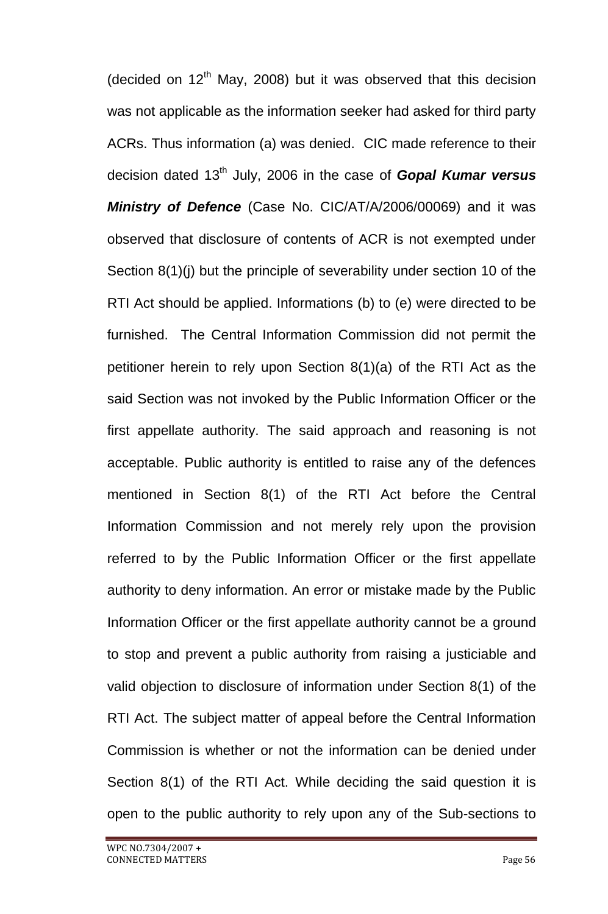(decided on  $12<sup>th</sup>$  May, 2008) but it was observed that this decision was not applicable as the information seeker had asked for third party ACRs. Thus information (a) was denied. CIC made reference to their decision dated 13th July, 2006 in the case of *Gopal Kumar versus Ministry of Defence* (Case No. CIC/AT/A/2006/00069) and it was observed that disclosure of contents of ACR is not exempted under Section 8(1)(j) but the principle of severability under section 10 of the RTI Act should be applied. Informations (b) to (e) were directed to be furnished. The Central Information Commission did not permit the petitioner herein to rely upon Section 8(1)(a) of the RTI Act as the said Section was not invoked by the Public Information Officer or the first appellate authority. The said approach and reasoning is not acceptable. Public authority is entitled to raise any of the defences mentioned in Section 8(1) of the RTI Act before the Central Information Commission and not merely rely upon the provision referred to by the Public Information Officer or the first appellate authority to deny information. An error or mistake made by the Public Information Officer or the first appellate authority cannot be a ground to stop and prevent a public authority from raising a justiciable and valid objection to disclosure of information under Section 8(1) of the RTI Act. The subject matter of appeal before the Central Information Commission is whether or not the information can be denied under Section 8(1) of the RTI Act. While deciding the said question it is open to the public authority to rely upon any of the Sub-sections to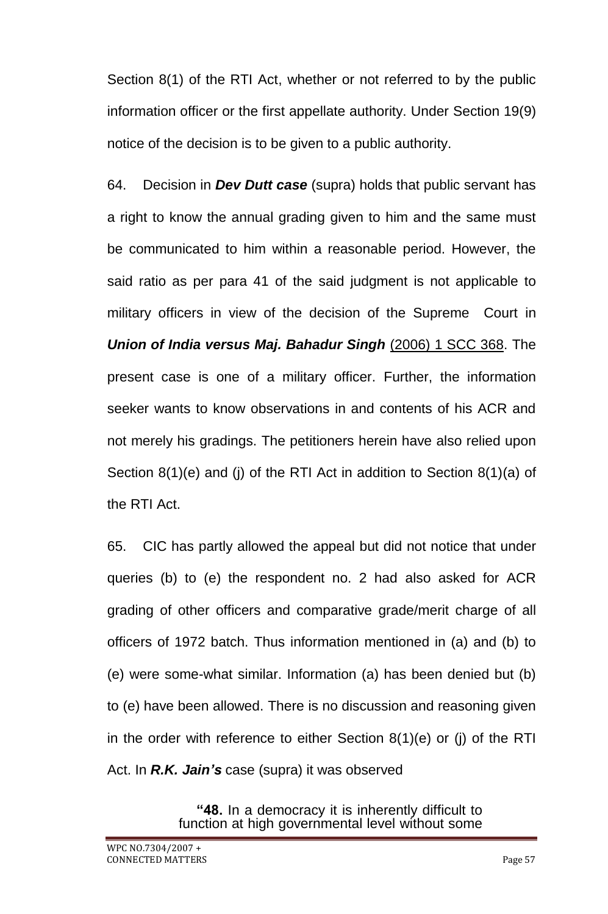Section 8(1) of the RTI Act, whether or not referred to by the public information officer or the first appellate authority. Under Section 19(9) notice of the decision is to be given to a public authority.

64. Decision in *Dev Dutt case* (supra) holds that public servant has a right to know the annual grading given to him and the same must be communicated to him within a reasonable period. However, the said ratio as per para 41 of the said judgment is not applicable to military officers in view of the decision of the Supreme Court in *Union of India versus Maj. Bahadur Singh* (2006) 1 SCC 368. The present case is one of a military officer. Further, the information seeker wants to know observations in and contents of his ACR and not merely his gradings. The petitioners herein have also relied upon Section 8(1)(e) and (j) of the RTI Act in addition to Section 8(1)(a) of the RTI Act.

65. CIC has partly allowed the appeal but did not notice that under queries (b) to (e) the respondent no. 2 had also asked for ACR grading of other officers and comparative grade/merit charge of all officers of 1972 batch. Thus information mentioned in (a) and (b) to (e) were some-what similar. Information (a) has been denied but (b) to (e) have been allowed. There is no discussion and reasoning given in the order with reference to either Section 8(1)(e) or (j) of the RTI Act. In *R.K. Jain's* case (supra) it was observed

> **"48.** In a democracy it is inherently difficult to function at high governmental level without some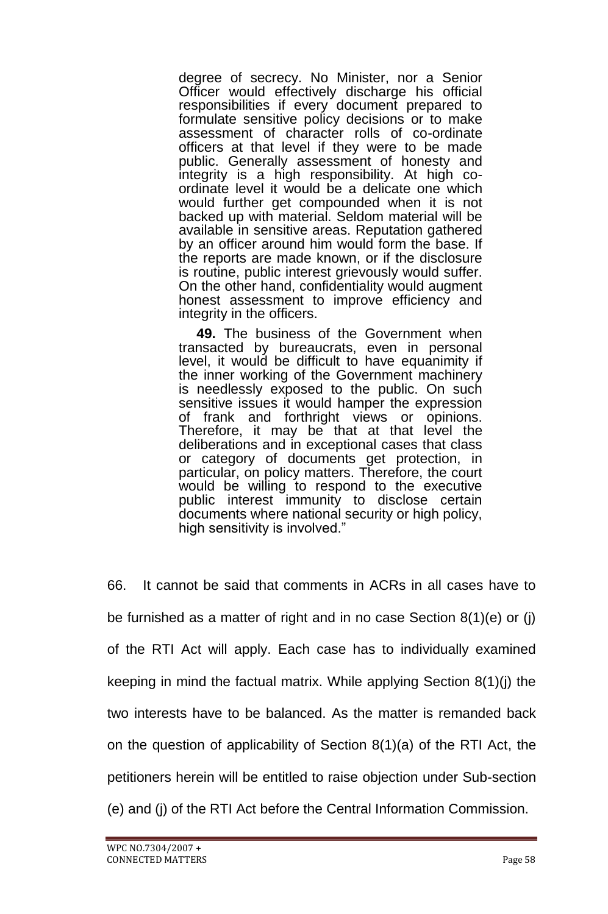degree of secrecy. No Minister, nor a Senior Officer would effectively discharge his official responsibilities if every document prepared to formulate sensitive policy decisions or to make assessment of character rolls of co-ordinate officers at that level if they were to be made public. Generally assessment of honesty and integrity is a high responsibility. At high coordinate level it would be a delicate one which would further get compounded when it is not backed up with material. Seldom material will be available in sensitive areas. Reputation gathered by an officer around him would form the base. If the reports are made known, or if the disclosure is routine, public interest grievously would suffer. On the other hand, confidentiality would augment honest assessment to improve efficiency and integrity in the officers.

**49.** The business of the Government when transacted by bureaucrats, even in personal level, it would be difficult to have equanimity if the inner working of the Government machinery is needlessly exposed to the public. On such sensitive issues it would hamper the expression of frank and forthright views or opinions. Therefore, it may be that at that level the deliberations and in exceptional cases that class or category of documents get protection, in particular, on policy matters. Therefore, the court would be willing to respond to the executive public interest immunity to disclose certain documents where national security or high policy, high sensitivity is involved."

66. It cannot be said that comments in ACRs in all cases have to be furnished as a matter of right and in no case Section 8(1)(e) or (j) of the RTI Act will apply. Each case has to individually examined keeping in mind the factual matrix. While applying Section 8(1)(j) the two interests have to be balanced. As the matter is remanded back on the question of applicability of Section 8(1)(a) of the RTI Act, the petitioners herein will be entitled to raise objection under Sub-section (e) and (j) of the RTI Act before the Central Information Commission.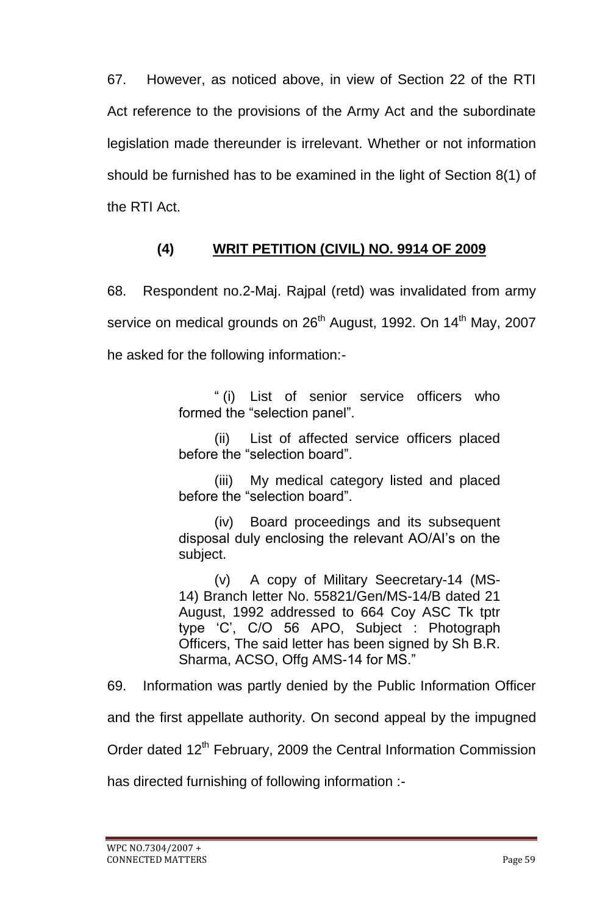67. However, as noticed above, in view of Section 22 of the RTI Act reference to the provisions of the Army Act and the subordinate legislation made thereunder is irrelevant. Whether or not information should be furnished has to be examined in the light of Section 8(1) of the RTI Act.

# **(4) WRIT PETITION (CIVIL) NO. 9914 OF 2009**

68. Respondent no.2-Maj. Rajpal (retd) was invalidated from army service on medical grounds on 26<sup>th</sup> August, 1992. On 14<sup>th</sup> May, 2007 he asked for the following information:-

> ― (i) List of senior service officers who formed the "selection panel".

> (ii) List of affected service officers placed before the "selection board".

> (iii) My medical category listed and placed before the "selection board".

> (iv) Board proceedings and its subsequent disposal duly enclosing the relevant AO/AI's on the subject.

> (v) A copy of Military Seecretary-14 (MS-14) Branch letter No. 55821/Gen/MS-14/B dated 21 August, 1992 addressed to 664 Coy ASC Tk tptr type ‗C', C/O 56 APO, Subject : Photograph Officers, The said letter has been signed by Sh B.R. Sharma, ACSO, Offg AMS-14 for MS."

69. Information was partly denied by the Public Information Officer

and the first appellate authority. On second appeal by the impugned

Order dated 12<sup>th</sup> February, 2009 the Central Information Commission

has directed furnishing of following information :-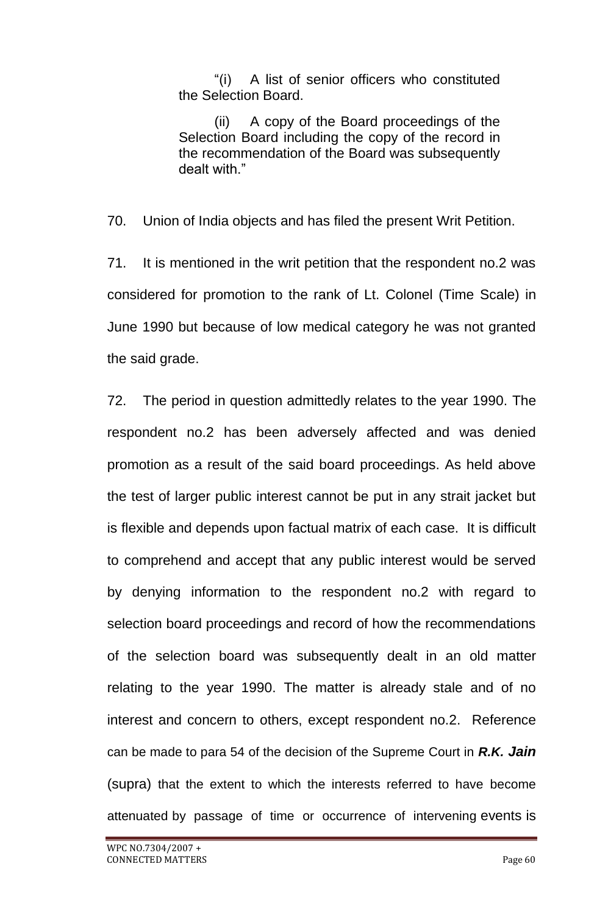―(i) A list of senior officers who constituted the Selection Board.

(ii) A copy of the Board proceedings of the Selection Board including the copy of the record in the recommendation of the Board was subsequently dealt with."

70. Union of India objects and has filed the present Writ Petition.

71. It is mentioned in the writ petition that the respondent no.2 was considered for promotion to the rank of Lt. Colonel (Time Scale) in June 1990 but because of low medical category he was not granted the said grade.

72. The period in question admittedly relates to the year 1990. The respondent no.2 has been adversely affected and was denied promotion as a result of the said board proceedings. As held above the test of larger public interest cannot be put in any strait jacket but is flexible and depends upon factual matrix of each case. It is difficult to comprehend and accept that any public interest would be served by denying information to the respondent no.2 with regard to selection board proceedings and record of how the recommendations of the selection board was subsequently dealt in an old matter relating to the year 1990. The matter is already stale and of no interest and concern to others, except respondent no.2. Reference can be made to para 54 of the decision of the Supreme Court in *R.K. Jain* (supra) that the extent to which the interests referred to have become attenuated by passage of time or occurrence of intervening events is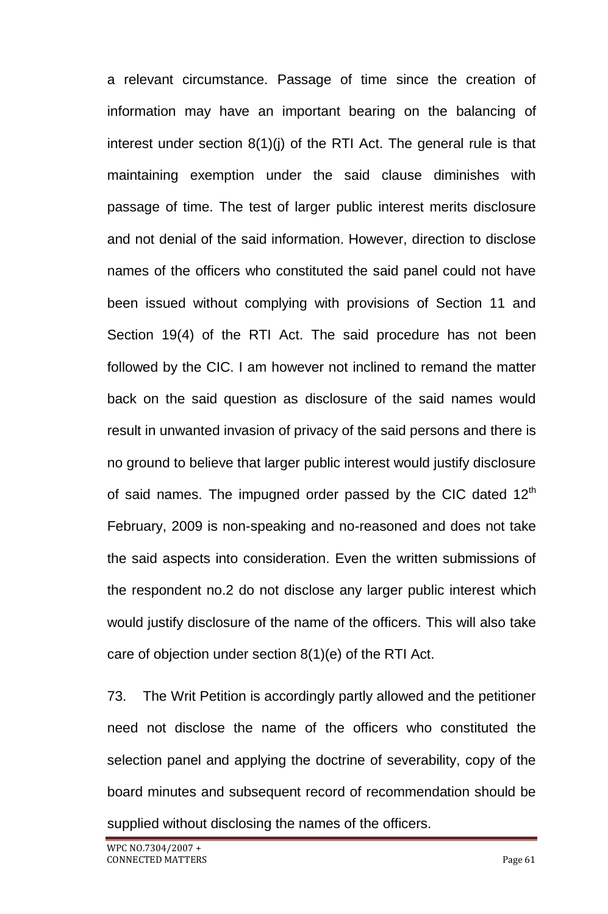a relevant circumstance. Passage of time since the creation of information may have an important bearing on the balancing of interest under section 8(1)(j) of the RTI Act. The general rule is that maintaining exemption under the said clause diminishes with passage of time. The test of larger public interest merits disclosure and not denial of the said information. However, direction to disclose names of the officers who constituted the said panel could not have been issued without complying with provisions of Section 11 and Section 19(4) of the RTI Act. The said procedure has not been followed by the CIC. I am however not inclined to remand the matter back on the said question as disclosure of the said names would result in unwanted invasion of privacy of the said persons and there is no ground to believe that larger public interest would justify disclosure of said names. The impugned order passed by the CIC dated  $12<sup>th</sup>$ February, 2009 is non-speaking and no-reasoned and does not take the said aspects into consideration. Even the written submissions of the respondent no.2 do not disclose any larger public interest which would justify disclosure of the name of the officers. This will also take care of objection under section 8(1)(e) of the RTI Act.

73. The Writ Petition is accordingly partly allowed and the petitioner need not disclose the name of the officers who constituted the selection panel and applying the doctrine of severability, copy of the board minutes and subsequent record of recommendation should be supplied without disclosing the names of the officers.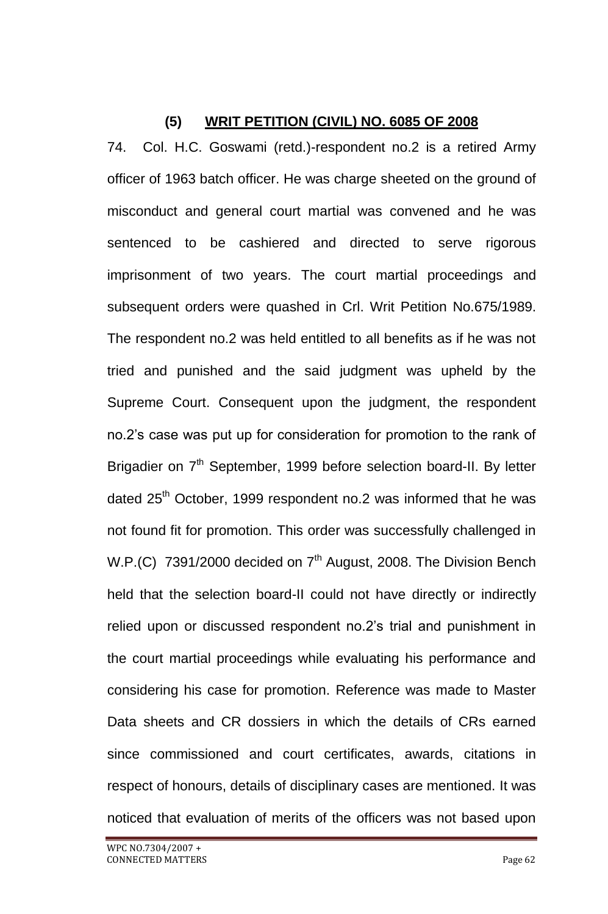### **(5) WRIT PETITION (CIVIL) NO. 6085 OF 2008**

74. Col. H.C. Goswami (retd.)-respondent no.2 is a retired Army officer of 1963 batch officer. He was charge sheeted on the ground of misconduct and general court martial was convened and he was sentenced to be cashiered and directed to serve rigorous imprisonment of two years. The court martial proceedings and subsequent orders were quashed in Crl. Writ Petition No.675/1989. The respondent no.2 was held entitled to all benefits as if he was not tried and punished and the said judgment was upheld by the Supreme Court. Consequent upon the judgment, the respondent no.2's case was put up for consideration for promotion to the rank of Brigadier on 7<sup>th</sup> September, 1999 before selection board-II. By letter dated 25<sup>th</sup> October, 1999 respondent no.2 was informed that he was not found fit for promotion. This order was successfully challenged in W.P.(C) 7391/2000 decided on  $7<sup>th</sup>$  August, 2008. The Division Bench held that the selection board-II could not have directly or indirectly relied upon or discussed respondent no.2's trial and punishment in the court martial proceedings while evaluating his performance and considering his case for promotion. Reference was made to Master Data sheets and CR dossiers in which the details of CRs earned since commissioned and court certificates, awards, citations in respect of honours, details of disciplinary cases are mentioned. It was noticed that evaluation of merits of the officers was not based upon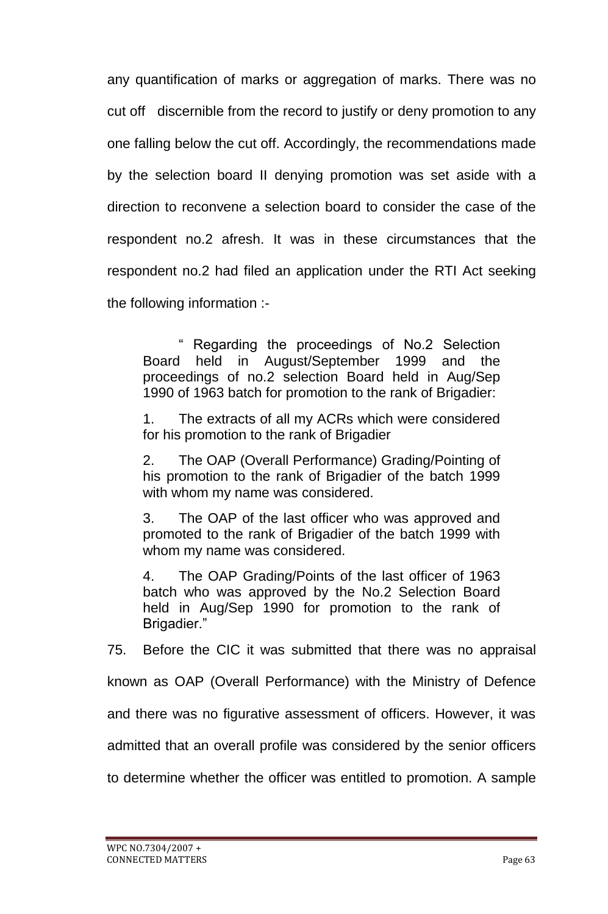any quantification of marks or aggregation of marks. There was no cut off discernible from the record to justify or deny promotion to any one falling below the cut off. Accordingly, the recommendations made by the selection board II denying promotion was set aside with a direction to reconvene a selection board to consider the case of the respondent no.2 afresh. It was in these circumstances that the respondent no.2 had filed an application under the RTI Act seeking the following information :-

― Regarding the proceedings of No.2 Selection Board held in August/September 1999 and the proceedings of no.2 selection Board held in Aug/Sep 1990 of 1963 batch for promotion to the rank of Brigadier:

1. The extracts of all my ACRs which were considered for his promotion to the rank of Brigadier

2. The OAP (Overall Performance) Grading/Pointing of his promotion to the rank of Brigadier of the batch 1999 with whom my name was considered.

3. The OAP of the last officer who was approved and promoted to the rank of Brigadier of the batch 1999 with whom my name was considered.

4. The OAP Grading/Points of the last officer of 1963 batch who was approved by the No.2 Selection Board held in Aug/Sep 1990 for promotion to the rank of Brigadier."

75. Before the CIC it was submitted that there was no appraisal

known as OAP (Overall Performance) with the Ministry of Defence

and there was no figurative assessment of officers. However, it was

admitted that an overall profile was considered by the senior officers

to determine whether the officer was entitled to promotion. A sample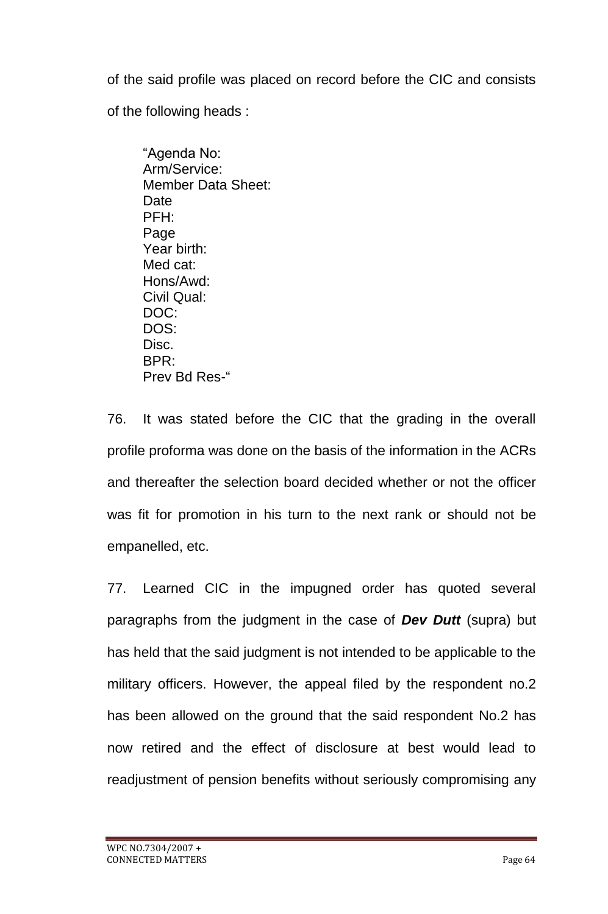of the said profile was placed on record before the CIC and consists of the following heads :

"Agenda No: Arm/Service: Member Data Sheet: Date PFH: Page Year birth: Med cat: Hons/Awd: Civil Qual: DOC: DOS: Disc. BPR: Prev Bd Res-"

76. It was stated before the CIC that the grading in the overall profile proforma was done on the basis of the information in the ACRs and thereafter the selection board decided whether or not the officer was fit for promotion in his turn to the next rank or should not be empanelled, etc.

77. Learned CIC in the impugned order has quoted several paragraphs from the judgment in the case of *Dev Dutt* (supra) but has held that the said judgment is not intended to be applicable to the military officers. However, the appeal filed by the respondent no.2 has been allowed on the ground that the said respondent No.2 has now retired and the effect of disclosure at best would lead to readjustment of pension benefits without seriously compromising any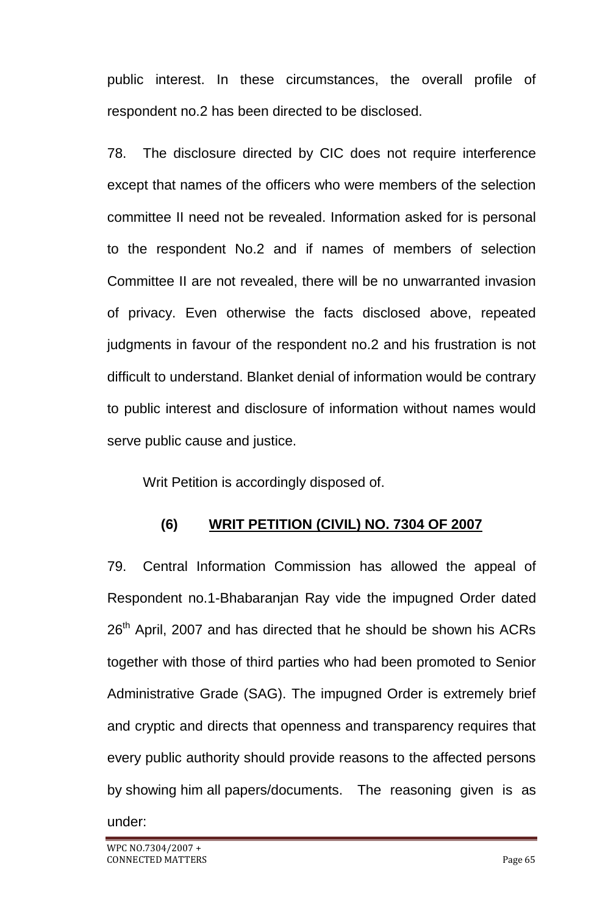public interest. In these circumstances, the overall profile of respondent no.2 has been directed to be disclosed.

78. The disclosure directed by CIC does not require interference except that names of the officers who were members of the selection committee II need not be revealed. Information asked for is personal to the respondent No.2 and if names of members of selection Committee II are not revealed, there will be no unwarranted invasion of privacy. Even otherwise the facts disclosed above, repeated judgments in favour of the respondent no.2 and his frustration is not difficult to understand. Blanket denial of information would be contrary to public interest and disclosure of information without names would serve public cause and justice.

Writ Petition is accordingly disposed of.

## **(6) WRIT PETITION (CIVIL) NO. 7304 OF 2007**

79. Central Information Commission has allowed the appeal of Respondent no.1-Bhabaranjan Ray vide the impugned Order dated 26<sup>th</sup> April, 2007 and has directed that he should be shown his ACRs together with those of third parties who had been promoted to Senior Administrative Grade (SAG). The impugned Order is extremely brief and cryptic and directs that openness and transparency requires that every public authority should provide reasons to the affected persons by showing him all papers/documents. The reasoning given is as under: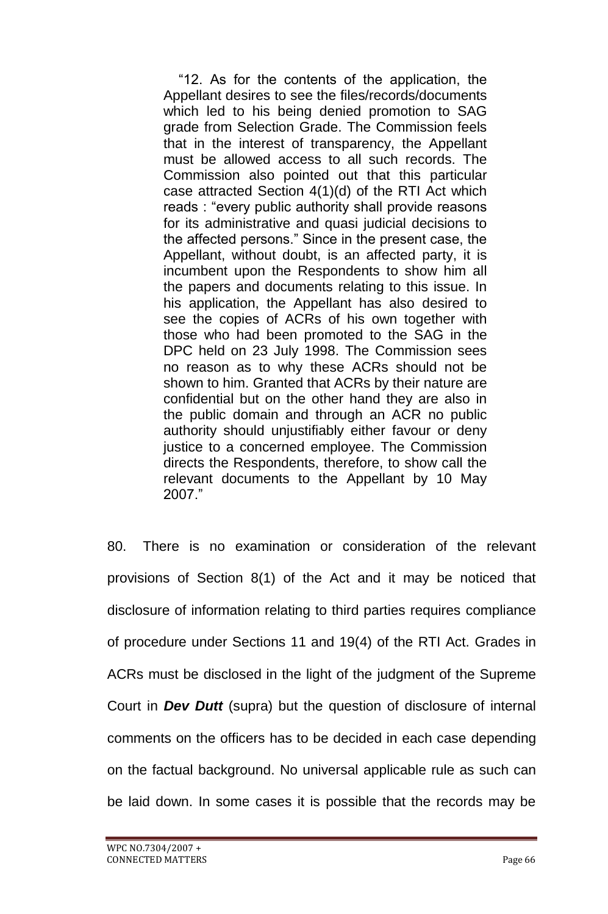―12. As for the contents of the application, the Appellant desires to see the files/records/documents which led to his being denied promotion to SAG grade from Selection Grade. The Commission feels that in the interest of transparency, the Appellant must be allowed access to all such records. The Commission also pointed out that this particular case attracted Section 4(1)(d) of the RTI Act which reads : "every public authority shall provide reasons for its administrative and quasi judicial decisions to the affected persons." Since in the present case, the Appellant, without doubt, is an affected party, it is incumbent upon the Respondents to show him all the papers and documents relating to this issue. In his application, the Appellant has also desired to see the copies of ACRs of his own together with those who had been promoted to the SAG in the DPC held on 23 July 1998. The Commission sees no reason as to why these ACRs should not be shown to him. Granted that ACRs by their nature are confidential but on the other hand they are also in the public domain and through an ACR no public authority should unjustifiably either favour or deny justice to a concerned employee. The Commission directs the Respondents, therefore, to show call the relevant documents to the Appellant by 10 May 2007.‖

80. There is no examination or consideration of the relevant provisions of Section 8(1) of the Act and it may be noticed that disclosure of information relating to third parties requires compliance of procedure under Sections 11 and 19(4) of the RTI Act. Grades in ACRs must be disclosed in the light of the judgment of the Supreme Court in *Dev Dutt* (supra) but the question of disclosure of internal comments on the officers has to be decided in each case depending on the factual background. No universal applicable rule as such can be laid down. In some cases it is possible that the records may be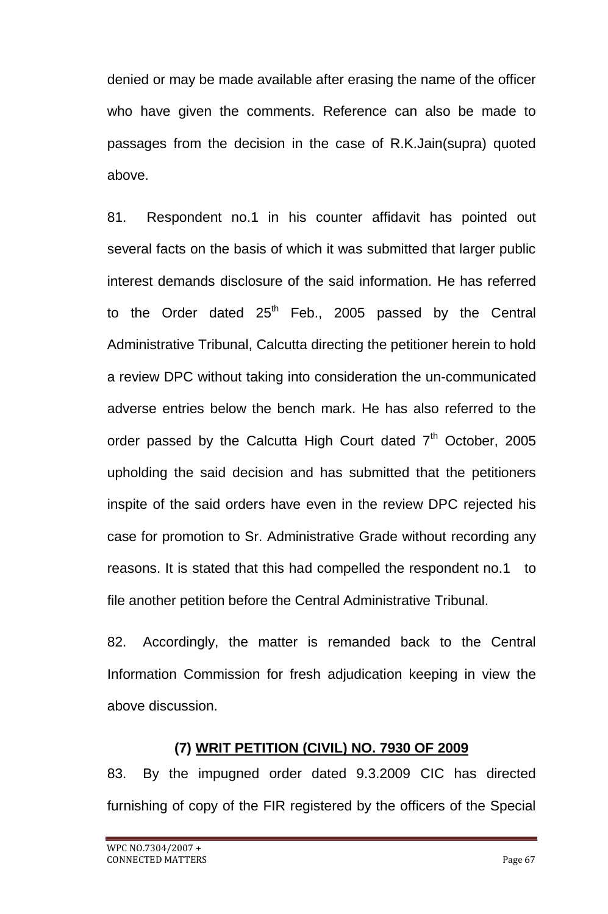denied or may be made available after erasing the name of the officer who have given the comments. Reference can also be made to passages from the decision in the case of R.K.Jain(supra) quoted above.

81. Respondent no.1 in his counter affidavit has pointed out several facts on the basis of which it was submitted that larger public interest demands disclosure of the said information. He has referred to the Order dated  $25<sup>th</sup>$  Feb., 2005 passed by the Central Administrative Tribunal, Calcutta directing the petitioner herein to hold a review DPC without taking into consideration the un-communicated adverse entries below the bench mark. He has also referred to the order passed by the Calcutta High Court dated  $7<sup>th</sup>$  October, 2005 upholding the said decision and has submitted that the petitioners inspite of the said orders have even in the review DPC rejected his case for promotion to Sr. Administrative Grade without recording any reasons. It is stated that this had compelled the respondent no.1 to file another petition before the Central Administrative Tribunal.

82. Accordingly, the matter is remanded back to the Central Information Commission for fresh adjudication keeping in view the above discussion.

## **(7) WRIT PETITION (CIVIL) NO. 7930 OF 2009**

83. By the impugned order dated 9.3.2009 CIC has directed furnishing of copy of the FIR registered by the officers of the Special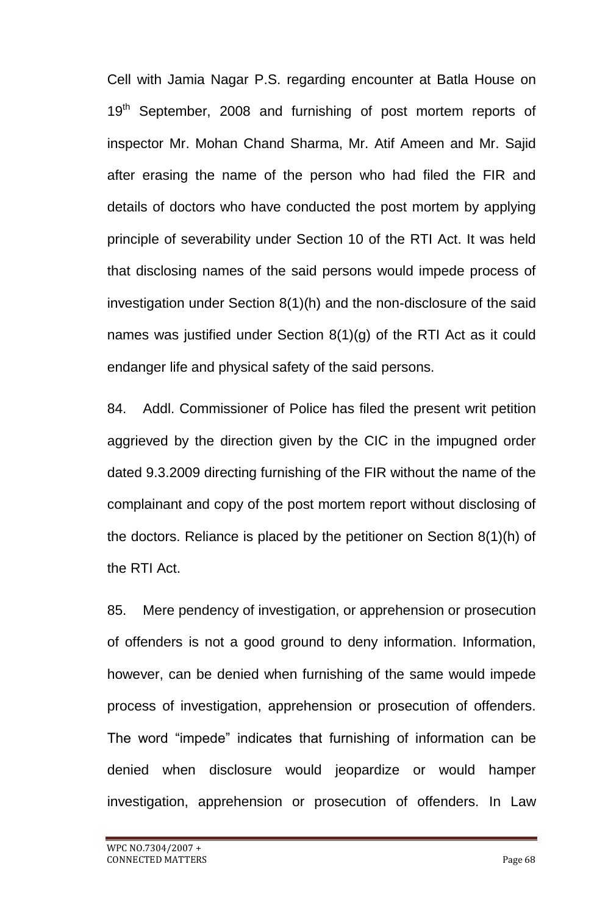Cell with Jamia Nagar P.S. regarding encounter at Batla House on 19<sup>th</sup> September, 2008 and furnishing of post mortem reports of inspector Mr. Mohan Chand Sharma, Mr. Atif Ameen and Mr. Sajid after erasing the name of the person who had filed the FIR and details of doctors who have conducted the post mortem by applying principle of severability under Section 10 of the RTI Act. It was held that disclosing names of the said persons would impede process of investigation under Section 8(1)(h) and the non-disclosure of the said names was justified under Section 8(1)(g) of the RTI Act as it could endanger life and physical safety of the said persons.

84. Addl. Commissioner of Police has filed the present writ petition aggrieved by the direction given by the CIC in the impugned order dated 9.3.2009 directing furnishing of the FIR without the name of the complainant and copy of the post mortem report without disclosing of the doctors. Reliance is placed by the petitioner on Section 8(1)(h) of the RTI Act.

85. Mere pendency of investigation, or apprehension or prosecution of offenders is not a good ground to deny information. Information, however, can be denied when furnishing of the same would impede process of investigation, apprehension or prosecution of offenders. The word "impede" indicates that furnishing of information can be denied when disclosure would jeopardize or would hamper investigation, apprehension or prosecution of offenders. In Law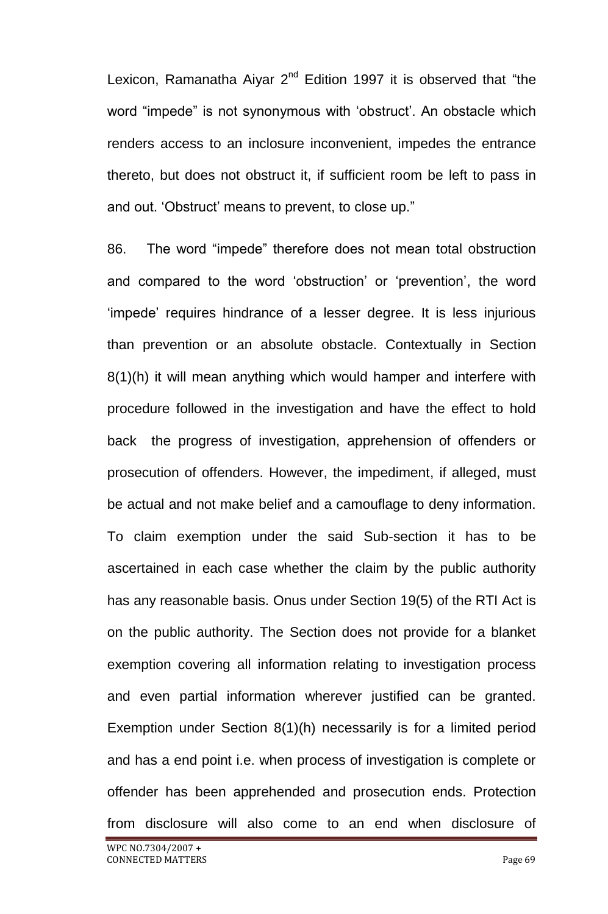Lexicon, Ramanatha Aiyar  $2^{nd}$  Edition 1997 it is observed that "the word "impede" is not synonymous with 'obstruct'. An obstacle which renders access to an inclosure inconvenient, impedes the entrance thereto, but does not obstruct it, if sufficient room be left to pass in and out. 'Obstruct' means to prevent, to close up."

86. The word "impede" therefore does not mean total obstruction and compared to the word 'obstruction' or 'prevention', the word ‗impede' requires hindrance of a lesser degree. It is less injurious than prevention or an absolute obstacle. Contextually in Section 8(1)(h) it will mean anything which would hamper and interfere with procedure followed in the investigation and have the effect to hold back the progress of investigation, apprehension of offenders or prosecution of offenders. However, the impediment, if alleged, must be actual and not make belief and a camouflage to deny information. To claim exemption under the said Sub-section it has to be ascertained in each case whether the claim by the public authority has any reasonable basis. Onus under Section 19(5) of the RTI Act is on the public authority. The Section does not provide for a blanket exemption covering all information relating to investigation process and even partial information wherever justified can be granted. Exemption under Section 8(1)(h) necessarily is for a limited period and has a end point i.e. when process of investigation is complete or offender has been apprehended and prosecution ends. Protection from disclosure will also come to an end when disclosure of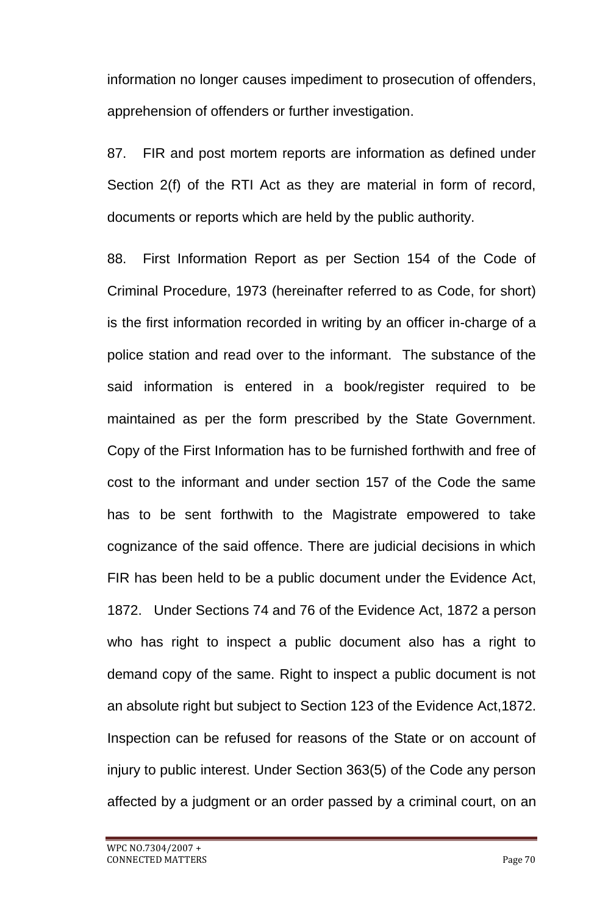information no longer causes impediment to prosecution of offenders, apprehension of offenders or further investigation.

87. FIR and post mortem reports are information as defined under Section 2(f) of the RTI Act as they are material in form of record, documents or reports which are held by the public authority.

88. First Information Report as per Section 154 of the Code of Criminal Procedure, 1973 (hereinafter referred to as Code, for short) is the first information recorded in writing by an officer in-charge of a police station and read over to the informant. The substance of the said information is entered in a book/register required to be maintained as per the form prescribed by the State Government. Copy of the First Information has to be furnished forthwith and free of cost to the informant and under section 157 of the Code the same has to be sent forthwith to the Magistrate empowered to take cognizance of the said offence. There are judicial decisions in which FIR has been held to be a public document under the Evidence Act, 1872. Under Sections 74 and 76 of the Evidence Act, 1872 a person who has right to inspect a public document also has a right to demand copy of the same. Right to inspect a public document is not an absolute right but subject to Section 123 of the Evidence Act,1872. Inspection can be refused for reasons of the State or on account of injury to public interest. Under Section 363(5) of the Code any person affected by a judgment or an order passed by a criminal court, on an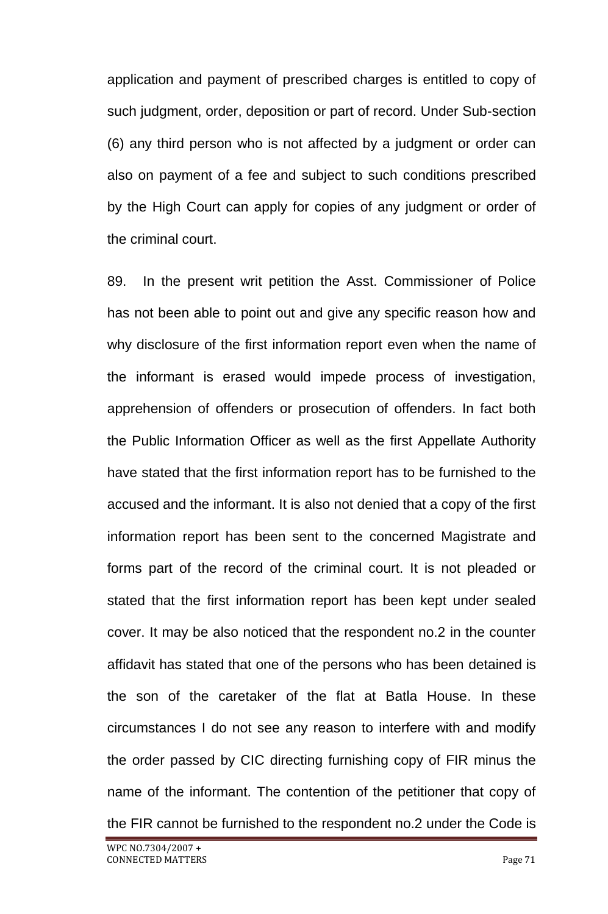application and payment of prescribed charges is entitled to copy of such judgment, order, deposition or part of record. Under Sub-section (6) any third person who is not affected by a judgment or order can also on payment of a fee and subject to such conditions prescribed by the High Court can apply for copies of any judgment or order of the criminal court.

89. In the present writ petition the Asst. Commissioner of Police has not been able to point out and give any specific reason how and why disclosure of the first information report even when the name of the informant is erased would impede process of investigation, apprehension of offenders or prosecution of offenders. In fact both the Public Information Officer as well as the first Appellate Authority have stated that the first information report has to be furnished to the accused and the informant. It is also not denied that a copy of the first information report has been sent to the concerned Magistrate and forms part of the record of the criminal court. It is not pleaded or stated that the first information report has been kept under sealed cover. It may be also noticed that the respondent no.2 in the counter affidavit has stated that one of the persons who has been detained is the son of the caretaker of the flat at Batla House. In these circumstances I do not see any reason to interfere with and modify the order passed by CIC directing furnishing copy of FIR minus the name of the informant. The contention of the petitioner that copy of the FIR cannot be furnished to the respondent no.2 under the Code is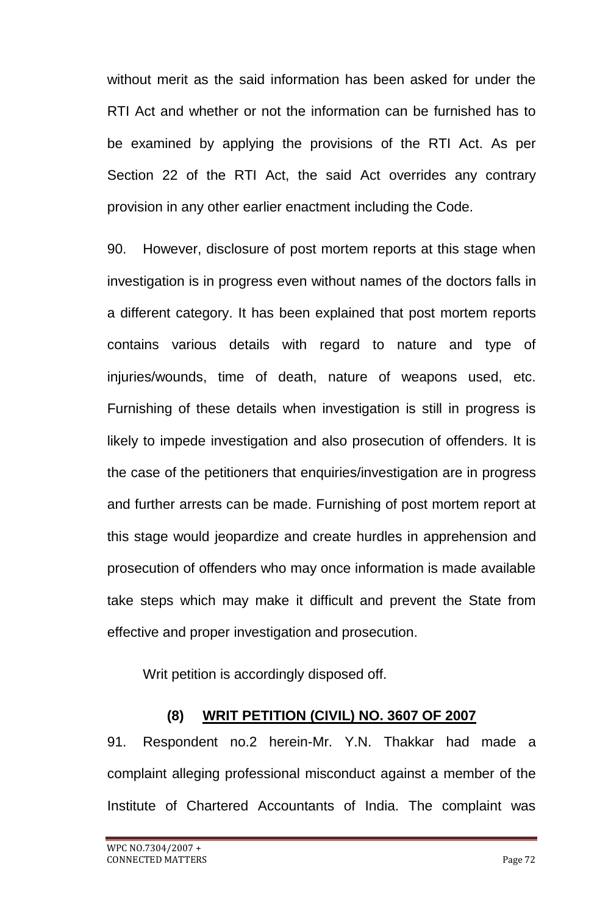without merit as the said information has been asked for under the RTI Act and whether or not the information can be furnished has to be examined by applying the provisions of the RTI Act. As per Section 22 of the RTI Act, the said Act overrides any contrary provision in any other earlier enactment including the Code.

90. However, disclosure of post mortem reports at this stage when investigation is in progress even without names of the doctors falls in a different category. It has been explained that post mortem reports contains various details with regard to nature and type of injuries/wounds, time of death, nature of weapons used, etc. Furnishing of these details when investigation is still in progress is likely to impede investigation and also prosecution of offenders. It is the case of the petitioners that enquiries/investigation are in progress and further arrests can be made. Furnishing of post mortem report at this stage would jeopardize and create hurdles in apprehension and prosecution of offenders who may once information is made available take steps which may make it difficult and prevent the State from effective and proper investigation and prosecution.

Writ petition is accordingly disposed off.

## **(8) WRIT PETITION (CIVIL) NO. 3607 OF 2007**

91. Respondent no.2 herein-Mr. Y.N. Thakkar had made a complaint alleging professional misconduct against a member of the Institute of Chartered Accountants of India. The complaint was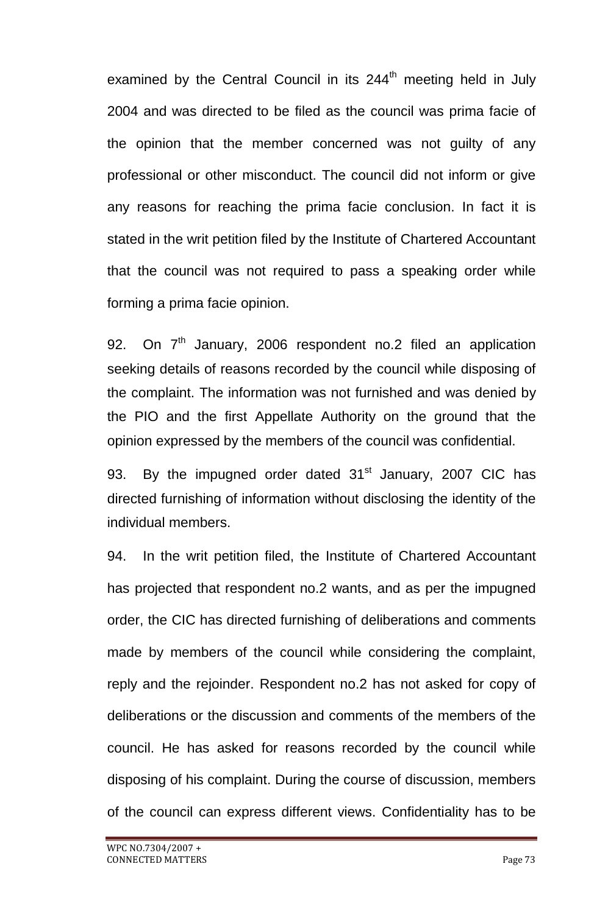examined by the Central Council in its  $244<sup>th</sup>$  meeting held in July 2004 and was directed to be filed as the council was prima facie of the opinion that the member concerned was not guilty of any professional or other misconduct. The council did not inform or give any reasons for reaching the prima facie conclusion. In fact it is stated in the writ petition filed by the Institute of Chartered Accountant that the council was not required to pass a speaking order while forming a prima facie opinion.

92. On  $7<sup>th</sup>$  January, 2006 respondent no.2 filed an application seeking details of reasons recorded by the council while disposing of the complaint. The information was not furnished and was denied by the PIO and the first Appellate Authority on the ground that the opinion expressed by the members of the council was confidential.

93. By the impugned order dated  $31<sup>st</sup>$  January, 2007 CIC has directed furnishing of information without disclosing the identity of the individual members.

94. In the writ petition filed, the Institute of Chartered Accountant has projected that respondent no.2 wants, and as per the impugned order, the CIC has directed furnishing of deliberations and comments made by members of the council while considering the complaint, reply and the rejoinder. Respondent no.2 has not asked for copy of deliberations or the discussion and comments of the members of the council. He has asked for reasons recorded by the council while disposing of his complaint. During the course of discussion, members of the council can express different views. Confidentiality has to be